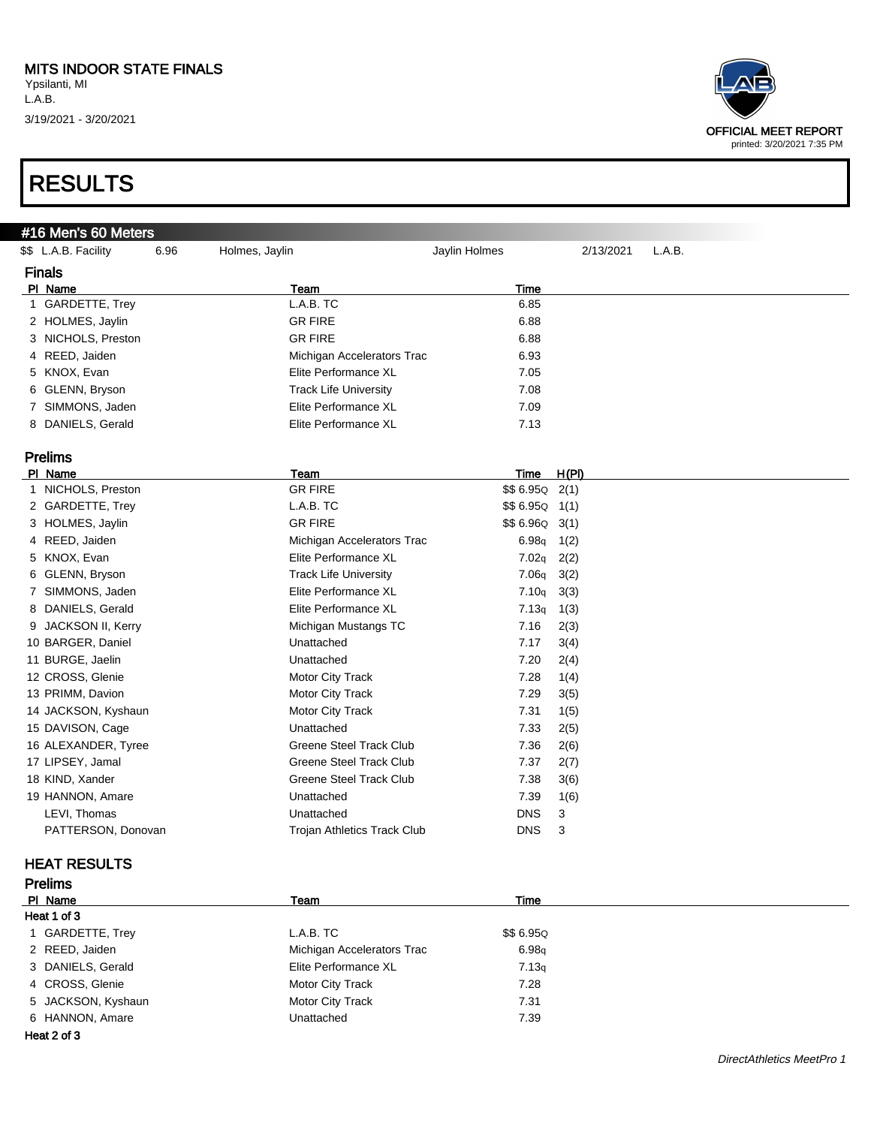#### MITS INDOOR STATE FINALS

Ypsilanti, MI L.A.B. 3/19/2021 - 3/20/2021



### RESULTS

#### #16 Men's 60 Meters

| \$\$ L.A.B. Facility | 6.96<br>Holmes, Jaylin |                                    | Jaylin Holmes | 2/13/2021 | L.A.B. |
|----------------------|------------------------|------------------------------------|---------------|-----------|--------|
| <b>Finals</b>        |                        |                                    |               |           |        |
| PI Name              |                        | Team                               | Time          |           |        |
| 1 GARDETTE, Trey     |                        | L.A.B. TC                          | 6.85          |           |        |
| 2 HOLMES, Jaylin     |                        | <b>GR FIRE</b>                     | 6.88          |           |        |
| 3 NICHOLS, Preston   |                        | <b>GR FIRE</b>                     | 6.88          |           |        |
| 4 REED, Jaiden       |                        | Michigan Accelerators Trac         | 6.93          |           |        |
| 5 KNOX, Evan         |                        | Elite Performance XL               | 7.05          |           |        |
| 6 GLENN, Bryson      |                        | <b>Track Life University</b>       | 7.08          |           |        |
| 7 SIMMONS, Jaden     |                        | Elite Performance XL               | 7.09          |           |        |
| 8 DANIELS, Gerald    |                        | Elite Performance XL               | 7.13          |           |        |
|                      |                        |                                    |               |           |        |
| <b>Prelims</b>       |                        |                                    |               |           |        |
| PI Name              |                        | Team                               | Time          | H(PI)     |        |
| 1 NICHOLS, Preston   |                        | <b>GR FIRE</b>                     | $$6.95Q$ 2(1) |           |        |
| 2 GARDETTE, Trey     |                        | L.A.B. TC                          | \$\$ 6.95Q    | 1(1)      |        |
| 3 HOLMES, Jaylin     |                        | <b>GR FIRE</b>                     | \$\$ 6.96Q    | 3(1)      |        |
| 4 REED, Jaiden       |                        | Michigan Accelerators Trac         | 6.98q         | 1(2)      |        |
| 5 KNOX, Evan         |                        | Elite Performance XL               | 7.02q         | 2(2)      |        |
| 6 GLENN, Bryson      |                        | <b>Track Life University</b>       | 7.06q         | 3(2)      |        |
| 7 SIMMONS, Jaden     |                        | Elite Performance XL               | 7.10q         | 3(3)      |        |
| 8 DANIELS, Gerald    |                        | Elite Performance XL               | 7.13q         | 1(3)      |        |
| 9 JACKSON II, Kerry  |                        | Michigan Mustangs TC               | 7.16          | 2(3)      |        |
| 10 BARGER, Daniel    |                        | Unattached                         | 7.17          | 3(4)      |        |
| 11 BURGE, Jaelin     |                        | Unattached                         | 7.20          | 2(4)      |        |
| 12 CROSS, Glenie     |                        | <b>Motor City Track</b>            | 7.28          | 1(4)      |        |
| 13 PRIMM, Davion     |                        | Motor City Track                   | 7.29          | 3(5)      |        |
| 14 JACKSON, Kyshaun  |                        | Motor City Track                   | 7.31          | 1(5)      |        |
| 15 DAVISON, Cage     |                        | Unattached                         | 7.33          | 2(5)      |        |
| 16 ALEXANDER, Tyree  |                        | <b>Greene Steel Track Club</b>     | 7.36          | 2(6)      |        |
| 17 LIPSEY, Jamal     |                        | <b>Greene Steel Track Club</b>     | 7.37          | 2(7)      |        |
| 18 KIND, Xander      |                        | <b>Greene Steel Track Club</b>     | 7.38          | 3(6)      |        |
| 19 HANNON, Amare     |                        | Unattached                         | 7.39          | 1(6)      |        |
| LEVI, Thomas         |                        | Unattached                         | <b>DNS</b>    | 3         |        |
| PATTERSON, Donovan   |                        | <b>Trojan Athletics Track Club</b> | <b>DNS</b>    | 3         |        |
|                      |                        |                                    |               |           |        |

#### HEAT RESULTS

| <b>Prelims</b>     |                            |           |  |
|--------------------|----------------------------|-----------|--|
| PI Name            | Team                       | Time      |  |
| Heat 1 of 3        |                            |           |  |
| 1 GARDETTE, Trey   | L.A.B. TC                  | \$\$6.95Q |  |
| 2 REED, Jaiden     | Michigan Accelerators Trac | 6.98q     |  |
| 3 DANIELS, Gerald  | Elite Performance XL       | 7.13q     |  |
| 4 CROSS, Glenie    | Motor City Track           | 7.28      |  |
| 5 JACKSON, Kyshaun | <b>Motor City Track</b>    | 7.31      |  |
| 6 HANNON, Amare    | Unattached                 | 7.39      |  |
| Heat 2 of 3        |                            |           |  |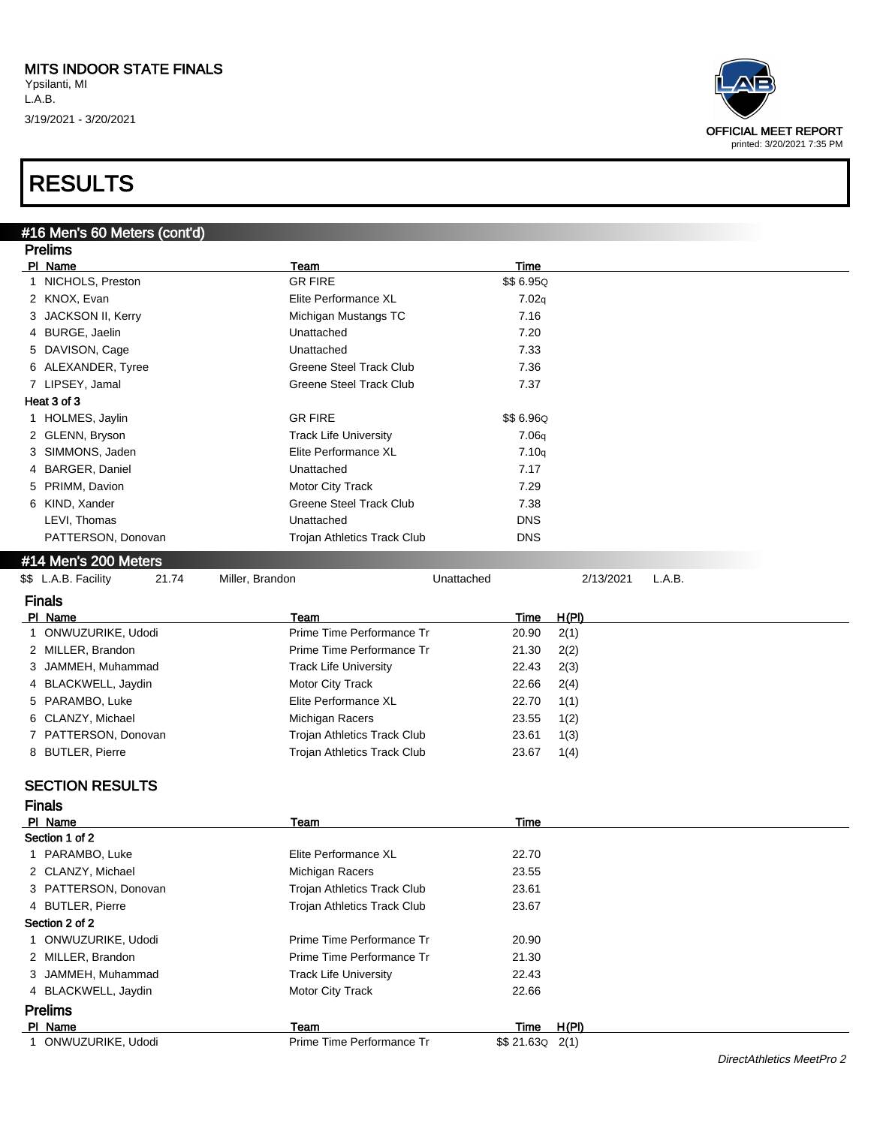

|   | #16 Men's 60 Meters (cont'd)                     |                                |            |               |       |           |        |                           |
|---|--------------------------------------------------|--------------------------------|------------|---------------|-------|-----------|--------|---------------------------|
|   | <b>Prelims</b>                                   |                                |            |               |       |           |        |                           |
|   | PI Name                                          | Team                           |            | <b>Time</b>   |       |           |        |                           |
|   | 1 NICHOLS, Preston                               | <b>GR FIRE</b>                 |            | \$\$6.95Q     |       |           |        |                           |
|   | 2 KNOX, Evan                                     | Elite Performance XL           |            | 7.02q         |       |           |        |                           |
|   | 3 JACKSON II, Kerry                              | Michigan Mustangs TC           |            | 7.16          |       |           |        |                           |
|   | 4 BURGE, Jaelin                                  | Unattached                     |            | 7.20          |       |           |        |                           |
|   | 5 DAVISON, Cage                                  | Unattached                     |            | 7.33          |       |           |        |                           |
|   | 6 ALEXANDER, Tyree                               | <b>Greene Steel Track Club</b> |            | 7.36          |       |           |        |                           |
|   | 7 LIPSEY, Jamal                                  | <b>Greene Steel Track Club</b> |            | 7.37          |       |           |        |                           |
|   | Heat 3 of 3                                      |                                |            |               |       |           |        |                           |
|   | 1 HOLMES, Jaylin                                 | <b>GR FIRE</b>                 |            | \$\$6.96Q     |       |           |        |                           |
|   | 2 GLENN, Bryson                                  | <b>Track Life University</b>   |            | 7.06q         |       |           |        |                           |
|   | 3 SIMMONS, Jaden                                 | Elite Performance XL           |            | 7.10q         |       |           |        |                           |
|   | 4 BARGER, Daniel                                 | Unattached                     |            | 7.17          |       |           |        |                           |
|   | 5 PRIMM, Davion                                  | Motor City Track               |            | 7.29          |       |           |        |                           |
|   | 6 KIND, Xander                                   | <b>Greene Steel Track Club</b> |            | 7.38          |       |           |        |                           |
|   | LEVI, Thomas                                     | Unattached                     |            | <b>DNS</b>    |       |           |        |                           |
|   | PATTERSON, Donovan                               | Trojan Athletics Track Club    |            | <b>DNS</b>    |       |           |        |                           |
|   | #14 Men's 200 Meters                             |                                |            |               |       |           |        |                           |
|   | \$\$ L.A.B. Facility<br>21.74<br>Miller, Brandon |                                | Unattached |               |       | 2/13/2021 | L.A.B. |                           |
|   | <b>Finals</b>                                    |                                |            |               |       |           |        |                           |
|   | PI Name                                          | Team                           |            | Time          | H(PI) |           |        |                           |
|   | 1 ONWUZURIKE, Udodi                              | Prime Time Performance Tr      |            | 20.90         | 2(1)  |           |        |                           |
|   | 2 MILLER, Brandon                                | Prime Time Performance Tr      |            | 21.30         | 2(2)  |           |        |                           |
|   | 3 JAMMEH, Muhammad                               | <b>Track Life University</b>   |            | 22.43         | 2(3)  |           |        |                           |
|   | 4 BLACKWELL, Jaydin                              | Motor City Track               |            | 22.66         | 2(4)  |           |        |                           |
|   | 5 PARAMBO, Luke                                  | Elite Performance XL           |            | 22.70         | 1(1)  |           |        |                           |
|   | 6 CLANZY, Michael                                | Michigan Racers                |            | 23.55         | 1(2)  |           |        |                           |
|   | 7 PATTERSON, Donovan                             | Trojan Athletics Track Club    |            | 23.61         | 1(3)  |           |        |                           |
|   | 8 BUTLER, Pierre                                 | Trojan Athletics Track Club    |            | 23.67         | 1(4)  |           |        |                           |
|   |                                                  |                                |            |               |       |           |        |                           |
|   | <b>SECTION RESULTS</b>                           |                                |            |               |       |           |        |                           |
|   | <b>Finals</b>                                    |                                |            |               |       |           |        |                           |
|   | PI Name                                          | Team                           |            | Time          |       |           |        |                           |
|   | Section 1 of 2                                   |                                |            |               |       |           |        |                           |
|   | 1 PARAMBO, Luke                                  | Elite Performance XL           |            | 22.70         |       |           |        |                           |
|   | 2 CLANZY, Michael                                | Michigan Racers                |            | 23.55         |       |           |        |                           |
|   | 3 PATTERSON, Donovan                             | Trojan Athletics Track Club    |            | 23.61         |       |           |        |                           |
|   | 4 BUTLER, Pierre                                 | Trojan Athletics Track Club    |            | 23.67         |       |           |        |                           |
|   | Section 2 of 2                                   |                                |            |               |       |           |        |                           |
| 1 | ONWUZURIKE, Udodi                                | Prime Time Performance Tr      |            | 20.90         |       |           |        |                           |
|   | 2 MILLER, Brandon                                | Prime Time Performance Tr      |            | 21.30         |       |           |        |                           |
|   | 3 JAMMEH, Muhammad                               | <b>Track Life University</b>   |            | 22.43         |       |           |        |                           |
|   | 4 BLACKWELL, Jaydin                              | Motor City Track               |            | 22.66         |       |           |        |                           |
|   | <b>Prelims</b>                                   |                                |            |               |       |           |        |                           |
|   | PI Name                                          | Team                           |            | <b>Time</b>   | H(PI) |           |        |                           |
|   | 1 ONWUZURIKE, Udodi                              | Prime Time Performance Tr      |            | $$4.63Q$ 2(1) |       |           |        |                           |
|   |                                                  |                                |            |               |       |           |        | DirectAthletics MeetPro 2 |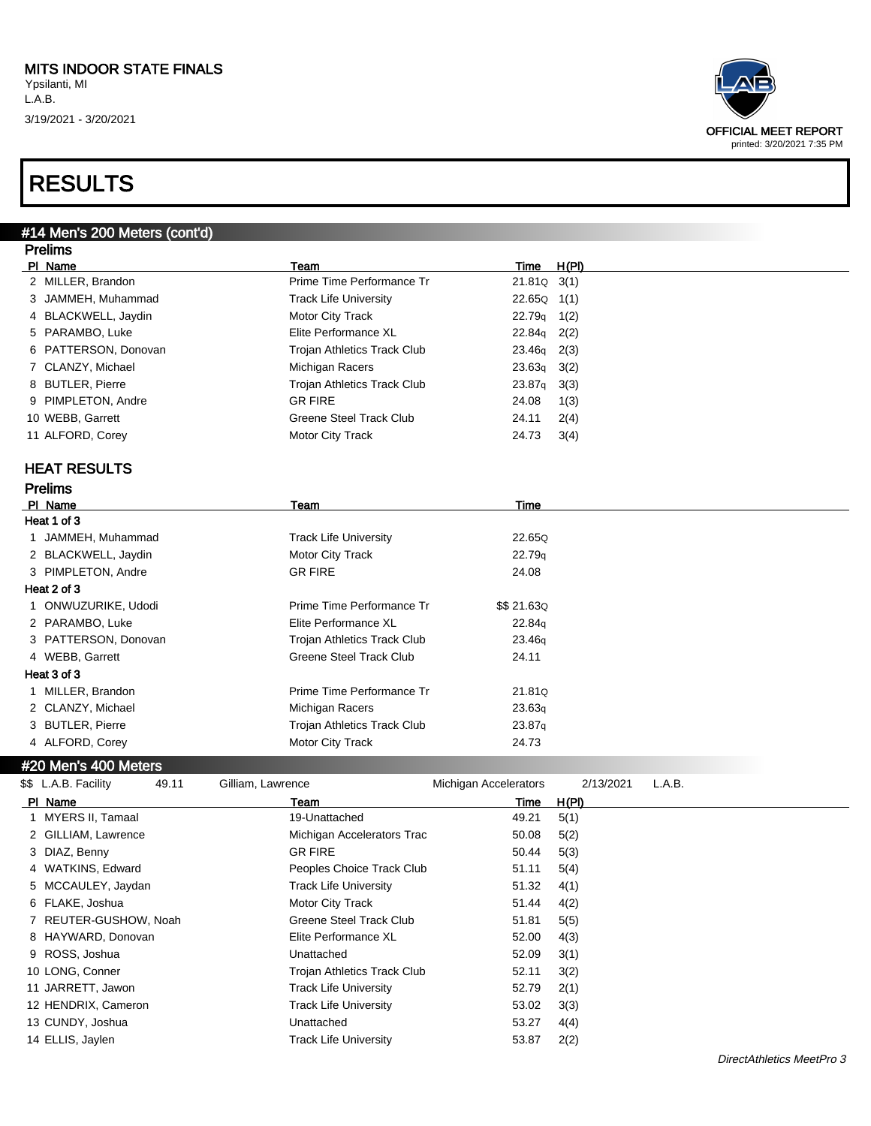

| #14 Men's 200 Meters (cont'd) |                                    |                    |       |
|-------------------------------|------------------------------------|--------------------|-------|
| <b>Prelims</b>                |                                    |                    |       |
| PI Name                       | Team                               | Time               | H(PI) |
| 2 MILLER, Brandon             | Prime Time Performance Tr          | 21.81Q             | 3(1)  |
| 3 JAMMEH, Muhammad            | <b>Track Life University</b>       | 22.65Q             | 1(1)  |
| 4 BLACKWELL, Jaydin           | Motor City Track                   | 22.79q             | 1(2)  |
| 5 PARAMBO, Luke               | Elite Performance XL               | 22.84g             | 2(2)  |
| 6 PATTERSON, Donovan          | <b>Trojan Athletics Track Club</b> | 23.46 <sub>g</sub> | 2(3)  |
| 7 CLANZY, Michael             | Michigan Racers                    | 23.63q             | 3(2)  |
| 8 BUTLER, Pierre              | <b>Trojan Athletics Track Club</b> | 23.87q             | 3(3)  |
| 9 PIMPLETON, Andre            | <b>GR FIRE</b>                     | 24.08              | 1(3)  |
| 10 WEBB, Garrett              | <b>Greene Steel Track Club</b>     | 24.11              | 2(4)  |
| 11 ALFORD, Corey              | Motor City Track                   | 24.73              | 3(4)  |
| <b>HEAT RESULTS</b>           |                                    |                    |       |
| <b>Prelims</b>                |                                    |                    |       |
| PI Name                       | <b>Team</b>                        | Time               |       |
| Heat 1 of 3                   |                                    |                    |       |
| 1 JAMMEH, Muhammad            | <b>Track Life University</b>       | 22.65Q             |       |
| 2 BLACKWELL, Jaydin           | Motor City Track                   | 22.79q             |       |
| 3 PIMPLETON, Andre            | <b>GR FIRE</b>                     | 24.08              |       |
| Heat 2 of 3                   |                                    |                    |       |
| 1 ONWUZURIKE, Udodi           | Prime Time Performance Tr          | \$\$ 21.63Q        |       |
| 2 PARAMBO, Luke               | Elite Performance XL               | 22.84g             |       |
| 3 PATTERSON, Donovan          | <b>Trojan Athletics Track Club</b> | 23.46q             |       |
| 4 WEBB, Garrett               | <b>Greene Steel Track Club</b>     | 24.11              |       |
| Heat 3 of 3                   |                                    |                    |       |
| 1 MILLER, Brandon             | Prime Time Performance Tr          | 21.81Q             |       |
| 2 CLANZY, Michael             | Michigan Racers                    | 23.63q             |       |
| 3 BUTLER, Pierre              | Trojan Athletics Track Club        | 23.87q             |       |
| 4 ALFORD, Corey               | Motor City Track                   | 24.73              |       |
| #20 Men's 400 Meters          |                                    |                    |       |

| \$\$ L.A.B. Facility  | 49.11 | Gilliam, Lawrence            | Michigan Accelerators | 2/13/2021 | L.A.B. |
|-----------------------|-------|------------------------------|-----------------------|-----------|--------|
| PI Name               |       | Team                         | Time                  | H(PI)     |        |
| 1 MYERS II, Tamaal    |       | 19-Unattached                | 49.21                 | 5(1)      |        |
| 2 GILLIAM, Lawrence   |       | Michigan Accelerators Trac   | 50.08                 | 5(2)      |        |
| 3 DIAZ, Benny         |       | <b>GR FIRE</b>               | 50.44                 | 5(3)      |        |
| 4 WATKINS, Edward     |       | Peoples Choice Track Club    | 51.11                 | 5(4)      |        |
| 5 MCCAULEY, Jaydan    |       | Track Life University        | 51.32                 | 4(1)      |        |
| 6 FLAKE, Joshua       |       | Motor City Track             | 51.44                 | 4(2)      |        |
| 7 REUTER-GUSHOW, Noah |       | Greene Steel Track Club      | 51.81                 | 5(5)      |        |
| 8 HAYWARD, Donovan    |       | Elite Performance XL         | 52.00                 | 4(3)      |        |
| 9 ROSS, Joshua        |       | Unattached                   | 52.09                 | 3(1)      |        |
| 10 LONG, Conner       |       | Trojan Athletics Track Club  | 52.11                 | 3(2)      |        |
| 11 JARRETT, Jawon     |       | Track Life University        | 52.79                 | 2(1)      |        |
| 12 HENDRIX, Cameron   |       | <b>Track Life University</b> | 53.02                 | 3(3)      |        |
| 13 CUNDY, Joshua      |       | Unattached                   | 53.27                 | 4(4)      |        |
| 14 ELLIS, Jaylen      |       | <b>Track Life University</b> | 53.87                 | 2(2)      |        |
|                       |       |                              |                       |           |        |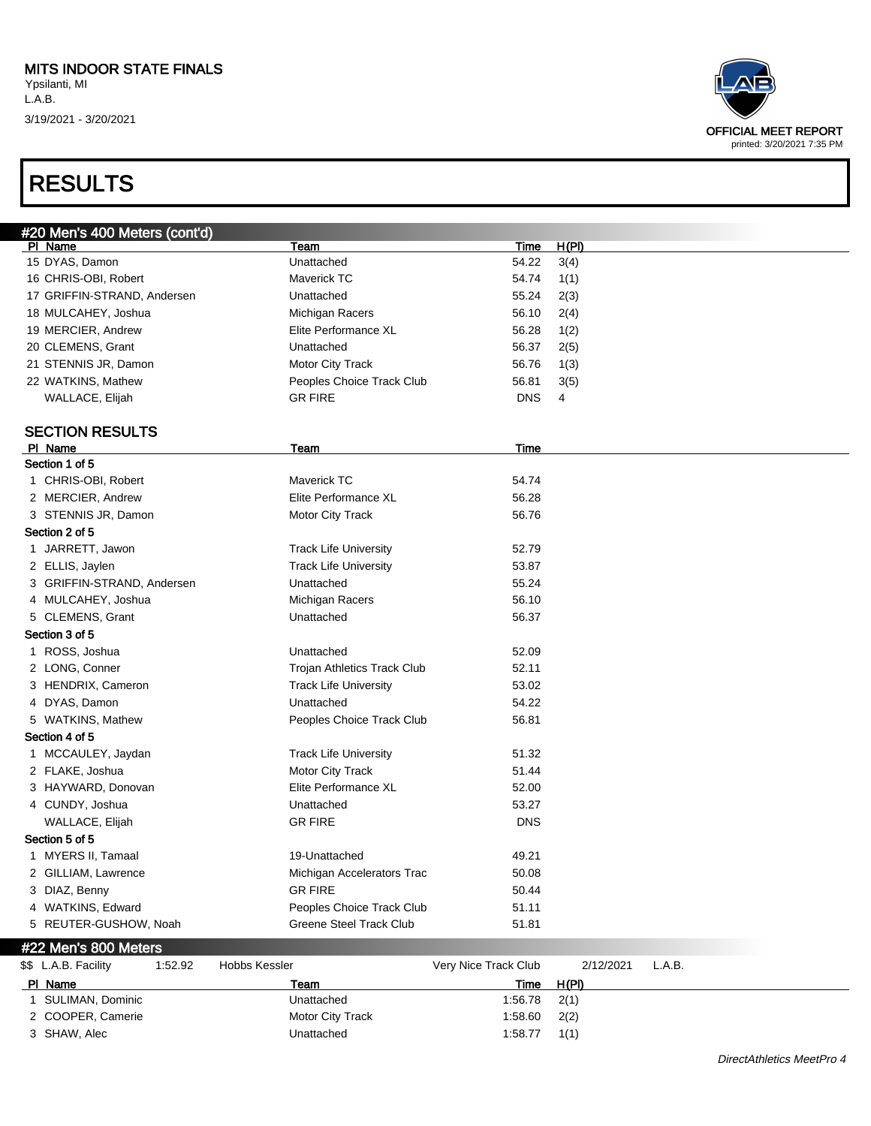

| PI Name           | Team             | Time    | H(PI) |  |
|-------------------|------------------|---------|-------|--|
| SULIMAN, Dominic  | Unattached       | 1:56.78 | 2(1)  |  |
| 2 COOPER, Camerie | Motor City Track | 1:58.60 | 2(2)  |  |
| 3 SHAW, Alec      | Unattached       | 1:58.77 | 1(1)  |  |
|                   |                  |         |       |  |

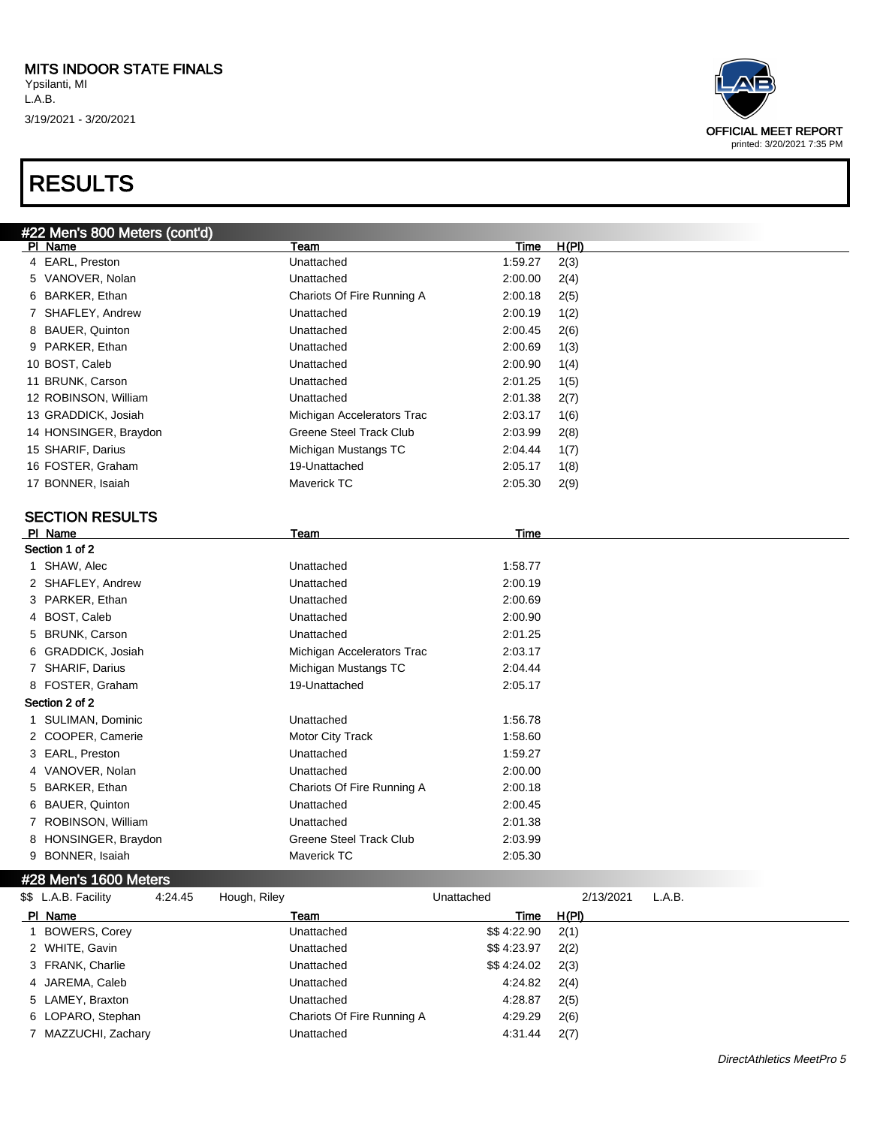| #22 Men's 800 Meters (cont'd)                   |                                                    |             |              |        |
|-------------------------------------------------|----------------------------------------------------|-------------|--------------|--------|
| PI Name                                         | Team                                               | <b>Time</b> | H(PI)        |        |
| 4 EARL, Preston                                 | Unattached                                         | 1:59.27     | 2(3)         |        |
| 5 VANOVER, Nolan                                | Unattached                                         | 2:00.00     | 2(4)         |        |
| 6 BARKER, Ethan                                 | Chariots Of Fire Running A                         | 2:00.18     | 2(5)         |        |
| 7 SHAFLEY, Andrew                               | Unattached                                         | 2:00.19     | 1(2)         |        |
| 8 BAUER, Quinton                                | Unattached                                         | 2:00.45     | 2(6)         |        |
| 9 PARKER, Ethan                                 | Unattached                                         | 2:00.69     | 1(3)         |        |
| 10 BOST, Caleb                                  | Unattached                                         | 2:00.90     | 1(4)         |        |
| 11 BRUNK, Carson                                | Unattached                                         | 2:01.25     | 1(5)         |        |
| 12 ROBINSON, William                            | Unattached                                         | 2:01.38     | 2(7)         |        |
| 13 GRADDICK, Josiah                             | Michigan Accelerators Trac                         | 2:03.17     | 1(6)         |        |
| 14 HONSINGER, Braydon                           | <b>Greene Steel Track Club</b>                     | 2:03.99     | 2(8)         |        |
| 15 SHARIF, Darius                               | Michigan Mustangs TC                               | 2:04.44     | 1(7)         |        |
| 16 FOSTER, Graham                               | 19-Unattached                                      | 2:05.17     | 1(8)         |        |
| 17 BONNER, Isaiah                               | Maverick TC                                        | 2:05.30     | 2(9)         |        |
|                                                 |                                                    |             |              |        |
| <b>SECTION RESULTS</b>                          |                                                    |             |              |        |
| PI Name<br>Section 1 of 2                       | Team                                               | <b>Time</b> |              |        |
| 1 SHAW, Alec                                    | Unattached                                         | 1:58.77     |              |        |
| 2 SHAFLEY, Andrew                               | Unattached                                         | 2:00.19     |              |        |
| 3 PARKER, Ethan                                 | Unattached                                         | 2:00.69     |              |        |
| 4 BOST, Caleb                                   | Unattached                                         | 2:00.90     |              |        |
| 5 BRUNK, Carson                                 | Unattached                                         | 2:01.25     |              |        |
|                                                 |                                                    | 2:03.17     |              |        |
| 6 GRADDICK, Josiah<br>7 SHARIF, Darius          | Michigan Accelerators Trac<br>Michigan Mustangs TC | 2:04.44     |              |        |
|                                                 |                                                    |             |              |        |
| 8 FOSTER, Graham<br>Section 2 of 2              | 19-Unattached                                      | 2:05.17     |              |        |
|                                                 |                                                    |             |              |        |
| 1 SULIMAN, Dominic                              | Unattached                                         | 1:56.78     |              |        |
| 2 COOPER, Camerie                               | Motor City Track                                   | 1:58.60     |              |        |
| 3 EARL, Preston                                 | Unattached<br>Unattached                           | 1:59.27     |              |        |
| 4 VANOVER, Nolan                                |                                                    | 2:00.00     |              |        |
| 5 BARKER, Ethan                                 | Chariots Of Fire Running A                         | 2:00.18     |              |        |
| 6 BAUER, Quinton                                | Unattached                                         | 2:00.45     |              |        |
| 7 ROBINSON, William                             | Unattached                                         | 2:01.38     |              |        |
| 8 HONSINGER, Braydon                            | Greene Steel Track Club                            | 2:03.99     |              |        |
| 9 BONNER, Isaiah                                | Maverick TC                                        | 2:05.30     |              |        |
| #28 Men's 1600 Meters                           |                                                    |             |              |        |
| \$\$ L.A.B. Facility<br>4:24.45<br>Hough, Riley |                                                    | Unattached  | 2/13/2021    | L.A.B. |
| PI Name                                         | Team                                               | <u>Time</u> | <u>H(PI)</u> |        |
| 1 BOWERS, Corey                                 | Unattached                                         | \$\$4:22.90 | 2(1)         |        |
|                                                 |                                                    |             |              |        |



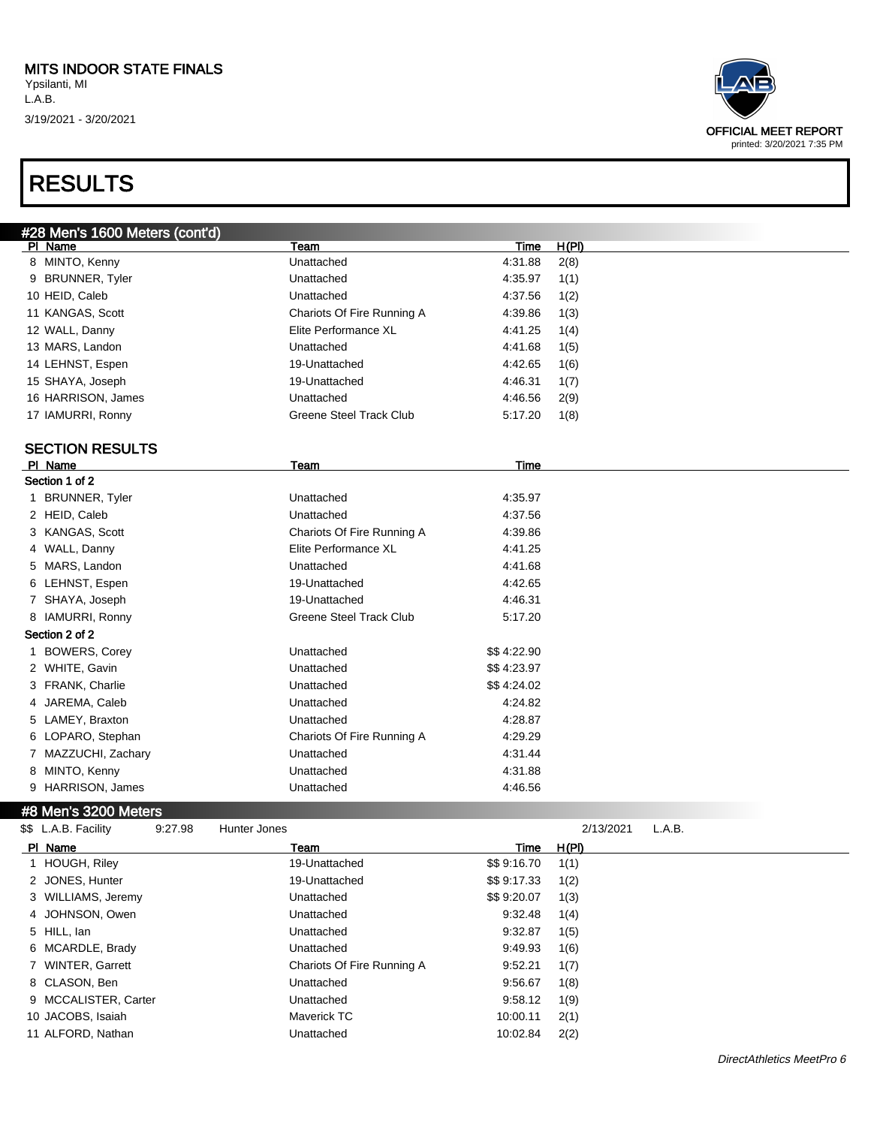| #28 Men's 1600 Meters (cont'd)                  |                                |             |              |        |  |
|-------------------------------------------------|--------------------------------|-------------|--------------|--------|--|
| PI Name                                         | Team                           | Time        | <u>H(PI)</u> |        |  |
| 8 MINTO, Kenny                                  | Unattached                     | 4:31.88     | 2(8)         |        |  |
| 9 BRUNNER, Tyler                                | Unattached                     | 4:35.97     | 1(1)         |        |  |
| 10 HEID, Caleb                                  | Unattached                     | 4:37.56     | 1(2)         |        |  |
| 11 KANGAS, Scott                                | Chariots Of Fire Running A     | 4:39.86     | 1(3)         |        |  |
| 12 WALL, Danny                                  | Elite Performance XL           | 4:41.25     | 1(4)         |        |  |
| 13 MARS, Landon                                 | Unattached                     | 4:41.68     | 1(5)         |        |  |
| 14 LEHNST, Espen                                | 19-Unattached                  | 4:42.65     | 1(6)         |        |  |
| 15 SHAYA, Joseph                                | 19-Unattached                  | 4:46.31     | 1(7)         |        |  |
| 16 HARRISON, James                              | Unattached                     | 4:46.56     | 2(9)         |        |  |
| 17 IAMURRI, Ronny                               | Greene Steel Track Club        | 5:17.20     | 1(8)         |        |  |
|                                                 |                                |             |              |        |  |
| <b>SECTION RESULTS</b><br>PI Name               | Team                           | Time        |              |        |  |
| Section 1 of 2                                  |                                |             |              |        |  |
| 1 BRUNNER, Tyler                                | Unattached                     | 4:35.97     |              |        |  |
| 2 HEID, Caleb                                   | Unattached                     | 4:37.56     |              |        |  |
| 3 KANGAS, Scott                                 | Chariots Of Fire Running A     | 4:39.86     |              |        |  |
| 4 WALL, Danny                                   | Elite Performance XL           | 4:41.25     |              |        |  |
| 5 MARS, Landon                                  | Unattached                     | 4:41.68     |              |        |  |
| 6 LEHNST, Espen                                 | 19-Unattached                  | 4:42.65     |              |        |  |
| 7 SHAYA, Joseph                                 | 19-Unattached                  | 4:46.31     |              |        |  |
| 8 IAMURRI, Ronny                                | <b>Greene Steel Track Club</b> | 5:17.20     |              |        |  |
| Section 2 of 2                                  |                                |             |              |        |  |
| 1 BOWERS, Corey                                 | Unattached                     | \$\$4:22.90 |              |        |  |
| 2 WHITE, Gavin                                  | Unattached                     | \$\$4:23.97 |              |        |  |
| 3 FRANK, Charlie                                | Unattached                     | \$\$4:24.02 |              |        |  |
| 4 JAREMA, Caleb                                 | Unattached                     | 4:24.82     |              |        |  |
| 5 LAMEY, Braxton                                | Unattached                     | 4:28.87     |              |        |  |
| 6 LOPARO, Stephan                               | Chariots Of Fire Running A     | 4:29.29     |              |        |  |
| 7 MAZZUCHI, Zachary                             | Unattached                     | 4:31.44     |              |        |  |
| 8 MINTO, Kenny                                  | Unattached                     | 4:31.88     |              |        |  |
| 9 HARRISON, James                               | Unattached                     | 4:46.56     |              |        |  |
| #8 Men's 3200 Meters                            |                                |             |              |        |  |
| \$\$ L.A.B. Facility<br>9:27.98<br>Hunter Jones |                                |             | 2/13/2021    | L.A.B. |  |
| PI Name                                         | Team                           | <u>Time</u> | H(P)         |        |  |
| 1 HOUGH, Riley                                  | 19-Unattached                  | \$\$9:16.70 | 1(1)         |        |  |
| 2 JONES, Hunter                                 | 19-Unattached                  | \$\$9:17.33 | 1(2)         |        |  |
| 3 WILLIAMS, Jeremy                              | Unattached                     | \$\$9:20.07 | 1(3)         |        |  |
| 4 JOHNSON, Owen                                 | Unattached                     | 9:32.48     | 1(4)         |        |  |
| 5 HILL, lan                                     | Unattached                     | 9:32.87     | 1(5)         |        |  |
| 6 MCARDLE, Brady                                | Unattached                     | 9:49.93     | 1(6)         |        |  |
| 7 WINTER, Garrett                               | Chariots Of Fire Running A     | 9:52.21     | 1(7)         |        |  |
| 8 CLASON, Ben                                   | Unattached                     | 9:56.67     | 1(8)         |        |  |
| 9 MCCALISTER, Carter                            | Unattached                     | 9:58.12     | 1(9)         |        |  |
| 10 JACOBS, Isaiah                               | Maverick TC                    | 10:00.11    | 2(1)         |        |  |
| 11 ALFORD, Nathan                               | Unattached                     | 10:02.84    | 2(2)         |        |  |
|                                                 |                                |             |              |        |  |

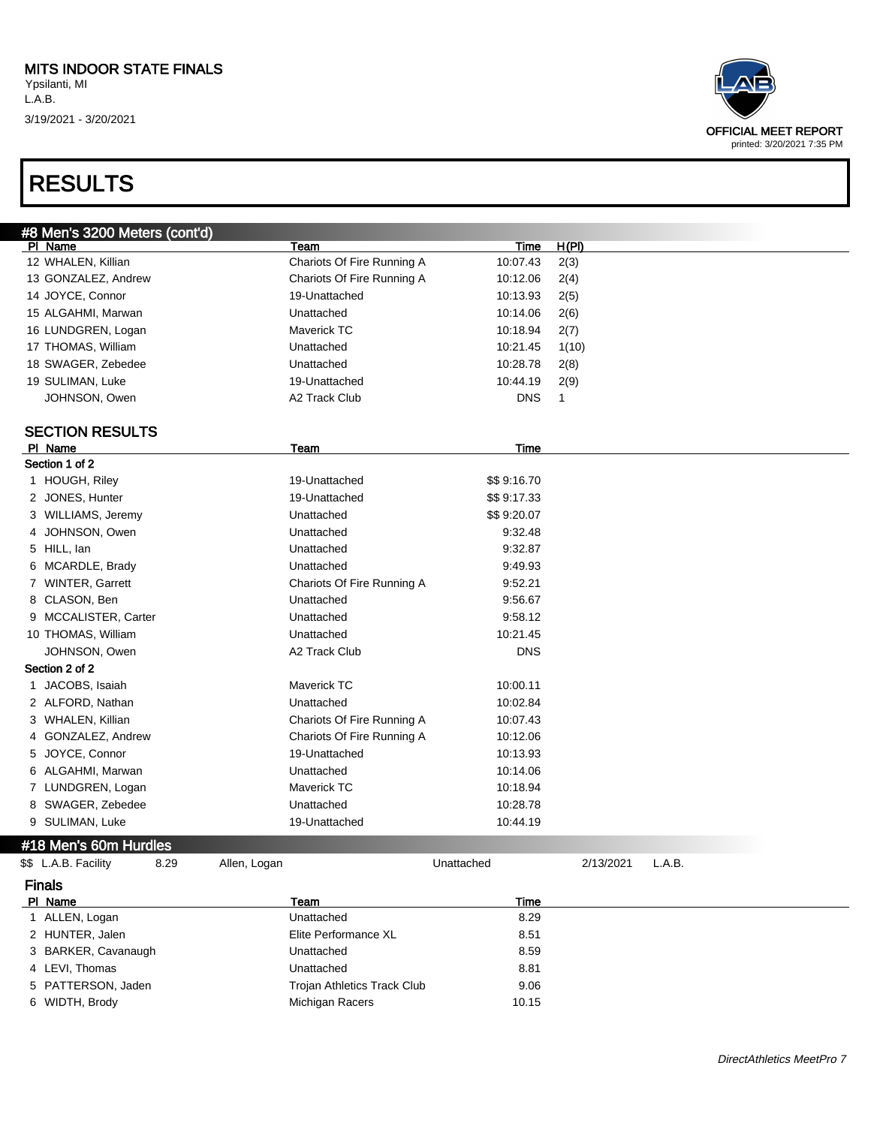# RESULTS



| #8 Men's 3200 Meters (cont'd) |                             |             |                     |  |
|-------------------------------|-----------------------------|-------------|---------------------|--|
| PI Name                       | Team                        | Time        | H(PI)               |  |
| 12 WHALEN, Killian            | Chariots Of Fire Running A  | 10:07.43    | 2(3)                |  |
| 13 GONZALEZ, Andrew           | Chariots Of Fire Running A  | 10:12.06    | 2(4)                |  |
| 14 JOYCE, Connor              | 19-Unattached               | 10:13.93    | 2(5)                |  |
| 15 ALGAHMI, Marwan            | Unattached                  | 10:14.06    | 2(6)                |  |
| 16 LUNDGREN, Logan            | <b>Maverick TC</b>          | 10:18.94    | 2(7)                |  |
| 17 THOMAS, William            | Unattached                  | 10:21.45    | 1(10)               |  |
| 18 SWAGER, Zebedee            | Unattached                  | 10:28.78    | 2(8)                |  |
| 19 SULIMAN, Luke              | 19-Unattached               | 10:44.19    | 2(9)                |  |
| JOHNSON, Owen                 | A2 Track Club               | <b>DNS</b>  | $\mathbf{1}$        |  |
|                               |                             |             |                     |  |
| <b>SECTION RESULTS</b>        |                             |             |                     |  |
| PI Name                       | Team                        | <b>Time</b> |                     |  |
| Section 1 of 2                |                             |             |                     |  |
| 1 HOUGH, Riley                | 19-Unattached               | \$\$9:16.70 |                     |  |
| 2 JONES, Hunter               | 19-Unattached               | \$\$9:17.33 |                     |  |
| 3 WILLIAMS, Jeremy            | Unattached                  | \$\$9:20.07 |                     |  |
| JOHNSON, Owen<br>4            | Unattached                  | 9:32.48     |                     |  |
| 5 HILL, lan                   | Unattached                  | 9:32.87     |                     |  |
| 6 MCARDLE, Brady              | Unattached                  | 9.49.93     |                     |  |
| 7 WINTER, Garrett             | Chariots Of Fire Running A  | 9:52.21     |                     |  |
| 8 CLASON, Ben                 | Unattached                  | 9:56.67     |                     |  |
| 9 MCCALISTER, Carter          | Unattached                  | 9:58.12     |                     |  |
| 10 THOMAS, William            | Unattached                  | 10:21.45    |                     |  |
| JOHNSON, Owen                 | A2 Track Club               | <b>DNS</b>  |                     |  |
| Section 2 of 2                |                             |             |                     |  |
| 1 JACOBS, Isaiah              | <b>Maverick TC</b>          | 10:00.11    |                     |  |
| 2 ALFORD, Nathan              | Unattached                  | 10:02.84    |                     |  |
| 3 WHALEN, Killian             | Chariots Of Fire Running A  | 10:07.43    |                     |  |
| GONZALEZ, Andrew<br>4         | Chariots Of Fire Running A  | 10:12.06    |                     |  |
| JOYCE, Connor<br>5.           | 19-Unattached               | 10:13.93    |                     |  |
| 6 ALGAHMI, Marwan             | Unattached                  | 10:14.06    |                     |  |
| 7 LUNDGREN, Logan             | <b>Maverick TC</b>          | 10:18.94    |                     |  |
| 8 SWAGER, Zebedee             | Unattached                  | 10:28.78    |                     |  |
| 9 SULIMAN, Luke               | 19-Unattached               | 10:44.19    |                     |  |
| #18 Men's 60m Hurdles         |                             |             |                     |  |
| \$\$ L.A.B. Facility<br>8.29  | Allen, Logan                | Unattached  | L.A.B.<br>2/13/2021 |  |
| <b>Finals</b>                 |                             |             |                     |  |
| PI Name                       | Team                        | Time        |                     |  |
| 1 ALLEN, Logan                | Unattached                  | 8.29        |                     |  |
| 2 HUNTER, Jalen               | Elite Performance XL        | 8.51        |                     |  |
| 3 BARKER, Cavanaugh           | Unattached                  | 8.59        |                     |  |
| 4 LEVI, Thomas                | Unattached                  | 8.81        |                     |  |
| 5 PATTERSON, Jaden            | Trojan Athletics Track Club | 9.06        |                     |  |

6 WIDTH, Brody **Michigan Racers** 10.15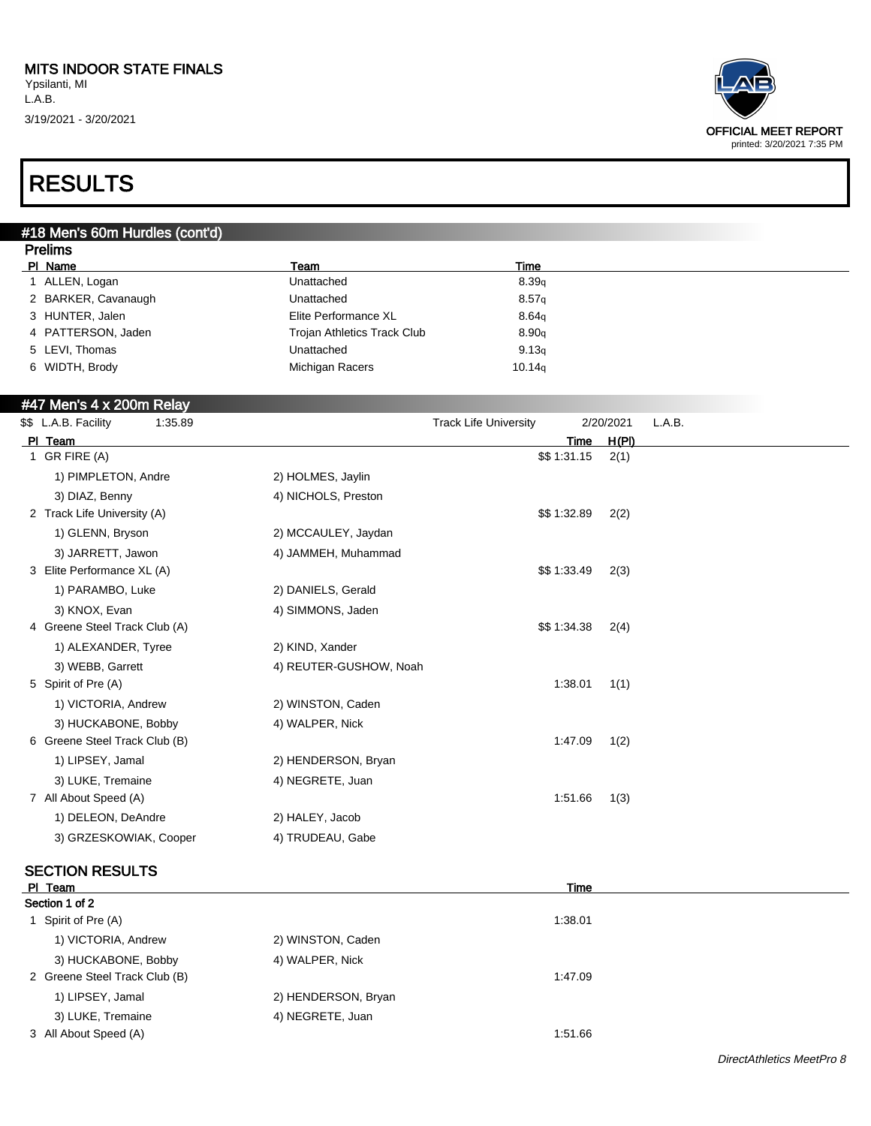

### RESULTS

#### #18 Men's 60m Hurdles (cont'd)

| <b>Prelims</b>      |                                    |        |  |
|---------------------|------------------------------------|--------|--|
| PI Name             | Team                               | Time   |  |
| ALLEN, Logan        | Unattached                         | 8.39q  |  |
| 2 BARKER, Cavanaugh | Unattached                         | 8.57q  |  |
| 3 HUNTER, Jalen     | Elite Performance XL               | 8.64q  |  |
| 4 PATTERSON, Jaden  | <b>Trojan Athletics Track Club</b> | 8.90q  |  |
| 5 LEVI, Thomas      | Unattached                         | 9.13q  |  |
| 6 WIDTH, Brody      | Michigan Racers                    | 10.14q |  |
|                     |                                    |        |  |

#### #47 Men's 4 x 200m Relay

| \$\$ L.A.B. Facility<br>1:35.89 |                        | <b>Track Life University</b> | 2/20/2021 | L.A.B. |
|---------------------------------|------------------------|------------------------------|-----------|--------|
| PI Team                         |                        | Time                         | H(PI)     |        |
| 1 GR FIRE (A)                   |                        | \$\$1:31.15                  | 2(1)      |        |
| 1) PIMPLETON, Andre             | 2) HOLMES, Jaylin      |                              |           |        |
| 3) DIAZ, Benny                  | 4) NICHOLS, Preston    |                              |           |        |
| 2 Track Life University (A)     |                        | \$\$1:32.89                  | 2(2)      |        |
| 1) GLENN, Bryson                | 2) MCCAULEY, Jaydan    |                              |           |        |
| 3) JARRETT, Jawon               | 4) JAMMEH, Muhammad    |                              |           |        |
| 3 Elite Performance XL (A)      |                        | \$\$1:33.49                  | 2(3)      |        |
| 1) PARAMBO, Luke                | 2) DANIELS, Gerald     |                              |           |        |
| 3) KNOX, Evan                   | 4) SIMMONS, Jaden      |                              |           |        |
| 4 Greene Steel Track Club (A)   |                        | \$\$1:34.38                  | 2(4)      |        |
| 1) ALEXANDER, Tyree             | 2) KIND, Xander        |                              |           |        |
| 3) WEBB, Garrett                | 4) REUTER-GUSHOW, Noah |                              |           |        |
| 5 Spirit of Pre (A)             |                        | 1.38.01                      | 1(1)      |        |
| 1) VICTORIA, Andrew             | 2) WINSTON, Caden      |                              |           |        |
| 3) HUCKABONE, Bobby             | 4) WALPER, Nick        |                              |           |        |
| 6 Greene Steel Track Club (B)   |                        | 1:47.09                      | 1(2)      |        |
| 1) LIPSEY, Jamal                | 2) HENDERSON, Bryan    |                              |           |        |
| 3) LUKE, Tremaine               | 4) NEGRETE, Juan       |                              |           |        |
| 7 All About Speed (A)           |                        | 1:51.66                      | 1(3)      |        |
| 1) DELEON, DeAndre              | 2) HALEY, Jacob        |                              |           |        |
| 3) GRZESKOWIAK, Cooper          | 4) TRUDEAU, Gabe       |                              |           |        |
|                                 |                        |                              |           |        |

### **SECTION RESULTS**<br>PI Team

| PI Team                       |                     | Time    |  |
|-------------------------------|---------------------|---------|--|
| Section 1 of 2                |                     |         |  |
| 1 Spirit of Pre (A)           |                     | 1:38.01 |  |
| 1) VICTORIA, Andrew           | 2) WINSTON, Caden   |         |  |
| 3) HUCKABONE, Bobby           | 4) WALPER, Nick     |         |  |
| 2 Greene Steel Track Club (B) |                     | 1:47.09 |  |
| 1) LIPSEY, Jamal              | 2) HENDERSON, Bryan |         |  |
| 3) LUKE, Tremaine             | 4) NEGRETE, Juan    |         |  |
| 3 All About Speed (A)         |                     | 1:51.66 |  |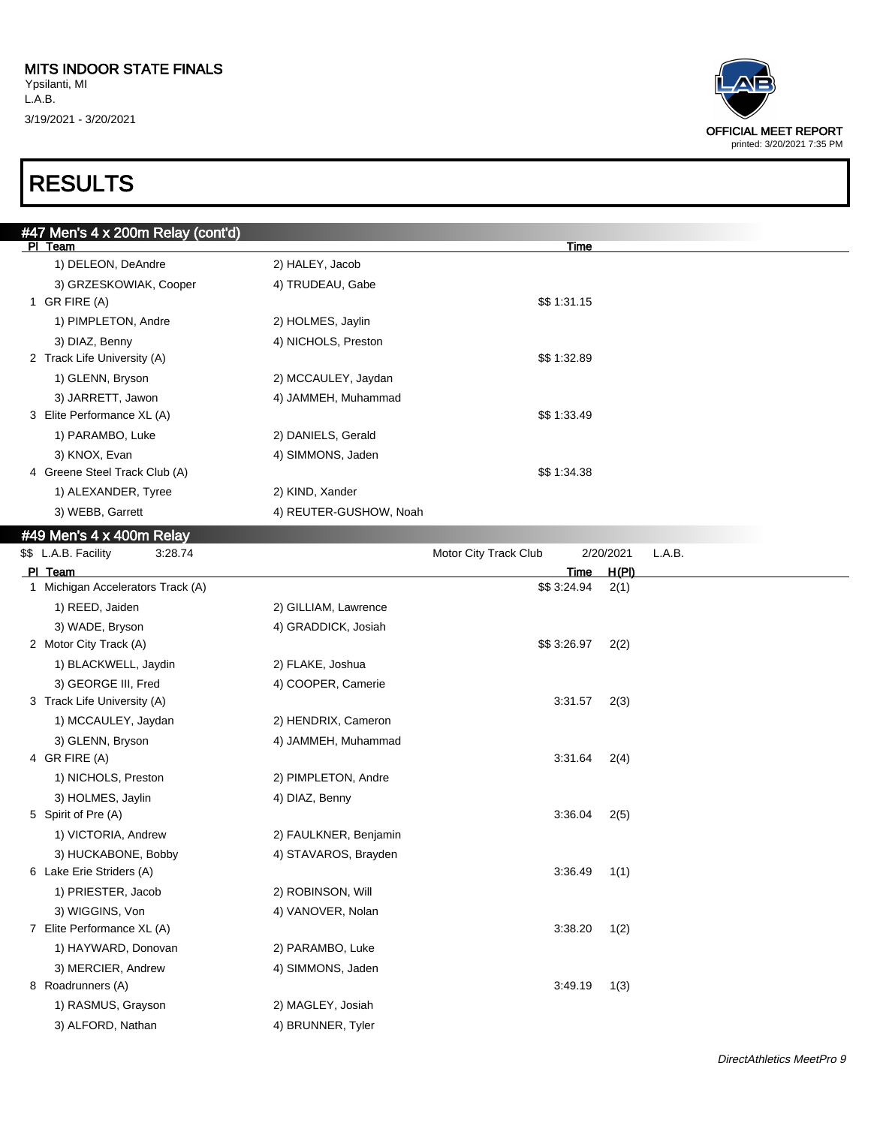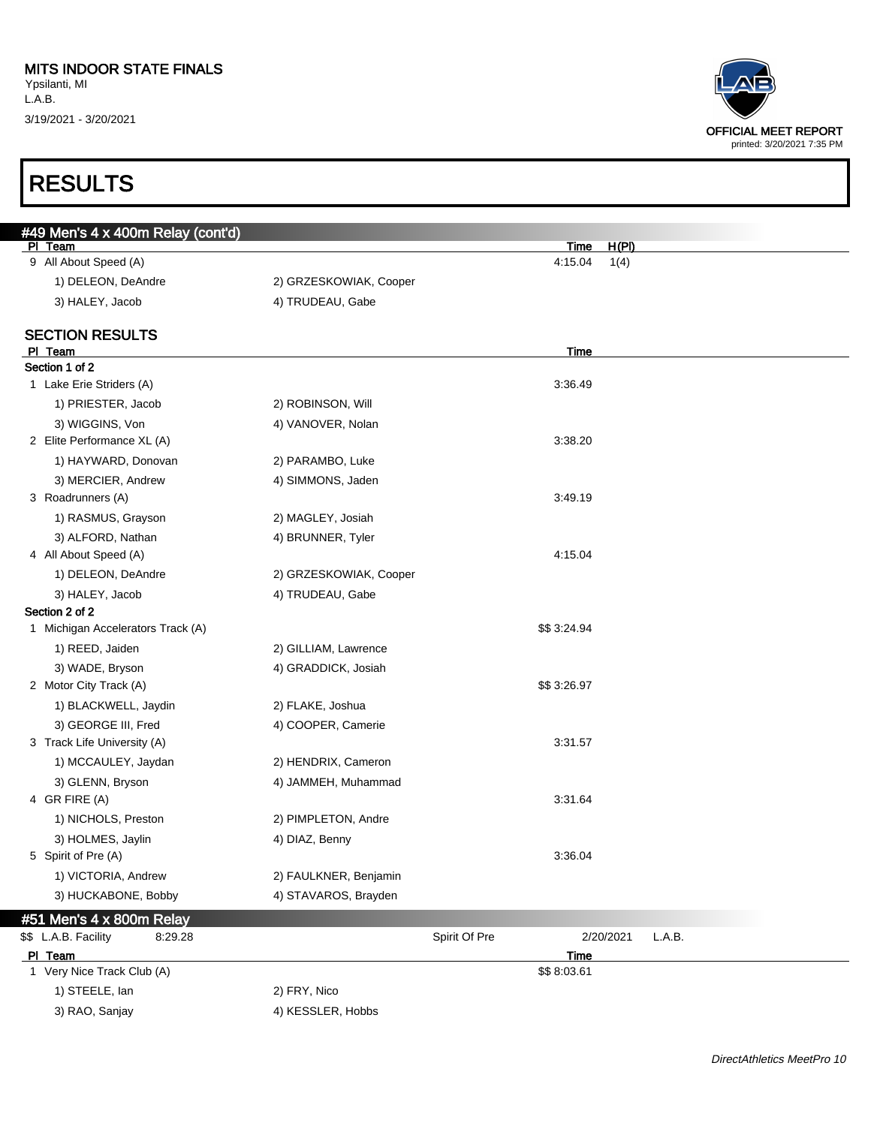| #49 Men's 4 x 400m Relay (cont'd) |                        |                 |                     |
|-----------------------------------|------------------------|-----------------|---------------------|
| PI Team<br>9 All About Speed (A)  |                        | Time<br>4:15.04 | H(PI)               |
|                                   |                        |                 | 1(4)                |
| 1) DELEON, DeAndre                | 2) GRZESKOWIAK, Cooper |                 |                     |
| 3) HALEY, Jacob                   | 4) TRUDEAU, Gabe       |                 |                     |
| <b>SECTION RESULTS</b>            |                        |                 |                     |
| PI Team                           |                        | Time            |                     |
| Section 1 of 2                    |                        |                 |                     |
| 1 Lake Erie Striders (A)          |                        | 3:36.49         |                     |
| 1) PRIESTER, Jacob                | 2) ROBINSON, Will      |                 |                     |
| 3) WIGGINS, Von                   | 4) VANOVER, Nolan      |                 |                     |
| 2 Elite Performance XL (A)        |                        | 3:38.20         |                     |
| 1) HAYWARD, Donovan               | 2) PARAMBO, Luke       |                 |                     |
| 3) MERCIER, Andrew                | 4) SIMMONS, Jaden      |                 |                     |
| 3 Roadrunners (A)                 |                        | 3:49.19         |                     |
| 1) RASMUS, Grayson                | 2) MAGLEY, Josiah      |                 |                     |
| 3) ALFORD, Nathan                 | 4) BRUNNER, Tyler      |                 |                     |
| 4 All About Speed (A)             |                        | 4:15.04         |                     |
| 1) DELEON, DeAndre                | 2) GRZESKOWIAK, Cooper |                 |                     |
| 3) HALEY, Jacob                   | 4) TRUDEAU, Gabe       |                 |                     |
| Section 2 of 2                    |                        |                 |                     |
| 1 Michigan Accelerators Track (A) |                        | \$\$3:24.94     |                     |
| 1) REED, Jaiden                   | 2) GILLIAM, Lawrence   |                 |                     |
| 3) WADE, Bryson                   | 4) GRADDICK, Josiah    |                 |                     |
| 2 Motor City Track (A)            |                        | \$\$3:26.97     |                     |
| 1) BLACKWELL, Jaydin              | 2) FLAKE, Joshua       |                 |                     |
| 3) GEORGE III, Fred               | 4) COOPER, Camerie     |                 |                     |
| 3 Track Life University (A)       |                        | 3:31.57         |                     |
| 1) MCCAULEY, Jaydan               | 2) HENDRIX, Cameron    |                 |                     |
| 3) GLENN, Bryson                  | 4) JAMMEH, Muhammad    |                 |                     |
| 4 GR FIRE (A)                     |                        | 3:31.64         |                     |
| 1) NICHOLS, Preston               | 2) PIMPLETON, Andre    |                 |                     |
| 3) HOLMES, Jaylin                 | 4) DIAZ, Benny         |                 |                     |
| 5 Spirit of Pre (A)               |                        | 3:36.04         |                     |
| 1) VICTORIA, Andrew               | 2) FAULKNER, Benjamin  |                 |                     |
| 3) HUCKABONE, Bobby               | 4) STAVAROS, Brayden   |                 |                     |
| #51 Men's 4 x 800m Relay          |                        |                 |                     |
| \$\$ L.A.B. Facility<br>8:29.28   |                        | Spirit Of Pre   | L.A.B.<br>2/20/2021 |
| PI Team                           |                        | <b>Time</b>     |                     |
| 1 Very Nice Track Club (A)        |                        | \$\$8:03.61     |                     |
| 1) STEELE, lan                    | 2) FRY, Nico           |                 |                     |
| 3) RAO, Sanjay                    | 4) KESSLER, Hobbs      |                 |                     |

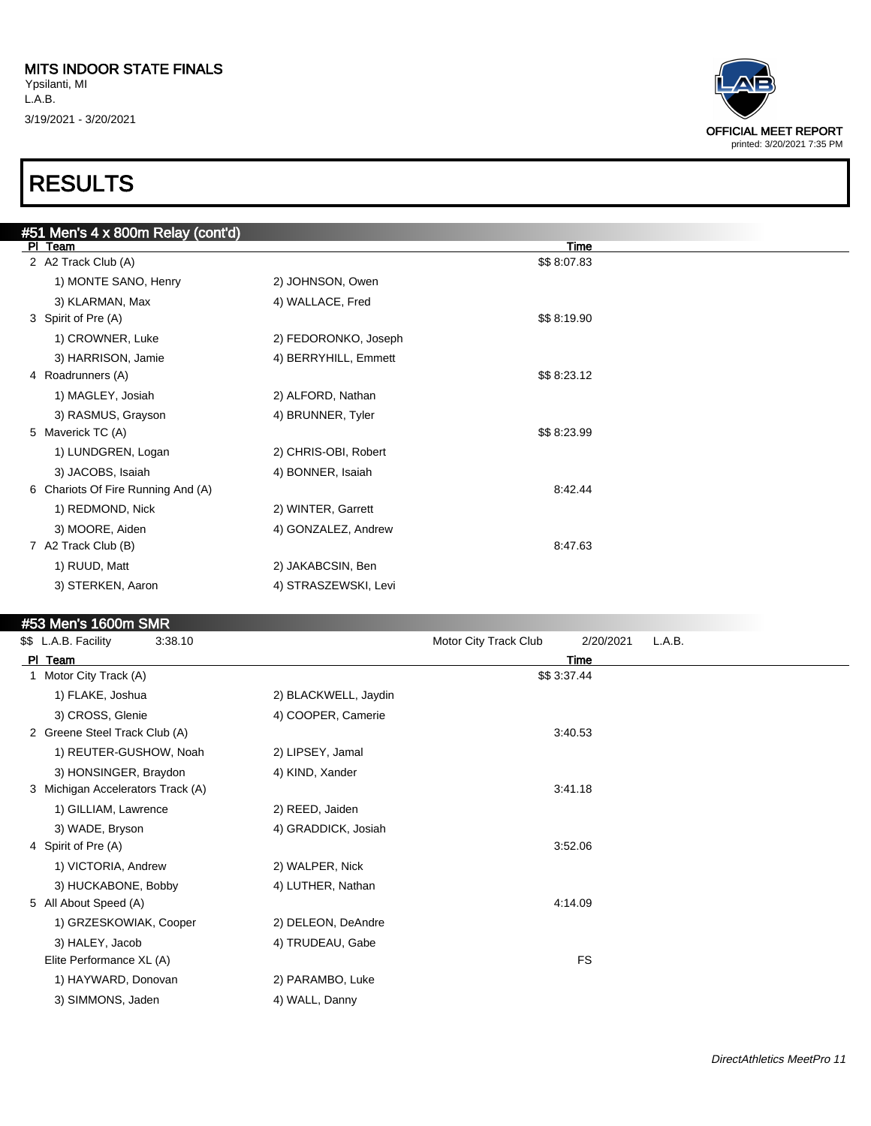3/19/2021 - 3/20/2021

# RESULTS

| #51 Men's 4 x 800m Relay (cont'd)<br>PI Team |                      | Time        |  |
|----------------------------------------------|----------------------|-------------|--|
| 2 A2 Track Club (A)                          |                      | \$\$8:07.83 |  |
| 1) MONTE SANO, Henry                         | 2) JOHNSON, Owen     |             |  |
| 3) KLARMAN, Max                              | 4) WALLACE, Fred     |             |  |
| 3 Spirit of Pre (A)                          |                      | \$\$8:19.90 |  |
| 1) CROWNER, Luke                             | 2) FEDORONKO, Joseph |             |  |
| 3) HARRISON, Jamie                           | 4) BERRYHILL, Emmett |             |  |
| 4 Roadrunners (A)                            |                      | \$\$8:23.12 |  |
| 1) MAGLEY, Josiah                            | 2) ALFORD, Nathan    |             |  |
| 3) RASMUS, Grayson                           | 4) BRUNNER, Tyler    |             |  |
| 5 Maverick TC (A)                            |                      | \$\$8:23.99 |  |
| 1) LUNDGREN, Logan                           | 2) CHRIS-OBI, Robert |             |  |
| 3) JACOBS, Isaiah                            | 4) BONNER, Isaiah    |             |  |
| 6 Chariots Of Fire Running And (A)           |                      | 8:42.44     |  |
| 1) REDMOND, Nick                             | 2) WINTER, Garrett   |             |  |
| 3) MOORE, Aiden                              | 4) GONZALEZ, Andrew  |             |  |
| 7 A2 Track Club (B)                          |                      | 8:47.63     |  |
| 1) RUUD, Matt                                | 2) JAKABCSIN, Ben    |             |  |
| 3) STERKEN, Aaron                            | 4) STRASZEWSKI, Levi |             |  |
|                                              |                      |             |  |

#### #53 Men's 1600m SMR

| \$\$ L.A.B. Facility<br>3:38.10   |                      | Motor City Track Club | 2/20/2021   | L.A.B. |
|-----------------------------------|----------------------|-----------------------|-------------|--------|
| PI Team                           |                      |                       | Time        |        |
| 1 Motor City Track (A)            |                      |                       | \$\$3:37.44 |        |
| 1) FLAKE, Joshua                  | 2) BLACKWELL, Jaydin |                       |             |        |
| 3) CROSS, Glenie                  | 4) COOPER, Camerie   |                       |             |        |
| 2 Greene Steel Track Club (A)     |                      |                       | 3:40.53     |        |
| 1) REUTER-GUSHOW, Noah            | 2) LIPSEY, Jamal     |                       |             |        |
| 3) HONSINGER, Braydon             | 4) KIND, Xander      |                       |             |        |
| 3 Michigan Accelerators Track (A) |                      |                       | 3:41.18     |        |
| 1) GILLIAM, Lawrence              | 2) REED, Jaiden      |                       |             |        |
| 3) WADE, Bryson                   | 4) GRADDICK, Josiah  |                       |             |        |
| 4 Spirit of Pre (A)               |                      |                       | 3:52.06     |        |
| 1) VICTORIA, Andrew               | 2) WALPER, Nick      |                       |             |        |
| 3) HUCKABONE, Bobby               | 4) LUTHER, Nathan    |                       |             |        |
| 5 All About Speed (A)             |                      |                       | 4:14.09     |        |
| 1) GRZESKOWIAK, Cooper            | 2) DELEON, DeAndre   |                       |             |        |
| 3) HALEY, Jacob                   | 4) TRUDEAU, Gabe     |                       |             |        |
| Elite Performance XL (A)          |                      |                       | <b>FS</b>   |        |
| 1) HAYWARD, Donovan               | 2) PARAMBO, Luke     |                       |             |        |
| 3) SIMMONS, Jaden                 | 4) WALL, Danny       |                       |             |        |
|                                   |                      |                       |             |        |

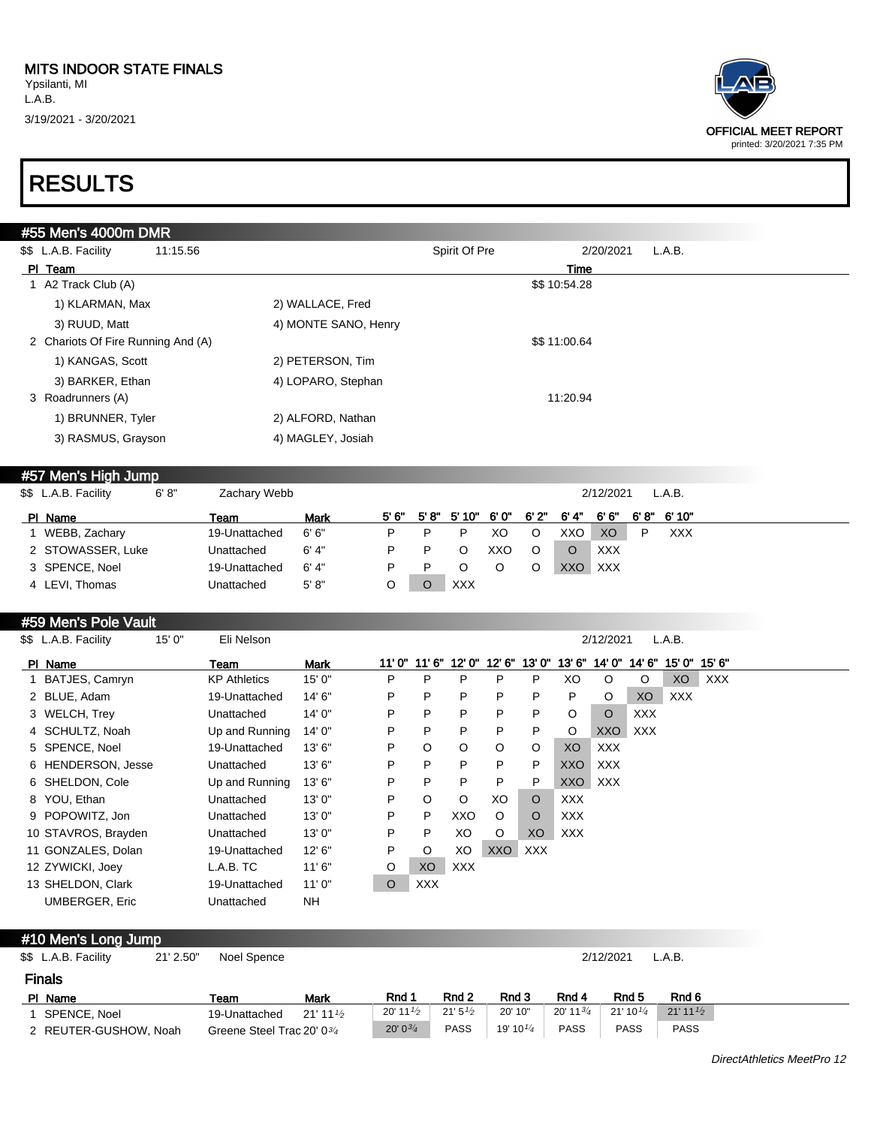

### RESULTS

| \$\$ L.A.B. Facility<br>11:15.56   |                      | Spirit Of Pre | 2/20/2021<br>L.A.B. |  |
|------------------------------------|----------------------|---------------|---------------------|--|
| PI Team                            |                      |               | Time                |  |
| 1 A2 Track Club (A)                |                      |               | \$\$10:54.28        |  |
| 1) KLARMAN, Max                    | 2) WALLACE, Fred     |               |                     |  |
| 3) RUUD, Matt                      | 4) MONTE SANO, Henry |               |                     |  |
| 2 Chariots Of Fire Running And (A) |                      |               | \$\$11:00.64        |  |
| 1) KANGAS, Scott                   | 2) PETERSON, Tim     |               |                     |  |
| 3) BARKER, Ethan                   | 4) LOPARO, Stephan   |               |                     |  |
| 3 Roadrunners (A)                  |                      |               | 11:20.94            |  |
| 1) BRUNNER, Tyler                  | 2) ALFORD, Nathan    |               |                     |  |
| 3) RASMUS, Grayson                 | 4) MAGLEY, Josiah    |               |                     |  |

#### #57 Men's High Jump

| \$\$ L.A.B. Facility | 6' 8" | Zachary Webb  |             |   |                      |     |      |      | 2/12/2021      |   | L.A.B.     |  |  |
|----------------------|-------|---------------|-------------|---|----------------------|-----|------|------|----------------|---|------------|--|--|
| PI Name              |       | Team          | <b>Mark</b> |   | 5'6" 5'8" 5'10" 6'0" |     | 6'2" | 6'4" | 6'6"           |   | 6'8" 6'10" |  |  |
| WEBB, Zachary        |       | 19-Unattached | 6' 6"       | P |                      | XO  | O    | XXO  | X <sub>O</sub> | P | <b>XXX</b> |  |  |
| 2 STOWASSER, Luke    |       | Unattached    | 6' 4"       | P | O                    | xxo | O    | O    | XXX            |   |            |  |  |
| 3 SPENCE, Noel       |       | 19-Unattached | 6' 4"       | P | O                    |     |      | XXO  | XXX            |   |            |  |  |
| 4 LEVI, Thomas       |       | Unattached    | 5' 8''      |   | <b>XXX</b>           |     |      |      |                |   |            |  |  |

#### #59 Men's Pole Vault

| \$\$ L.A.B. Facility  | 15'0'' | Eli Nelson          |        |         |            |            |            |         |            | 2/12/2021  |            | L.A.B.     |            |  |  |
|-----------------------|--------|---------------------|--------|---------|------------|------------|------------|---------|------------|------------|------------|------------|------------|--|--|
| PI Name               |        | Team                | Mark   | 11' 0"  | 11'6"      | 12' 0"     | 12' 6''    | 13'0"   | 13'6''     | 14' 0"     | 14' 6"     | 15' 0"     | 15' 6"     |  |  |
| 1 BATJES, Camryn      |        | <b>KP</b> Athletics | 15'0'' | P       | P          | P          | P          | P       | XO         | $\Omega$   | O          | XO         | <b>XXX</b> |  |  |
| 2 BLUE, Adam          |        | 19-Unattached       | 14' 6" | P       | P          | P          | P          | P       | P          | $\circ$    | XO         | <b>XXX</b> |            |  |  |
| 3 WELCH, Trey         |        | Unattached          | 14'0'' | P       | P          | P          | P          | P       | O          | $\circ$    | <b>XXX</b> |            |            |  |  |
| 4 SCHULTZ, Noah       |        | Up and Running      | 14'0'' | P       | P          | P          | P          | P       | O          | XXO        | XXX        |            |            |  |  |
| 5 SPENCE, Noel        |        | 19-Unattached       | 13'6'' | P       | O          | O          | $\circ$    | O       | XO         | <b>XXX</b> |            |            |            |  |  |
| 6 HENDERSON, Jesse    |        | Unattached          | 13'6'' | P       | P          | P          | P          | P       | XXO        | <b>XXX</b> |            |            |            |  |  |
| 6 SHELDON, Cole       |        | Up and Running      | 13'6'' | P       | P          | P          | P          | P       | <b>XXO</b> | <b>XXX</b> |            |            |            |  |  |
| 8 YOU, Ethan          |        | Unattached          | 13'0'' | P       | O          | O          | XO         | O       | XXX        |            |            |            |            |  |  |
| 9 POPOWITZ, Jon       |        | Unattached          | 13'0'' | P       | P          | XXO        | $\circ$    | $\circ$ | <b>XXX</b> |            |            |            |            |  |  |
| 10 STAVROS, Brayden   |        | Unattached          | 13'0'' | P       | P          | XO         | $\circ$    | XO      | <b>XXX</b> |            |            |            |            |  |  |
| 11 GONZALES, Dolan    |        | 19-Unattached       | 12'6'' | P       | O          | XO         | <b>XXO</b> | XXX     |            |            |            |            |            |  |  |
| 12 ZYWICKI, Joey      |        | L.A.B. TC           | 11'6'' | O       | XO         | <b>XXX</b> |            |         |            |            |            |            |            |  |  |
| 13 SHELDON, Clark     |        | 19-Unattached       | 11'0'' | $\circ$ | <b>XXX</b> |            |            |         |            |            |            |            |            |  |  |
| <b>UMBERGER, Eric</b> |        | Unattached          | NΗ     |         |            |            |            |         |            |            |            |            |            |  |  |

#### #10 Men's Long Jump

| \$\$ L.A.B. Facility  | 21' 2.50" | Noel Spence                            |                    |                      |             |                      |                        | 2/12/2021          | L.A.B.                 |
|-----------------------|-----------|----------------------------------------|--------------------|----------------------|-------------|----------------------|------------------------|--------------------|------------------------|
| <b>Finals</b>         |           |                                        |                    |                      |             |                      |                        |                    |                        |
| PI Name               |           | Team                                   | Mark               | Rnd 1                | Rnd 2       | Rnd 3                | Rnd 4                  | Rnd 5              | Rnd 6                  |
| SPENCE, Noel          |           | 19-Unattached                          | $21'11\frac{1}{2}$ | 20' 11 $\frac{1}{2}$ | 21'5''2     | 20' 10"              | $20'$ 11 $\frac{3}{4}$ | $21'10\frac{1}{4}$ | $21'$ 11 $\frac{1}{2}$ |
| 2 REUTER-GUSHOW, Noah |           | Greene Steel Trac 20' 0 <sup>3/4</sup> |                    | $20'0^{3/4}$         | <b>PASS</b> | 19' 10 $\frac{1}{4}$ | <b>PASS</b>            | <b>PASS</b>        | <b>PASS</b>            |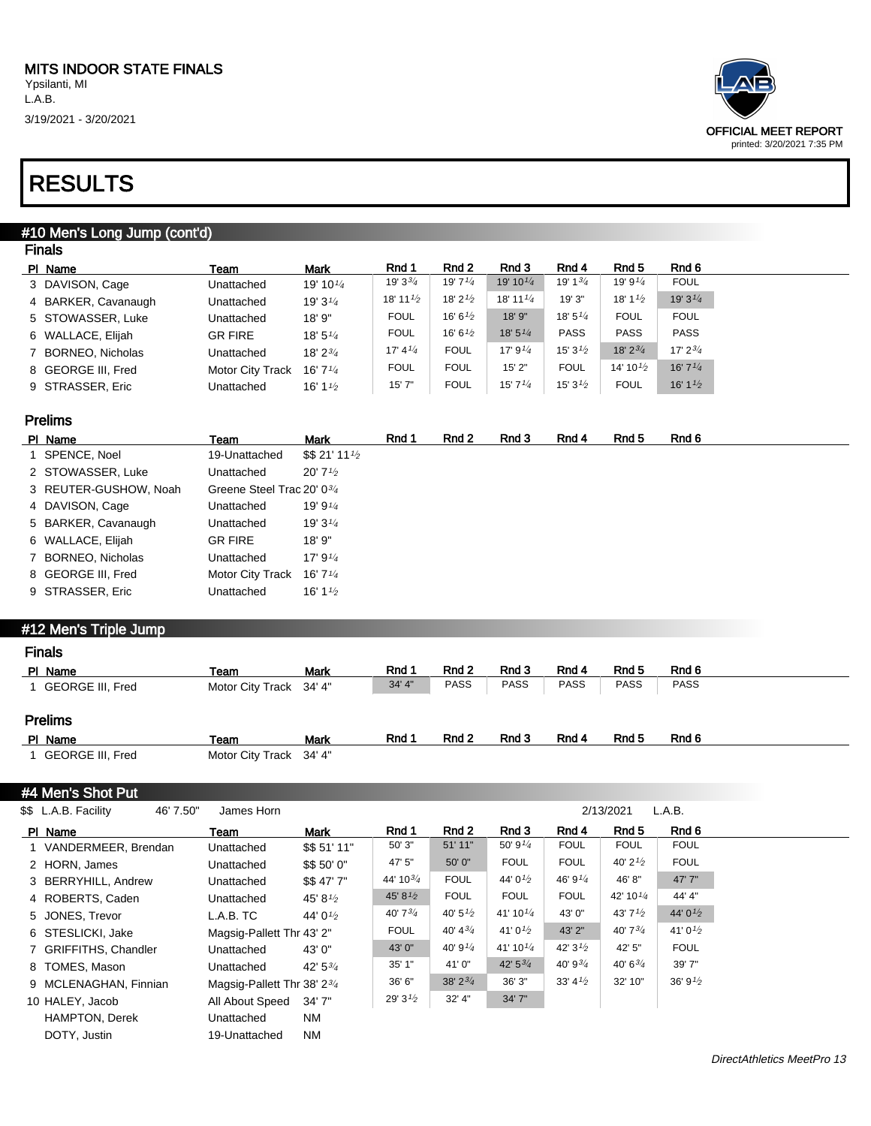3/19/2021 - 3/20/2021



### RESULTS

#### #10 Men's Long Jump (cont'd) Finals

| г на з              |                         |                                   |                                   |                     |                                   |                     |                      |                     |
|---------------------|-------------------------|-----------------------------------|-----------------------------------|---------------------|-----------------------------------|---------------------|----------------------|---------------------|
| PI Name             | Team                    | <b>Mark</b>                       | Rnd 1                             | Rnd 2               | Rnd 3                             | Rnd 4               | Rnd 5                | Rnd 6               |
| 3 DAVISON, Cage     | Unattached              | 19' 10 $\frac{1}{4}$              | $19'3^{3/4}$                      | 19' $7^{1/4}$       | 19' 10 $\frac{1}{4}$              | 19' 1 $\frac{3}{4}$ | 19' 9 $\frac{1}{4}$  | <b>FOUL</b>         |
| 4 BARKER, Cavanaugh | Unattached              | 19' 3 $\frac{1}{4}$               | 18' 11 $\frac{1}{2}$              | 18' $2^{1/2}$       | 18' 11 $\frac{1}{4}$              | 19' 3"              | 18' 1 $\frac{1}{2}$  | $19'3^{1/4}$        |
| 5 STOWASSER, Luke   | Unattached              | 18' 9"                            | <b>FOUL</b>                       | 16' 6 $\frac{1}{2}$ | 18' 9"                            | 18'5''/4            | <b>FOUL</b>          | <b>FOUL</b>         |
| 6 WALLACE, Elijah   | <b>GR FIRE</b>          | 18' $5\frac{1}{4}$                | <b>FOUL</b>                       | 16' 6 $\frac{1}{2}$ | 18' 5 <sup>1</sup> / <sub>4</sub> | <b>PASS</b>         | <b>PASS</b>          | <b>PASS</b>         |
| 7 BORNEO, Nicholas  | Unattached              | 18' 2 <sup>3</sup> / <sub>4</sub> | 17' 4 <sup>1</sup> / <sub>4</sub> | <b>FOUL</b>         | 17' $9^{1/4}$                     | $15'3\frac{1}{2}$   | $18'2^{3/4}$         | $17' 2^{3/4}$       |
| 8 GEORGE III, Fred  | <b>Motor City Track</b> | 16' 7 $\frac{1}{4}$               | <b>FOUL</b>                       | <b>FOUL</b>         | 15'2"                             | <b>FOUL</b>         | 14' 10 $\frac{1}{2}$ | 16'7''/4            |
| 9 STRASSER, Eric    | Unattached              | 16' 1 $\frac{1}{2}$               | 15'7''                            | <b>FOUL</b>         | 15'7''                            | 15' 3 $\frac{1}{2}$ | <b>FOUL</b>          | 16' 1 $\frac{1}{2}$ |
|                     |                         |                                   |                                   |                     |                                   |                     |                      |                     |

#### Prelims

| PI Name               | Team                                   | <b>Mark</b>                         | Rnd 1 | Rnd 2 | Rnd 3 | Rnd 4 | Rnd 5 | Rnd 6 |
|-----------------------|----------------------------------------|-------------------------------------|-------|-------|-------|-------|-------|-------|
| 1 SPENCE, Noel        | 19-Unattached                          | \$521'111'2                         |       |       |       |       |       |       |
| 2 STOWASSER, Luke     | Unattached                             | $20'$ 7 <sup>1</sup> / <sub>2</sub> |       |       |       |       |       |       |
| 3 REUTER-GUSHOW, Noah | Greene Steel Trac 20' 0 <sup>3/4</sup> |                                     |       |       |       |       |       |       |
| 4 DAVISON, Cage       | Unattached                             | 19' 9 $\frac{1}{4}$                 |       |       |       |       |       |       |
| 5 BARKER, Cavanaugh   | Unattached                             | 19' 3 $\frac{1}{4}$                 |       |       |       |       |       |       |
| 6 WALLACE, Elijah     | <b>GR FIRE</b>                         | 18'9''                              |       |       |       |       |       |       |
| 7 BORNEO, Nicholas    | Unattached                             | 17' $9^{1/4}$                       |       |       |       |       |       |       |
| 8 GEORGE III, Fred    | Motor City Track                       | 16' 7 $\frac{1}{4}$                 |       |       |       |       |       |       |
| 9 STRASSER, Eric      | Unattached                             | 16' 1 $\frac{1}{2}$                 |       |       |       |       |       |       |
|                       |                                        |                                     |       |       |       |       |       |       |

#### #12 Men's Triple Jump

| <b>Finals</b>    |                         |             |        |             |             |             |             |             |  |
|------------------|-------------------------|-------------|--------|-------------|-------------|-------------|-------------|-------------|--|
| PI Name          | Team                    | <b>Mark</b> | Rnd 1  | Rnd 2       | Rnd 3       | Rnd 4       | Rnd 5       | Rnd 6       |  |
| GEORGE III, Fred | Motor City Track 34' 4" |             | 34' 4" | <b>PASS</b> | <b>PASS</b> | <b>PASS</b> | <b>PASS</b> | <b>PASS</b> |  |
| <b>Prelims</b>   |                         |             |        |             |             |             |             |             |  |
| PI Name          | Team                    | <b>Mark</b> | Rnd 1  | Rnd 2       | Rnd 3       | Rnd 4       | Rnd 5       | Rnd 6       |  |
| GEORGE III, Fred | Motor City Track 34' 4" |             |        |             |             |             |             |             |  |

#### #4 Men's Shot Put

| \$\$ L.A.B. Facility<br>46' 7.50" | James Horn                              |                     |                     |                     |                      |                     | 2/13/2021            | L.A.B.              |
|-----------------------------------|-----------------------------------------|---------------------|---------------------|---------------------|----------------------|---------------------|----------------------|---------------------|
| PI Name                           | Team                                    | <b>Mark</b>         | Rnd 1               | Rnd 2               | Rnd 3                | Rnd 4               | Rnd 5                | Rnd 6               |
| 1 VANDERMEER, Brendan             | Unattached                              | \$\$51'11"          | 50' 3"              | 51' 11"             | 50' 9 $\frac{1}{4}$  | <b>FOUL</b>         | <b>FOUL</b>          | <b>FOUL</b>         |
| 2 HORN, James                     | Unattached                              | \$\$ 50' 0"         | 47' 5"              | 50' 0"              | <b>FOUL</b>          | <b>FOUL</b>         | 40' $2^{1/2}$        | <b>FOUL</b>         |
| 3 BERRYHILL, Andrew               | Unattached                              | \$\$47'7"           | 44' $10^{3/4}$      | <b>FOUL</b>         | 44' 0 $\frac{1}{2}$  | 46' 9 $\frac{1}{4}$ | 46'8"                | 47' 7"              |
| 4 ROBERTS, Caden                  | Unattached                              | 45' 8 $\frac{1}{2}$ | 45' 8 $\frac{1}{2}$ | <b>FOUL</b>         | <b>FOUL</b>          | <b>FOUL</b>         | 42' 10 $\frac{1}{4}$ | 44' 4"              |
| 5 JONES, Trevor                   | L.A.B. TC                               | 44' 01/2            | 40' 7 $\frac{3}{4}$ | 40' $5\frac{1}{2}$  | 41' 10 $\frac{1}{4}$ | 43' 0"              | 43' $7\frac{1}{2}$   | 44' $0^{1/2}$       |
| 6 STESLICKI, Jake                 | Magsig-Pallett Thr 43' 2"               |                     | <b>FOUL</b>         | 40' $4^{3/4}$       | 41' 0 $\frac{1}{2}$  | 43' 2"              | 40' $7^{3/4}$        | 41' 0 $\frac{1}{2}$ |
| 7 GRIFFITHS, Chandler             | Unattached                              | 43' 0"              | 43' 0"              | 40' 9 $\frac{1}{4}$ | 41' 10 $\frac{1}{4}$ | 42' $3^{1/2}$       | 42' 5"               | <b>FOUL</b>         |
| 8 TOMES, Mason                    | Unattached                              | $42' 5^{3/4}$       | 35'1"               | 41'0"               | 42' $5^{3/4}$        | 40' 9 $\frac{3}{4}$ | $40'6^{3/4}$         | 39'7"               |
| 9 MCLENAGHAN, Finnian             | Magsig-Pallett Thr 38' 2 <sup>3/4</sup> |                     | 36' 6"              | $38'2^{3/4}$        | 36' 3"               | 33' $4\frac{1}{2}$  | 32' 10"              | 36' 9 $\frac{1}{2}$ |
| 10 HALEY, Jacob                   | All About Speed                         | 34' 7"              | 29' $3^{1/2}$       | 32' 4"              | 34' 7"               |                     |                      |                     |
| <b>HAMPTON, Derek</b>             | Unattached                              | NM                  |                     |                     |                      |                     |                      |                     |
| DOTY, Justin                      | 19-Unattached                           | NM                  |                     |                     |                      |                     |                      |                     |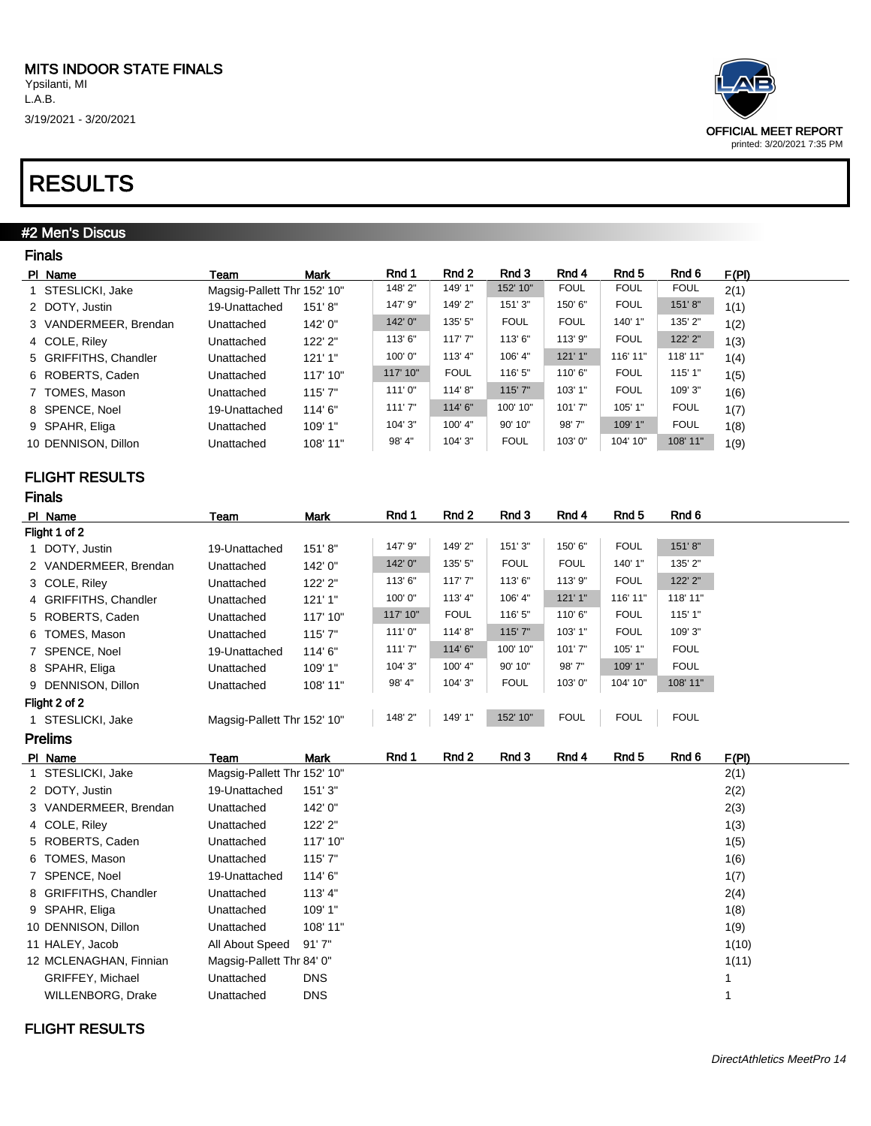3/19/2021 - 3/20/2021

### RESULTS

#### #2 Men's Discus

| <b>Finals</b>         |                             |             |          |             |             |             |             |             |       |
|-----------------------|-----------------------------|-------------|----------|-------------|-------------|-------------|-------------|-------------|-------|
| PI Name               | Team                        | <b>Mark</b> | Rnd 1    | Rnd 2       | Rnd 3       | Rnd 4       | Rnd 5       | Rnd 6       | F(PI) |
| 1 STESLICKI, Jake     | Magsig-Pallett Thr 152' 10" |             | 148'2"   | 149' 1"     | 152' 10"    | <b>FOUL</b> | <b>FOUL</b> | <b>FOUL</b> | 2(1)  |
| 2 DOTY, Justin        | 19-Unattached               | 151'8"      | 147' 9"  | 149'2"      | 151'3"      | 150' 6"     | <b>FOUL</b> | 151'8"      | 1(1)  |
| 3 VANDERMEER, Brendan | Unattached                  | 142' 0"     | 142'0"   | 135' 5"     | <b>FOUL</b> | <b>FOUL</b> | 140' 1"     | 135' 2"     | 1(2)  |
| 4 COLE, Riley         | Unattached                  | 122' 2"     | 113'6"   | 117'7''     | 113'6"      | 113' 9"     | <b>FOUL</b> | 122' 2"     | 1(3)  |
| 5 GRIFFITHS, Chandler | Unattached                  | 121'1"      | 100'0"   | 113' 4"     | 106' 4"     | 121'1"      | 116' 11"    | 118' 11"    | 1(4)  |
| 6 ROBERTS, Caden      | Unattached                  | 117' 10"    | 117' 10" | <b>FOUL</b> | 116' 5"     | 110'6"      | <b>FOUL</b> | 115' 1"     | 1(5)  |
| 7 TOMES, Mason        | Unattached                  | 115'7"      | 111'0"   | 114'8"      | 115' 7"     | 103' 1"     | <b>FOUL</b> | 109'3"      | 1(6)  |
| 8 SPENCE, Noel        | 19-Unattached               | 114'6"      | 111'7"   | 114'6"      | 100' 10"    | 101'7"      | 105' 1"     | <b>FOUL</b> | 1(7)  |
| 9 SPAHR, Eliga        | Unattached                  | 109'1"      | 104' 3"  | 100' 4"     | 90' 10"     | 98'7"       | 109' 1"     | <b>FOUL</b> | 1(8)  |
| 10 DENNISON, Dillon   | Unattached                  | 108' 11"    | 98' 4"   | 104' 3"     | <b>FOUL</b> | 103'0"      | 104' 10"    | 108' 11"    | 1(9)  |

#### FLIGHT RESULTS

Finals

| .                     |                             |          |          |             |             |             |             |             |  |  |
|-----------------------|-----------------------------|----------|----------|-------------|-------------|-------------|-------------|-------------|--|--|
| PI Name               | Team                        | Mark     | Rnd 1    | Rnd 2       | Rnd 3       | Rnd 4       | Rnd 5       | Rnd 6       |  |  |
| Flight 1 of 2         |                             |          |          |             |             |             |             |             |  |  |
| 1 DOTY, Justin        | 19-Unattached               | 151'8"   | 147' 9"  | 149' 2"     | 151'3"      | 150' 6"     | <b>FOUL</b> | 151'8"      |  |  |
| 2 VANDERMEER, Brendan | Unattached                  | 142' 0"  | 142' 0"  | 135' 5"     | <b>FOUL</b> | <b>FOUL</b> | 140' 1"     | 135' 2"     |  |  |
| 3 COLE, Riley         | Unattached                  | 122' 2"  | 113'6"   | 117'7''     | 113'6"      | 113' 9"     | <b>FOUL</b> | 122' 2"     |  |  |
| 4 GRIFFITHS, Chandler | Unattached                  | 121'1"   | 100'0"   | 113' 4"     | 106' 4"     | 121'1''     | 116' 11"    | 118' 11"    |  |  |
| 5 ROBERTS, Caden      | Unattached                  | 117' 10" | 117' 10" | <b>FOUL</b> | 116' 5"     | 110'6"      | <b>FOUL</b> | 115' 1"     |  |  |
| 6 TOMES, Mason        | Unattached                  | 115'7"   | 111'0''  | 114' 8"     | 115'7"      | 103' 1"     | <b>FOUL</b> | 109' 3"     |  |  |
| 7 SPENCE, Noel        | 19-Unattached               | 114'6"   | 111'7"   | 114'6"      | 100' 10"    | 101'7"      | 105' 1"     | <b>FOUL</b> |  |  |
| 8 SPAHR, Eliga        | Unattached                  | 109' 1"  | 104' 3"  | 100' 4"     | 90' 10"     | 98'7"       | 109' 1"     | <b>FOUL</b> |  |  |
| 9 DENNISON, Dillon    | Unattached                  | 108' 11" | 98' 4"   | 104' 3"     | <b>FOUL</b> | 103'0"      | 104' 10"    | 108' 11"    |  |  |
| Flight 2 of 2         |                             |          |          |             |             |             |             |             |  |  |
| 1 STESLICKI, Jake     | Magsig-Pallett Thr 152' 10" |          | 148'2"   | 149' 1"     | 152' 10"    | <b>FOUL</b> | <b>FOUL</b> | <b>FOUL</b> |  |  |

| <b>Prelims</b>         |                             |             |       |       |       |       |       |       |       |
|------------------------|-----------------------------|-------------|-------|-------|-------|-------|-------|-------|-------|
| PI Name                | Team                        | <b>Mark</b> | Rnd 1 | Rnd 2 | Rnd 3 | Rnd 4 | Rnd 5 | Rnd 6 | F(PI) |
| 1 STESLICKI, Jake      | Magsig-Pallett Thr 152' 10" |             |       |       |       |       |       |       | 2(1)  |
| 2 DOTY, Justin         | 19-Unattached               | 151'3"      |       |       |       |       |       |       | 2(2)  |
| 3 VANDERMEER, Brendan  | Unattached                  | 142' 0"     |       |       |       |       |       |       | 2(3)  |
| 4 COLE, Riley          | Unattached                  | 122' 2"     |       |       |       |       |       |       | 1(3)  |
| 5 ROBERTS, Caden       | Unattached                  | 117' 10"    |       |       |       |       |       |       | 1(5)  |
| 6 TOMES, Mason         | Unattached                  | 115'7"      |       |       |       |       |       |       | 1(6)  |
| 7 SPENCE, Noel         | 19-Unattached               | 114'6"      |       |       |       |       |       |       | 1(7)  |
| 8 GRIFFITHS, Chandler  | Unattached                  | 113'4"      |       |       |       |       |       |       | 2(4)  |
| 9 SPAHR, Eliga         | Unattached                  | 109' 1"     |       |       |       |       |       |       | 1(8)  |
| 10 DENNISON, Dillon    | Unattached                  | 108' 11"    |       |       |       |       |       |       | 1(9)  |
| 11 HALEY, Jacob        | All About Speed             | 91'7''      |       |       |       |       |       |       | 1(10) |
| 12 MCLENAGHAN, Finnian | Magsig-Pallett Thr 84' 0"   |             |       |       |       |       |       |       | 1(11) |
| GRIFFEY, Michael       | Unattached                  | <b>DNS</b>  |       |       |       |       |       |       |       |
| WILLENBORG, Drake      | Unattached                  | <b>DNS</b>  |       |       |       |       |       |       |       |



 $\overline{\phantom{0}}$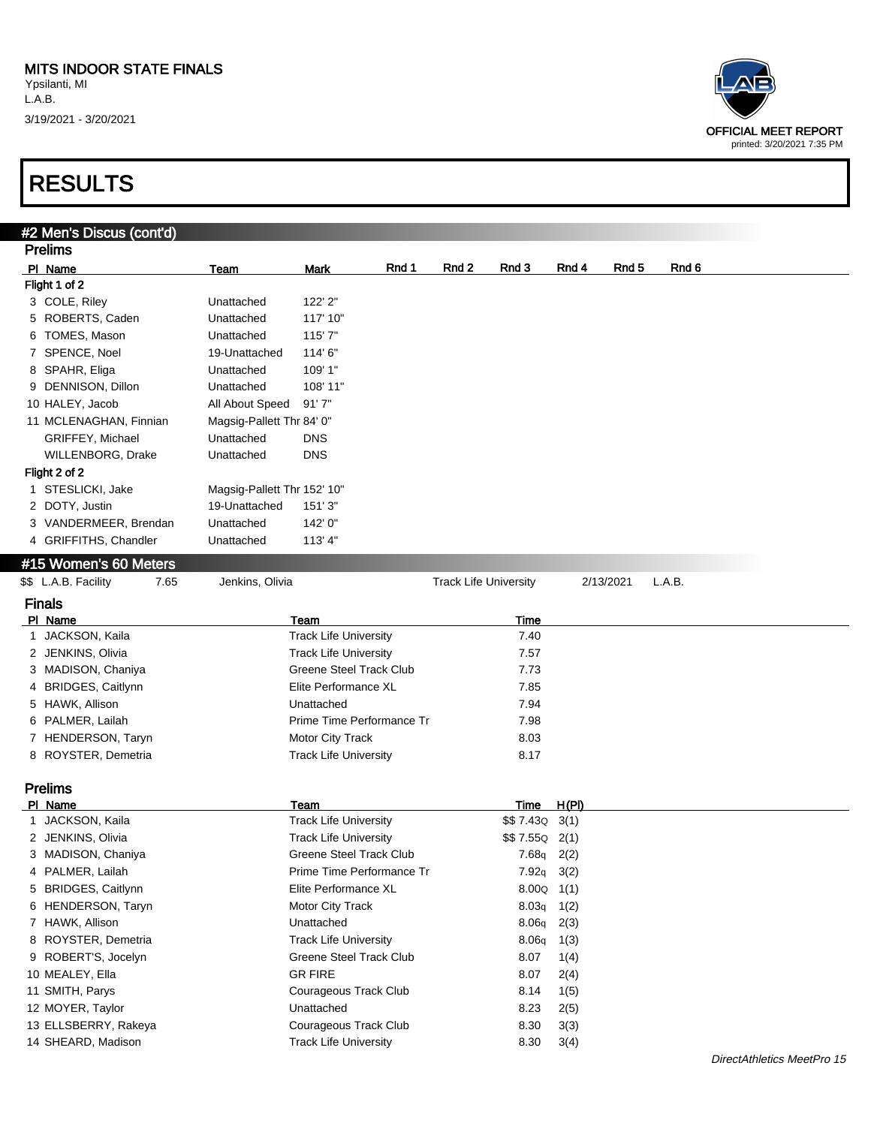| OFFICIAL MEET REPORT<br>printed: 3/20/2021 7:35 PM |
|----------------------------------------------------|

| #2 Men's Discus (cont'd)     |                             |                                |                              |                |                    |                  |        |  |
|------------------------------|-----------------------------|--------------------------------|------------------------------|----------------|--------------------|------------------|--------|--|
| <b>Prelims</b>               |                             |                                |                              |                |                    |                  |        |  |
| PI Name                      | Team                        | Rnd 1<br>Mark                  | Rnd 3<br>Rnd 2               |                | Rnd 4              | Rnd <sub>5</sub> | Rnd 6  |  |
| Flight 1 of 2                |                             |                                |                              |                |                    |                  |        |  |
| 3 COLE, Riley                | Unattached                  | 122' 2"                        |                              |                |                    |                  |        |  |
| 5 ROBERTS, Caden             | Unattached                  | 117' 10"                       |                              |                |                    |                  |        |  |
| 6 TOMES, Mason               | Unattached                  | 115'7"                         |                              |                |                    |                  |        |  |
| 7 SPENCE, Noel               | 19-Unattached               | 114' 6"                        |                              |                |                    |                  |        |  |
| 8 SPAHR, Eliga               | Unattached                  | 109' 1"                        |                              |                |                    |                  |        |  |
| 9 DENNISON, Dillon           | Unattached                  | 108' 11"                       |                              |                |                    |                  |        |  |
| 10 HALEY, Jacob              | All About Speed             | 91'7''                         |                              |                |                    |                  |        |  |
| 11 MCLENAGHAN, Finnian       | Magsig-Pallett Thr 84' 0"   |                                |                              |                |                    |                  |        |  |
| GRIFFEY, Michael             | Unattached                  | <b>DNS</b>                     |                              |                |                    |                  |        |  |
| WILLENBORG, Drake            | Unattached                  | <b>DNS</b>                     |                              |                |                    |                  |        |  |
| Flight 2 of 2                |                             |                                |                              |                |                    |                  |        |  |
| 1 STESLICKI, Jake            | Magsig-Pallett Thr 152' 10" |                                |                              |                |                    |                  |        |  |
| 2 DOTY, Justin               | 19-Unattached               | 151'3''                        |                              |                |                    |                  |        |  |
| 3 VANDERMEER, Brendan        | Unattached                  | 142' 0"                        |                              |                |                    |                  |        |  |
| 4 GRIFFITHS, Chandler        | Unattached                  | 113'4"                         |                              |                |                    |                  |        |  |
|                              |                             |                                |                              |                |                    |                  |        |  |
| #15 Women's 60 Meters        |                             |                                |                              |                |                    |                  |        |  |
| \$\$ L.A.B. Facility<br>7.65 | Jenkins, Olivia             |                                | <b>Track Life University</b> |                |                    | 2/13/2021        | L.A.B. |  |
| <b>Finals</b>                |                             |                                |                              |                |                    |                  |        |  |
| PI Name                      |                             | Team                           |                              | Time           |                    |                  |        |  |
| 1 JACKSON, Kaila             |                             | <b>Track Life University</b>   |                              | 7.40           |                    |                  |        |  |
| 2 JENKINS, Olivia            |                             | <b>Track Life University</b>   |                              | 7.57           |                    |                  |        |  |
| 3 MADISON, Chaniya           |                             | <b>Greene Steel Track Club</b> |                              | 7.73           |                    |                  |        |  |
| 4 BRIDGES, Caitlynn          |                             | Elite Performance XL           |                              | 7.85           |                    |                  |        |  |
| 5 HAWK, Allison              |                             | Unattached                     |                              | 7.94           |                    |                  |        |  |
| 6 PALMER, Lailah             |                             | Prime Time Performance Tr      |                              | 7.98           |                    |                  |        |  |
| 7 HENDERSON, Taryn           |                             | Motor City Track               |                              | 8.03           |                    |                  |        |  |
| 8 ROYSTER, Demetria          |                             | <b>Track Life University</b>   |                              | 8.17           |                    |                  |        |  |
| <b>Prelims</b>               |                             |                                |                              |                |                    |                  |        |  |
| PI Name                      |                             | Team                           |                              | Time           | H(PI)              |                  |        |  |
| 1 JACKSON, Kaila             |                             | <b>Track Life University</b>   |                              |                | $$57.43Q$ 3(1)     |                  |        |  |
| 2 JENKINS, Olivia            |                             | <b>Track Life University</b>   |                              | $$57.55Q$ 2(1) |                    |                  |        |  |
| 3 MADISON, Chaniya           |                             | Greene Steel Track Club        |                              |                | $7.68q$ 2(2)       |                  |        |  |
| 4 PALMER, Lailah             |                             | Prime Time Performance Tr      |                              |                | $7.92q$ 3(2)       |                  |        |  |
| 5 BRIDGES, Caitlynn          |                             | Elite Performance XL           |                              |                | $8.00Q \quad 1(1)$ |                  |        |  |
| 6 HENDERSON, Taryn           |                             | Motor City Track               |                              | 8.03q          | 1(2)               |                  |        |  |
| 7 HAWK, Allison              |                             | Unattached                     |                              |                | $8.06q$ 2(3)       |                  |        |  |
| 8 ROYSTER, Demetria          |                             | <b>Track Life University</b>   |                              | 8.06q          | 1(3)               |                  |        |  |
| 9 ROBERT'S, Jocelyn          |                             | Greene Steel Track Club        |                              | 8.07           | 1(4)               |                  |        |  |
| 10 MEALEY, Ella              |                             | <b>GR FIRE</b>                 |                              | 8.07           | 2(4)               |                  |        |  |
| 11 SMITH, Parys              |                             | Courageous Track Club          |                              | 8.14           | 1(5)               |                  |        |  |
| 12 MOYER, Taylor             |                             | Unattached                     |                              | 8.23           | 2(5)               |                  |        |  |
| 13 ELLSBERRY, Rakeya         |                             | Courageous Track Club          |                              | 8.30           | 3(3)               |                  |        |  |
| 14 SHEARD, Madison           |                             | <b>Track Life University</b>   |                              | 8.30           | 3(4)               |                  |        |  |
|                              |                             |                                |                              |                |                    |                  |        |  |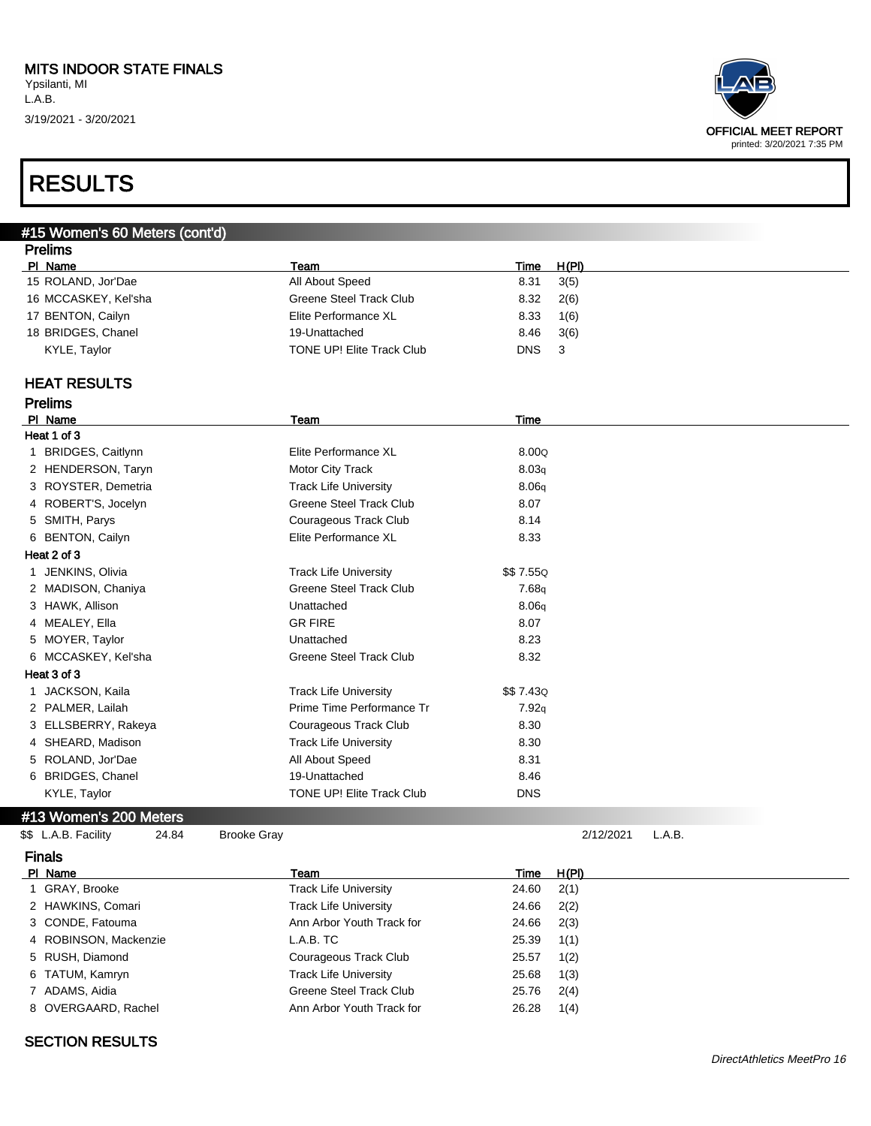

## RESULTS

| #15 Women's 60 Meters (cont'd) |                                |             |           |        |  |
|--------------------------------|--------------------------------|-------------|-----------|--------|--|
| <b>Prelims</b>                 |                                |             |           |        |  |
| PI Name                        | Team                           | <b>Time</b> | H(PI)     |        |  |
| 15 ROLAND, Jor'Dae             | All About Speed                | 8.31        | 3(5)      |        |  |
| 16 MCCASKEY, Kel'sha           | <b>Greene Steel Track Club</b> | 8.32        | 2(6)      |        |  |
| 17 BENTON, Cailyn              | Elite Performance XL           | 8.33        | 1(6)      |        |  |
| 18 BRIDGES, Chanel             | 19-Unattached                  | 8.46        | 3(6)      |        |  |
| KYLE, Taylor                   | TONE UP! Elite Track Club      | <b>DNS</b>  | 3         |        |  |
| <b>HEAT RESULTS</b>            |                                |             |           |        |  |
| <b>Prelims</b>                 |                                |             |           |        |  |
| PI Name                        | Team                           | Time        |           |        |  |
| Heat 1 of 3                    |                                |             |           |        |  |
| 1 BRIDGES, Caitlynn            | Elite Performance XL           | 8.00Q       |           |        |  |
| 2 HENDERSON, Taryn             | Motor City Track               | 8.03q       |           |        |  |
| 3 ROYSTER, Demetria            | <b>Track Life University</b>   | 8.06q       |           |        |  |
| 4 ROBERT'S, Jocelyn            | <b>Greene Steel Track Club</b> | 8.07        |           |        |  |
| 5 SMITH, Parys                 | Courageous Track Club          | 8.14        |           |        |  |
| 6 BENTON, Cailyn               | Elite Performance XL           | 8.33        |           |        |  |
| Heat 2 of 3                    |                                |             |           |        |  |
| 1 JENKINS, Olivia              | <b>Track Life University</b>   | \$\$7.55Q   |           |        |  |
| 2 MADISON, Chaniya             | <b>Greene Steel Track Club</b> | 7.68q       |           |        |  |
| 3 HAWK, Allison                | Unattached                     | 8.06q       |           |        |  |
| 4 MEALEY, Ella                 | <b>GR FIRE</b>                 | 8.07        |           |        |  |
| 5 MOYER, Taylor                | Unattached                     | 8.23        |           |        |  |
| 6 MCCASKEY, Kel'sha            | <b>Greene Steel Track Club</b> | 8.32        |           |        |  |
| Heat 3 of 3                    |                                |             |           |        |  |
| JACKSON, Kaila<br>1            | <b>Track Life University</b>   | \$\$7.43Q   |           |        |  |
| 2 PALMER, Lailah               | Prime Time Performance Tr      | 7.92q       |           |        |  |
| 3 ELLSBERRY, Rakeya            | Courageous Track Club          | 8.30        |           |        |  |
| 4 SHEARD, Madison              | <b>Track Life University</b>   | 8.30        |           |        |  |
| 5 ROLAND, Jor'Dae              | All About Speed                | 8.31        |           |        |  |
| 6 BRIDGES, Chanel              | 19-Unattached                  | 8.46        |           |        |  |
| KYLE, Taylor                   | TONE UP! Elite Track Club      | <b>DNS</b>  |           |        |  |
| #13 Women's 200 Meters         |                                |             |           |        |  |
| \$\$ L.A.B. Facility<br>24.84  | <b>Brooke Gray</b>             |             | 2/12/2021 | L.A.B. |  |
| <b>Finals</b>                  |                                |             |           |        |  |
| PI Name                        | Team                           | <b>Time</b> | H(PI)     |        |  |
| GRAY, Brooke<br>1              | <b>Track Life University</b>   | 24.60       | 2(1)      |        |  |
| 2 HAWKINS, Comari              | <b>Track Life University</b>   | 24.66       | 2(2)      |        |  |
| 3 CONDE, Fatouma               | Ann Arbor Youth Track for      | 24.66       | 2(3)      |        |  |
| ROBINSON, Mackenzie<br>4       | L.A.B. TC                      | 25.39       | 1(1)      |        |  |
| RUSH, Diamond<br>5.            | Courageous Track Club          | 25.57       | 1(2)      |        |  |
| TATUM, Kamryn<br>6             | <b>Track Life University</b>   | 25.68       | 1(3)      |        |  |
| 7 ADAMS, Aidia                 | <b>Greene Steel Track Club</b> | 25.76       | 2(4)      |        |  |
| 8 OVERGAARD, Rachel            | Ann Arbor Youth Track for      | 26.28       | 1(4)      |        |  |

#### SECTION RESULTS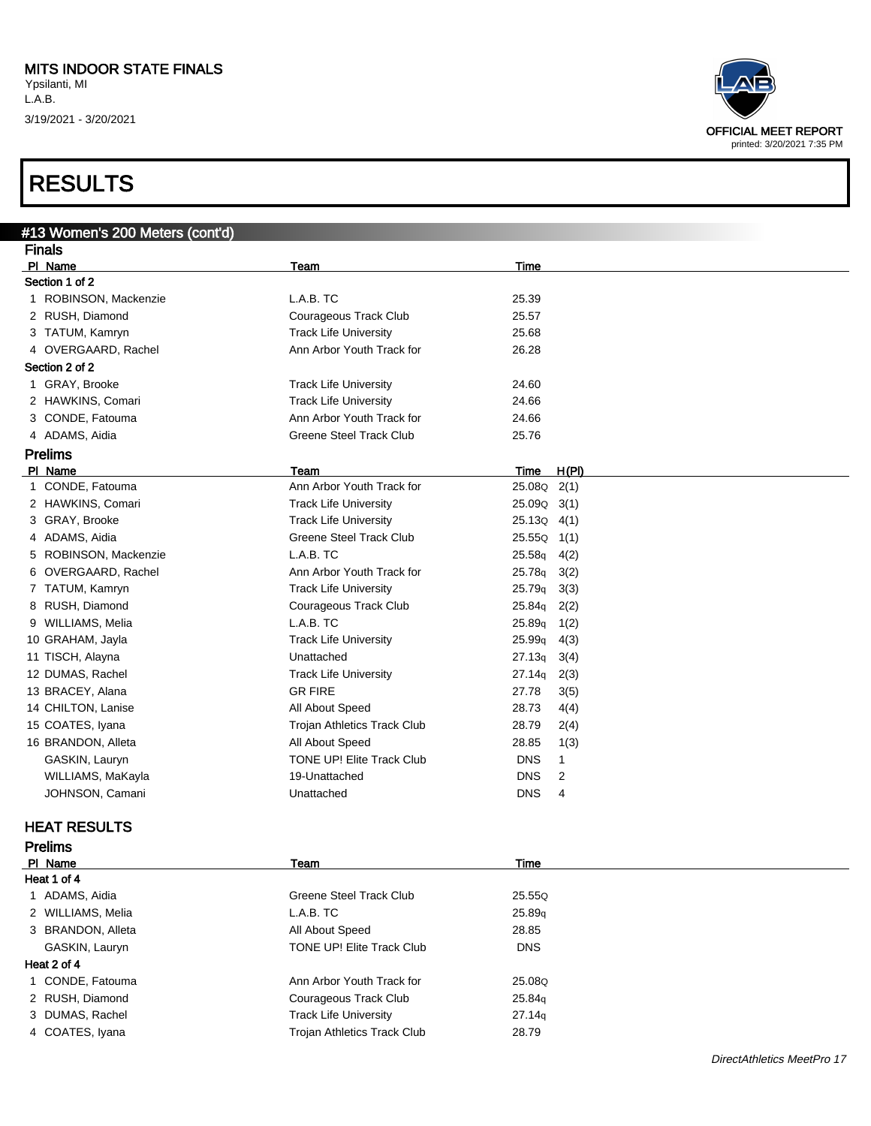### RESULTS



| #13 Women's 200 Meters (cont'd) |                                    |                     |                |
|---------------------------------|------------------------------------|---------------------|----------------|
| <b>Finals</b>                   |                                    |                     |                |
| PI Name                         | <b>Team</b>                        | Time                |                |
| Section 1 of 2                  |                                    |                     |                |
| 1 ROBINSON, Mackenzie           | L.A.B. TC                          | 25.39               |                |
| 2 RUSH, Diamond                 | Courageous Track Club              | 25.57               |                |
| 3 TATUM, Kamryn                 | <b>Track Life University</b>       | 25.68               |                |
| 4 OVERGAARD, Rachel             | Ann Arbor Youth Track for          | 26.28               |                |
| Section 2 of 2                  |                                    |                     |                |
| 1 GRAY, Brooke                  | <b>Track Life University</b>       | 24.60               |                |
| 2 HAWKINS, Comari               | <b>Track Life University</b>       | 24.66               |                |
| 3 CONDE, Fatouma                | Ann Arbor Youth Track for          | 24.66               |                |
| 4 ADAMS, Aidia                  | <b>Greene Steel Track Club</b>     | 25.76               |                |
| <b>Prelims</b>                  |                                    |                     |                |
| PI Name                         | Team                               | <b>Time</b>         | H(PI)          |
| 1 CONDE, Fatouma                | Ann Arbor Youth Track for          | 25.08Q 2(1)         |                |
| 2 HAWKINS, Comari               | <b>Track Life University</b>       | 25.09Q              | 3(1)           |
| 3 GRAY, Brooke                  | <b>Track Life University</b>       | $25.13Q \quad 4(1)$ |                |
| 4 ADAMS, Aidia                  | <b>Greene Steel Track Club</b>     | 25.55Q              | 1(1)           |
| 5 ROBINSON, Mackenzie           | L.A.B. TC                          | 25.58q              | 4(2)           |
| 6 OVERGAARD, Rachel             | Ann Arbor Youth Track for          | 25.78q              | 3(2)           |
| 7 TATUM, Kamryn                 | <b>Track Life University</b>       | 25.79q              | 3(3)           |
| 8 RUSH, Diamond                 | Courageous Track Club              | 25.84q              | 2(2)           |
| 9 WILLIAMS, Melia               | L.A.B. TC                          | 25.89q              | 1(2)           |
| 10 GRAHAM, Jayla                | <b>Track Life University</b>       | 25.99q              | 4(3)           |
| 11 TISCH, Alayna                | Unattached                         | 27.13q              | 3(4)           |
| 12 DUMAS, Rachel                | <b>Track Life University</b>       | 27.14q              | 2(3)           |
| 13 BRACEY, Alana                | <b>GR FIRE</b>                     | 27.78               | 3(5)           |
| 14 CHILTON, Lanise              | All About Speed                    | 28.73               | 4(4)           |
| 15 COATES, Iyana                | <b>Trojan Athletics Track Club</b> | 28.79               | 2(4)           |
| 16 BRANDON, Alleta              | All About Speed                    | 28.85               | 1(3)           |
| GASKIN, Lauryn                  | TONE UP! Elite Track Club          | DNS                 | $\mathbf{1}$   |
| WILLIAMS, MaKayla               | 19-Unattached                      | <b>DNS</b>          | $\overline{c}$ |
| JOHNSON, Camani                 | Unattached                         | <b>DNS</b>          | $\overline{4}$ |
| <b>HEAT RESULTS</b>             |                                    |                     |                |
| <b>Prelims</b>                  |                                    |                     |                |
| PI Name                         | Team                               | Time                |                |
| Heat 1 of 4                     |                                    |                     |                |
| 1 ADAMS, Aidia                  | <b>Greene Steel Track Club</b>     | 25.55Q              |                |
| 2 WILLIAMS, Melia               | L.A.B. TC                          | 25.89q              |                |
| 3 BRANDON, Alleta               | All About Speed                    | 28.85               |                |
| GASKIN, Lauryn                  | TONE UP! Elite Track Club          | <b>DNS</b>          |                |

#### Heat 2 of 4

1 CONDE, Fatouma **Ann Arbor Youth Track for** 25.08Q

2 RUSH, Diamond Courageous Track Club 25.84q

3 DUMAS, Rachel **Track Life University** 27.14q

4 COATES, Iyana **Trojan Athletics Track Club** 28.79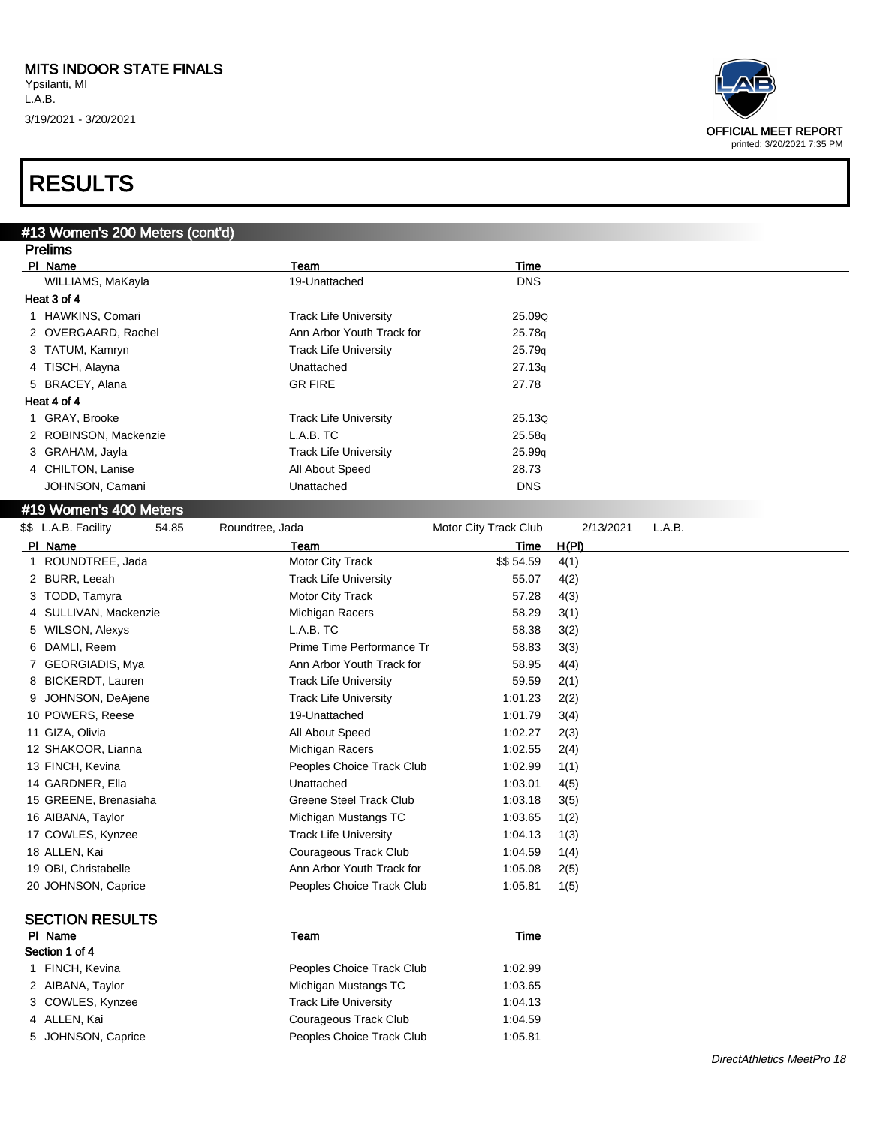

| #13 Women's 200 Meters (cont'd) |                              |                       |              |        |  |
|---------------------------------|------------------------------|-----------------------|--------------|--------|--|
| <b>Prelims</b>                  |                              |                       |              |        |  |
| PI Name                         | Team                         | Time                  |              |        |  |
| WILLIAMS, MaKayla               | 19-Unattached                | <b>DNS</b>            |              |        |  |
| Heat 3 of 4                     |                              |                       |              |        |  |
| 1 HAWKINS, Comari               | <b>Track Life University</b> | 25.09Q                |              |        |  |
| 2 OVERGAARD, Rachel             | Ann Arbor Youth Track for    | 25.78g                |              |        |  |
| 3 TATUM, Kamryn                 | <b>Track Life University</b> | 25.79q                |              |        |  |
| 4 TISCH, Alayna                 | Unattached                   | 27.13q                |              |        |  |
| BRACEY, Alana<br>5              | <b>GR FIRE</b>               | 27.78                 |              |        |  |
| Heat 4 of 4                     |                              |                       |              |        |  |
| 1 GRAY, Brooke                  | <b>Track Life University</b> | 25.13Q                |              |        |  |
| 2 ROBINSON, Mackenzie           | L.A.B. TC                    | 25.58q                |              |        |  |
| 3 GRAHAM, Jayla                 | <b>Track Life University</b> | 25.99q                |              |        |  |
| 4 CHILTON, Lanise               | All About Speed              | 28.73                 |              |        |  |
| JOHNSON, Camani                 | Unattached                   | <b>DNS</b>            |              |        |  |
|                                 |                              |                       |              |        |  |
| #19 Women's 400 Meters          |                              |                       |              |        |  |
| \$\$ L.A.B. Facility<br>54.85   | Roundtree, Jada              | Motor City Track Club | 2/13/2021    | L.A.B. |  |
| PI Name                         | Team                         | Time                  | <u>H(PI)</u> |        |  |
| 1 ROUNDTREE, Jada               | Motor City Track             | \$\$54.59             | 4(1)         |        |  |
| 2 BURR, Leeah                   | <b>Track Life University</b> | 55.07                 | 4(2)         |        |  |
| 3 TODD, Tamyra                  | Motor City Track             | 57.28                 | 4(3)         |        |  |
| SULLIVAN, Mackenzie<br>4        | Michigan Racers              | 58.29                 | 3(1)         |        |  |
| 5 WILSON, Alexys                | L.A.B. TC                    | 58.38                 | 3(2)         |        |  |
| 6 DAMLI, Reem                   | Prime Time Performance Tr    | 58.83                 | 3(3)         |        |  |
| 7 GEORGIADIS, Mya               | Ann Arbor Youth Track for    | 58.95                 | 4(4)         |        |  |
| 8 BICKERDT, Lauren              | <b>Track Life University</b> | 59.59                 | 2(1)         |        |  |
| 9 JOHNSON, DeAjene              | <b>Track Life University</b> | 1:01.23               | 2(2)         |        |  |
| 10 POWERS, Reese                | 19-Unattached                | 1:01.79               | 3(4)         |        |  |
| 11 GIZA, Olivia                 | All About Speed              | 1:02.27               | 2(3)         |        |  |
| 12 SHAKOOR, Lianna              | Michigan Racers              | 1:02.55               | 2(4)         |        |  |
| 13 FINCH, Kevina                | Peoples Choice Track Club    | 1:02.99               | 1(1)         |        |  |
| 14 GARDNER, Ella                | Unattached                   | 1:03.01               | 4(5)         |        |  |
| 15 GREENE, Brenasiaha           | Greene Steel Track Club      | 1:03.18               | 3(5)         |        |  |
| 16 AIBANA, Taylor               | Michigan Mustangs TC         | 1:03.65               | 1(2)         |        |  |
| 17 COWLES, Kynzee               | <b>Track Life University</b> | 1:04.13               | 1(3)         |        |  |
| 18 ALLEN, Kai                   | Courageous Track Club        | 1:04.59               | 1(4)         |        |  |
| 19 OBI, Christabelle            | Ann Arbor Youth Track for    | 1:05.08               | 2(5)         |        |  |
| 20 JOHNSON, Caprice             | Peoples Choice Track Club    | 1:05.81               | 1(5)         |        |  |
|                                 |                              |                       |              |        |  |
| <b>SECTION RESULTS</b>          |                              |                       |              |        |  |
| PI Name                         | Team                         | Time                  |              |        |  |
| Section 1 of 4                  |                              |                       |              |        |  |
| 1 FINCH, Kevina                 | Peoples Choice Track Club    | 1:02.99               |              |        |  |
| 2 AIBANA, Taylor                | Michigan Mustangs TC         | 1:03.65               |              |        |  |
| 3 COWLES, Kynzee                | <b>Track Life University</b> | 1:04.13               |              |        |  |
| 4 ALLEN, Kai                    | Courageous Track Club        | 1:04.59               |              |        |  |
| 5 JOHNSON, Caprice              | Peoples Choice Track Club    | 1:05.81               |              |        |  |
|                                 |                              |                       |              |        |  |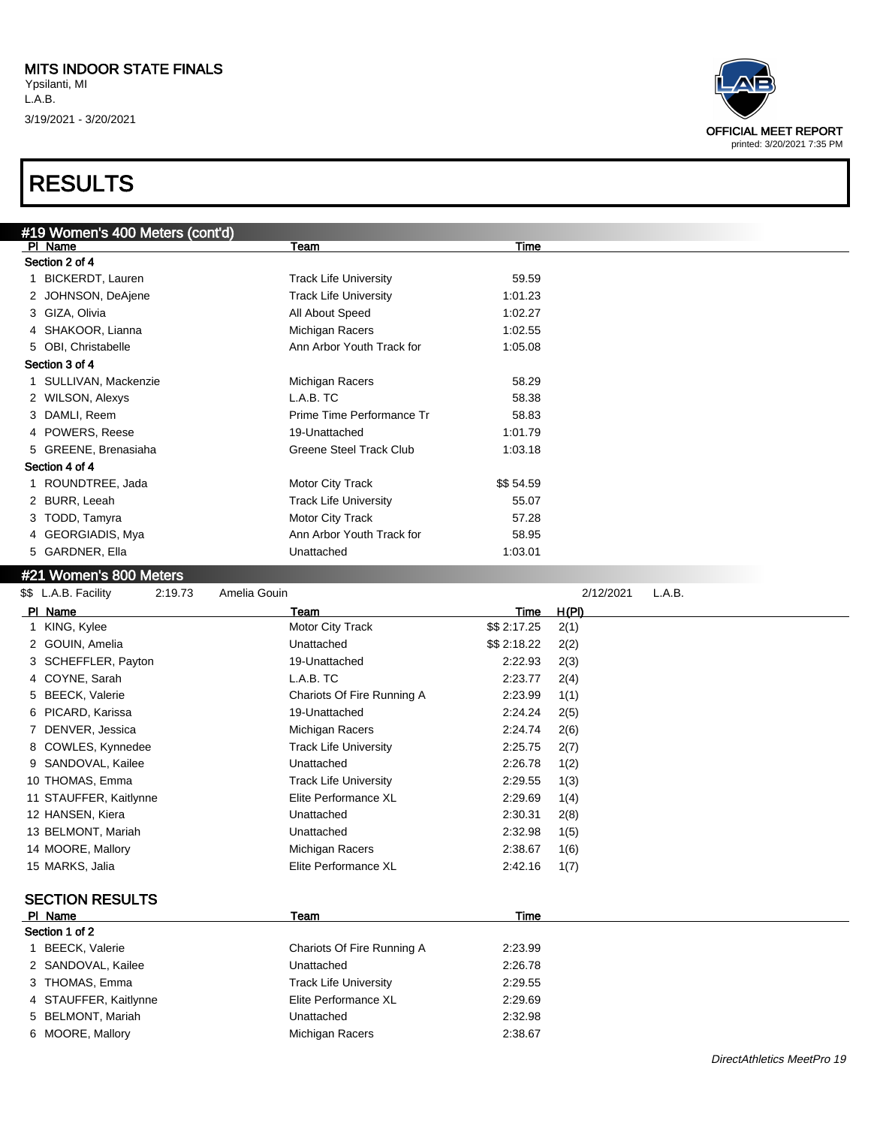|    | #19 Women's 400 Meters (cont'd) |                                |             |           |        |  |  |  |
|----|---------------------------------|--------------------------------|-------------|-----------|--------|--|--|--|
|    | PI Name                         | Team                           | <b>Time</b> |           |        |  |  |  |
|    | Section 2 of 4                  |                                |             |           |        |  |  |  |
| 1. | <b>BICKERDT, Lauren</b>         | <b>Track Life University</b>   | 59.59       |           |        |  |  |  |
|    | 2 JOHNSON, DeAjene              | <b>Track Life University</b>   | 1:01.23     |           |        |  |  |  |
|    | 3 GIZA, Olivia                  | All About Speed                | 1:02.27     |           |        |  |  |  |
|    | 4 SHAKOOR, Lianna               | Michigan Racers                | 1:02.55     |           |        |  |  |  |
|    | 5 OBI, Christabelle             | Ann Arbor Youth Track for      | 1:05.08     |           |        |  |  |  |
|    | Section 3 of 4                  |                                |             |           |        |  |  |  |
|    | 1 SULLIVAN, Mackenzie           | Michigan Racers                | 58.29       |           |        |  |  |  |
|    | 2 WILSON, Alexys                | L.A.B. TC                      | 58.38       |           |        |  |  |  |
|    | 3 DAMLI, Reem                   | Prime Time Performance Tr      | 58.83       |           |        |  |  |  |
|    | 4 POWERS, Reese                 | 19-Unattached                  | 1:01.79     |           |        |  |  |  |
|    | 5 GREENE, Brenasiaha            | <b>Greene Steel Track Club</b> | 1:03.18     |           |        |  |  |  |
|    | Section 4 of 4                  |                                |             |           |        |  |  |  |
|    | 1 ROUNDTREE, Jada               | Motor City Track               | \$\$54.59   |           |        |  |  |  |
|    | 2 BURR, Leeah                   | <b>Track Life University</b>   | 55.07       |           |        |  |  |  |
|    | 3 TODD, Tamyra                  | Motor City Track               | 57.28       |           |        |  |  |  |
|    | 4 GEORGIADIS, Mya               | Ann Arbor Youth Track for      | 58.95       |           |        |  |  |  |
|    | 5 GARDNER, Ella                 | Unattached                     | 1:03.01     |           |        |  |  |  |
|    | #21 Women's 800 Meters          |                                |             |           |        |  |  |  |
|    | \$\$ L.A.B. Facility<br>2:19.73 | Amelia Gouin                   |             | 2/12/2021 | L.A.B. |  |  |  |
|    | PI Name                         | Team                           | Time        | H(PI)     |        |  |  |  |

| PI Name                    | Team                         | Time         | H(PI) |
|----------------------------|------------------------------|--------------|-------|
| KING, Kylee<br>1           | Motor City Track             | \$\$ 2:17.25 | 2(1)  |
| 2 GOUIN, Amelia            | Unattached                   | \$\$ 2:18.22 | 2(2)  |
| SCHEFFLER, Payton<br>3     | 19-Unattached                | 2:22.93      | 2(3)  |
| COYNE, Sarah<br>4          | L.A.B. TC                    | 2:23.77      | 2(4)  |
| <b>BEECK, Valerie</b><br>5 | Chariots Of Fire Running A   | 2:23.99      | 1(1)  |
| PICARD, Karissa<br>6       | 19-Unattached                | 2:24.24      | 2(5)  |
| DENVER, Jessica            | Michigan Racers              | 2.24.74      | 2(6)  |
| COWLES, Kynnedee<br>8      | <b>Track Life University</b> | 2:25.75      | 2(7)  |
| SANDOVAL, Kailee<br>9      | Unattached                   | 2:26.78      | 1(2)  |
| 10 THOMAS, Emma            | <b>Track Life University</b> | 2:29.55      | 1(3)  |
| 11 STAUFFER, Kaitlynne     | Elite Performance XL         | 2:29.69      | 1(4)  |
| 12 HANSEN, Kiera           | Unattached                   | 2:30.31      | 2(8)  |
| 13 BELMONT, Mariah         | Unattached                   | 2:32.98      | 1(5)  |
| 14 MOORE, Mallory          | Michigan Racers              | 2:38.67      | 1(6)  |
| 15 MARKS, Jalia            | Elite Performance XL         | 2:42.16      | 1(7)  |
| <b>SECTION RESULTS</b>     |                              |              |       |
| PI Name                    | Team                         | Time         |       |
| Section 1 of 2             |                              |              |       |
| <b>BEECK, Valerie</b>      | Chariots Of Fire Running A   | 2:23.99      |       |
| 2 SANDOVAL, Kailee         | Unattached                   | 2:26.78      |       |
| THOMAS, Emma<br>3          | <b>Track Life University</b> | 2:29.55      |       |
| STAUFFER, Kaitlynne        | Elite Performance XL         | 2:29.69      |       |
| <b>BELMONT, Mariah</b>     | Unattached                   | 2:32.98      |       |
| MOORE, Mallory<br>6.       | Michigan Racers              | 2:38.67      |       |

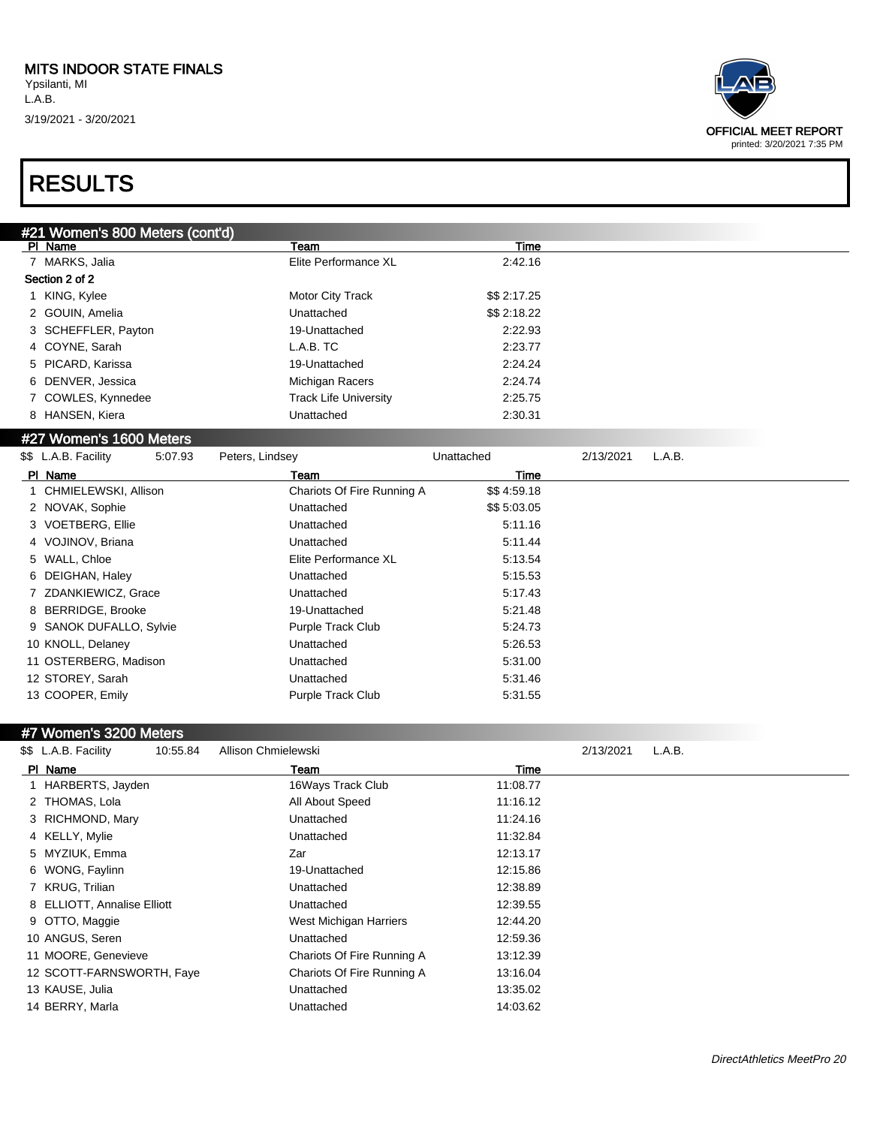

| #21 Women's 800 Meters (cont'd)                         |                              |              |           |        |
|---------------------------------------------------------|------------------------------|--------------|-----------|--------|
| PI Name                                                 | Team                         | Time         |           |        |
| 7 MARKS, Jalia                                          | Elite Performance XL         | 2:42.16      |           |        |
| Section 2 of 2                                          |                              |              |           |        |
| 1 KING, Kylee                                           | Motor City Track             | \$\$ 2:17.25 |           |        |
| 2 GOUIN, Amelia                                         | Unattached                   | \$\$ 2:18.22 |           |        |
| 3 SCHEFFLER, Payton                                     | 19-Unattached                | 2:22.93      |           |        |
| 4 COYNE, Sarah                                          | L.A.B. TC                    | 2:23.77      |           |        |
| 5 PICARD, Karissa                                       | 19-Unattached                | 2:24.24      |           |        |
| 6 DENVER, Jessica                                       | Michigan Racers              | 2:24.74      |           |        |
| 7 COWLES, Kynnedee                                      | <b>Track Life University</b> | 2:25.75      |           |        |
| 8 HANSEN, Kiera                                         | Unattached                   | 2:30.31      |           |        |
| #27 Women's 1600 Meters                                 |                              |              |           |        |
| \$\$ L.A.B. Facility<br>5:07.93<br>Peters, Lindsey      |                              | Unattached   | 2/13/2021 | L.A.B. |
| PI Name                                                 | Team                         | Time         |           |        |
| 1 CHMIELEWSKI, Allison                                  | Chariots Of Fire Running A   | \$\$4:59.18  |           |        |
| 2 NOVAK, Sophie                                         | Unattached                   | \$\$5:03.05  |           |        |
| 3 VOETBERG, Ellie                                       | Unattached                   | 5:11.16      |           |        |
| 4 VOJINOV, Briana                                       | Unattached                   | 5:11.44      |           |        |
| 5 WALL, Chloe                                           | Elite Performance XL         | 5:13.54      |           |        |
| 6 DEIGHAN, Haley                                        | Unattached                   | 5:15.53      |           |        |
| ZDANKIEWICZ, Grace                                      | Unattached                   | 5:17.43      |           |        |
| 8 BERRIDGE, Brooke                                      | 19-Unattached                | 5:21.48      |           |        |
| 9 SANOK DUFALLO, Sylvie                                 | Purple Track Club            | 5:24.73      |           |        |
| 10 KNOLL, Delaney                                       | Unattached                   | 5:26.53      |           |        |
| 11 OSTERBERG, Madison                                   | Unattached                   | 5:31.00      |           |        |
| 12 STOREY, Sarah                                        | Unattached                   | 5:31.46      |           |        |
| 13 COOPER, Emily                                        | Purple Track Club            | 5:31.55      |           |        |
|                                                         |                              |              |           |        |
| #7 Women's 3200 Meters                                  |                              |              |           |        |
| \$\$ L.A.B. Facility<br>Allison Chmielewski<br>10:55.84 |                              |              | 2/13/2021 | L.A.B. |
|                                                         |                              |              |           |        |

| \$\$ L.A.B. Facility<br>10:55.84 | Allison Chmielewski        |          | 2/13/2021<br>L.A.B. |  |
|----------------------------------|----------------------------|----------|---------------------|--|
| PI Name                          | Team                       | Time     |                     |  |
| 1 HARBERTS, Jayden               | 16Ways Track Club          | 11:08.77 |                     |  |
| 2 THOMAS, Lola                   | All About Speed            | 11:16.12 |                     |  |
| 3 RICHMOND, Mary                 | Unattached                 | 11:24.16 |                     |  |
| 4 KELLY, Mylie                   | Unattached                 | 11:32.84 |                     |  |
| 5 MYZIUK, Emma                   | Zar                        | 12:13.17 |                     |  |
| 6 WONG, Faylinn                  | 19-Unattached              | 12:15.86 |                     |  |
| 7 KRUG, Trilian                  | Unattached                 | 12:38.89 |                     |  |
| 8 ELLIOTT, Annalise Elliott      | Unattached                 | 12:39.55 |                     |  |
| 9 OTTO, Maggie                   | West Michigan Harriers     | 12:44.20 |                     |  |
| 10 ANGUS, Seren                  | Unattached                 | 12:59.36 |                     |  |
| 11 MOORE, Genevieve              | Chariots Of Fire Running A | 13:12.39 |                     |  |
| 12 SCOTT-FARNSWORTH, Faye        | Chariots Of Fire Running A | 13:16.04 |                     |  |
| 13 KAUSE, Julia                  | Unattached                 | 13:35.02 |                     |  |
| 14 BERRY, Marla                  | Unattached                 | 14:03.62 |                     |  |
|                                  |                            |          |                     |  |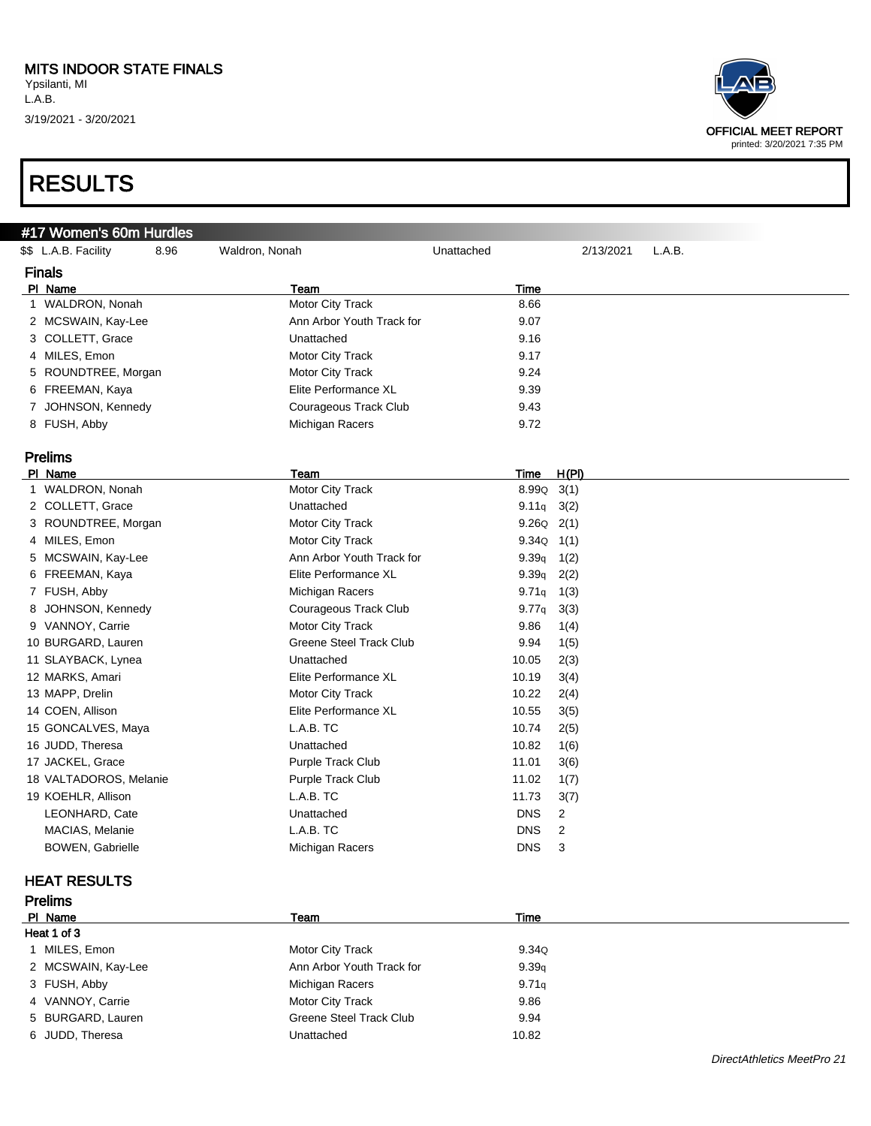#### MITS INDOOR STATE FINALS

Ypsilanti, MI L.A.B. 3/19/2021 - 3/20/2021

| #17 Women's 60m Hurdles      |                                |                |           |        |
|------------------------------|--------------------------------|----------------|-----------|--------|
| \$\$ L.A.B. Facility<br>8.96 | Waldron, Nonah                 | Unattached     | 2/13/2021 | L.A.B. |
| <b>Finals</b>                |                                |                |           |        |
| PI Name                      | Team                           | Time           |           |        |
| 1 WALDRON, Nonah             | Motor City Track               | 8.66           |           |        |
| 2 MCSWAIN, Kay-Lee           | Ann Arbor Youth Track for      | 9.07           |           |        |
| 3 COLLETT, Grace             | Unattached                     | 9.16           |           |        |
| 4 MILES, Emon                | Motor City Track               | 9.17           |           |        |
| 5 ROUNDTREE, Morgan          | <b>Motor City Track</b>        | 9.24           |           |        |
| 6 FREEMAN, Kaya              | Elite Performance XL           | 9.39           |           |        |
| 7 JOHNSON, Kennedy           | Courageous Track Club          | 9.43           |           |        |
| 8 FUSH, Abby                 | Michigan Racers                | 9.72           |           |        |
| <b>Prelims</b>               |                                |                |           |        |
| PI Name                      | <b>Team</b>                    | Time           | H(PI)     |        |
| 1 WALDRON, Nonah             | Motor City Track               | $8.99Q$ $3(1)$ |           |        |
| 2 COLLETT, Grace             | Unattached                     | $9.11q$ 3(2)   |           |        |
| 3 ROUNDTREE, Morgan          | Motor City Track               | $9.26Q$ $2(1)$ |           |        |
| 4 MILES, Emon                | Motor City Track               | 9.34Q          | 1(1)      |        |
| 5 MCSWAIN, Kay-Lee           | Ann Arbor Youth Track for      | 9.39q          | 1(2)      |        |
| 6 FREEMAN, Kaya              | Elite Performance XL           | 9.39q          | 2(2)      |        |
| 7 FUSH, Abby                 | Michigan Racers                | 9.71q          | 1(3)      |        |
| 8 JOHNSON, Kennedy           | <b>Courageous Track Club</b>   | 9.77q          | 3(3)      |        |
| 9 VANNOY, Carrie             | Motor City Track               | 9.86           | 1(4)      |        |
| 10 BURGARD, Lauren           | <b>Greene Steel Track Club</b> | 9.94           | 1(5)      |        |
| 11 SLAYBACK, Lynea           | Unattached                     | 10.05          | 2(3)      |        |
| 12 MARKS, Amari              | Elite Performance XL           | 10.19          | 3(4)      |        |
| 13 MAPP, Drelin              | Motor City Track               | 10.22          | 2(4)      |        |
| 14 COEN, Allison             | Elite Performance XL           | 10.55          | 3(5)      |        |
| 15 GONCALVES, Maya           | L.A.B. TC                      | 10.74          | 2(5)      |        |
| 16 JUDD, Theresa             | Unattached                     | 10.82          | 1(6)      |        |
| 17 JACKEL, Grace             | Purple Track Club              | 11.01          | 3(6)      |        |
| 18 VALTADOROS, Melanie       | <b>Purple Track Club</b>       | 11.02          | 1(7)      |        |
| 19 KOEHLR, Allison           | L.A.B. TC                      | 11.73          | 3(7)      |        |
| LEONHARD, Cate               | Unattached                     | <b>DNS</b>     | 2         |        |
| MACIAS, Melanie              | L.A.B. TC                      | <b>DNS</b>     | 2         |        |
| <b>BOWEN, Gabrielle</b>      | Michigan Racers                | <b>DNS</b>     | 3         |        |
| <b>HEAT RESULTS</b>          |                                |                |           |        |
| <b>Prelims</b>               |                                |                |           |        |

| PI Name            | Team                      | Time  |
|--------------------|---------------------------|-------|
| Heat 1 of 3        |                           |       |
| 1 MILES, Emon      | Motor City Track          | 9.34Q |
| 2 MCSWAIN, Kay-Lee | Ann Arbor Youth Track for | 9.39q |
| 3 FUSH, Abby       | Michigan Racers           | 9.71q |
| 4 VANNOY, Carrie   | Motor City Track          | 9.86  |
| 5 BURGARD, Lauren  | Greene Steel Track Club   | 9.94  |
| 6 JUDD, Theresa    | Unattached                | 10.82 |

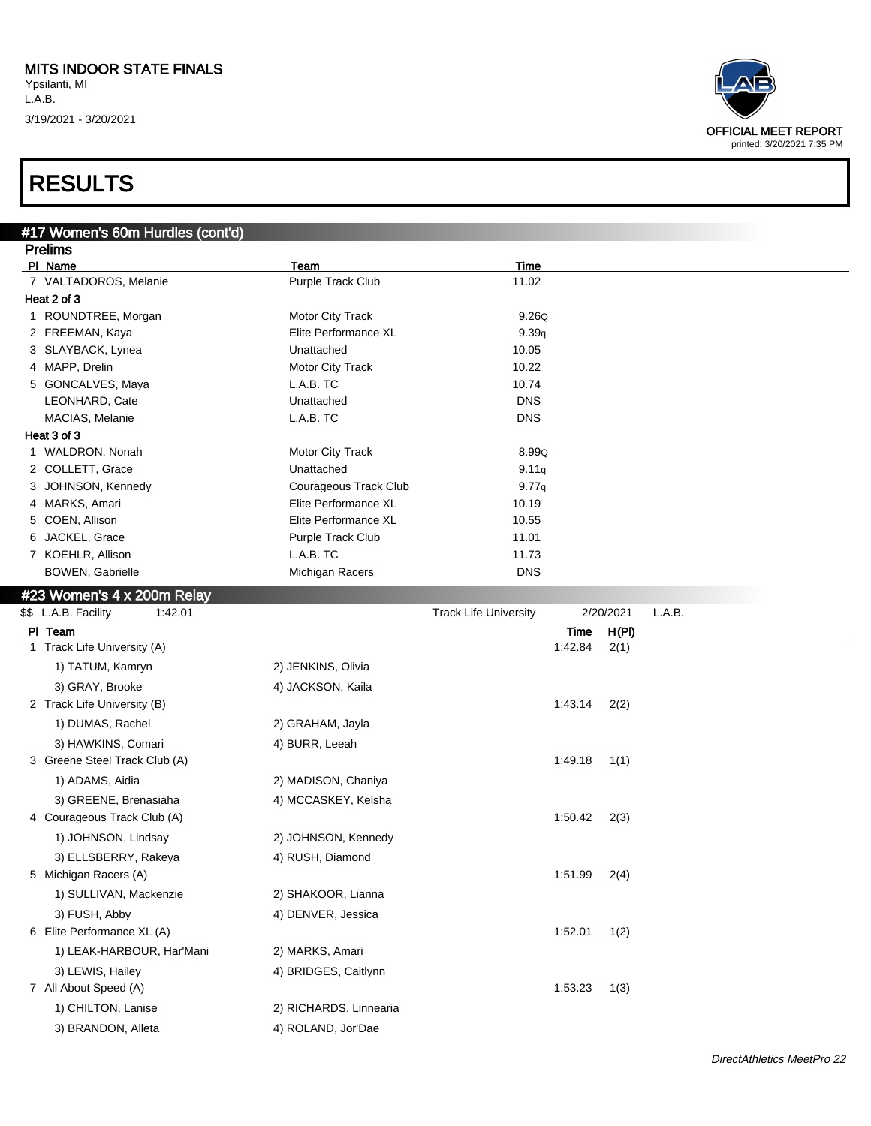#17 Women's 60m Hurdles (cont'd)

L.A.B. 3/19/2021 - 3/20/2021





| <b>Prelims</b>             |                       |             |  |
|----------------------------|-----------------------|-------------|--|
| PI Name                    | Team                  | <b>Time</b> |  |
| 7 VALTADOROS, Melanie      | Purple Track Club     | 11.02       |  |
| Heat 2 of 3                |                       |             |  |
| 1 ROUNDTREE, Morgan        | Motor City Track      | 9.26Q       |  |
| 2 FREEMAN, Kaya            | Elite Performance XL  | 9.39q       |  |
| 3 SLAYBACK, Lynea          | Unattached            | 10.05       |  |
| 4 MAPP, Drelin             | Motor City Track      | 10.22       |  |
| 5 GONCALVES, Maya          | L.A.B. TC             | 10.74       |  |
| LEONHARD, Cate             | Unattached            | <b>DNS</b>  |  |
| MACIAS, Melanie            | L.A.B. TC             | <b>DNS</b>  |  |
| Heat 3 of 3                |                       |             |  |
| 1 WALDRON, Nonah           | Motor City Track      | 8.99Q       |  |
| 2 COLLETT, Grace           | Unattached            | 9.11q       |  |
| 3 JOHNSON, Kennedy         | Courageous Track Club | 9.77q       |  |
| 4 MARKS, Amari             | Elite Performance XL  | 10.19       |  |
| 5 COEN, Allison            | Elite Performance XL  | 10.55       |  |
| 6 JACKEL, Grace            | Purple Track Club     | 11.01       |  |
| 7 KOEHLR, Allison          | L.A.B. TC             | 11.73       |  |
| <b>BOWEN, Gabrielle</b>    | Michigan Racers       | <b>DNS</b>  |  |
| #23 Women's 4 x 200m Relay |                       |             |  |

| \$\$ L.A.B. Facility<br>1:42.01 |                        | <b>Track Life University</b> |             | 2/20/2021 | L.A.B. |
|---------------------------------|------------------------|------------------------------|-------------|-----------|--------|
| PI Team                         |                        |                              | <b>Time</b> | H(PI)     |        |
| 1 Track Life University (A)     |                        |                              | 1:42.84     | 2(1)      |        |
| 1) TATUM, Kamryn                | 2) JENKINS, Olivia     |                              |             |           |        |
| 3) GRAY, Brooke                 | 4) JACKSON, Kaila      |                              |             |           |        |
| 2 Track Life University (B)     |                        |                              | 1:43.14     | 2(2)      |        |
| 1) DUMAS, Rachel                | 2) GRAHAM, Jayla       |                              |             |           |        |
| 3) HAWKINS, Comari              | 4) BURR, Leeah         |                              |             |           |        |
| 3 Greene Steel Track Club (A)   |                        |                              | 1:49.18     | 1(1)      |        |
| 1) ADAMS, Aidia                 | 2) MADISON, Chaniya    |                              |             |           |        |
| 3) GREENE, Brenasiaha           | 4) MCCASKEY, Kelsha    |                              |             |           |        |
| 4 Courageous Track Club (A)     |                        |                              | 1:50.42     | 2(3)      |        |
| 1) JOHNSON, Lindsay             | 2) JOHNSON, Kennedy    |                              |             |           |        |
| 3) ELLSBERRY, Rakeya            | 4) RUSH, Diamond       |                              |             |           |        |
| 5 Michigan Racers (A)           |                        |                              | 1:51.99     | 2(4)      |        |
| 1) SULLIVAN, Mackenzie          | 2) SHAKOOR, Lianna     |                              |             |           |        |
| 3) FUSH, Abby                   | 4) DENVER, Jessica     |                              |             |           |        |
| 6 Elite Performance XL (A)      |                        |                              | 1:52.01     | 1(2)      |        |
| 1) LEAK-HARBOUR, Har'Mani       | 2) MARKS, Amari        |                              |             |           |        |
| 3) LEWIS, Hailey                | 4) BRIDGES, Caitlynn   |                              |             |           |        |
| 7 All About Speed (A)           |                        |                              | 1:53.23     | 1(3)      |        |
| 1) CHILTON, Lanise              | 2) RICHARDS, Linnearia |                              |             |           |        |
| 3) BRANDON, Alleta              | 4) ROLAND, Jor'Dae     |                              |             |           |        |
|                                 |                        |                              |             |           |        |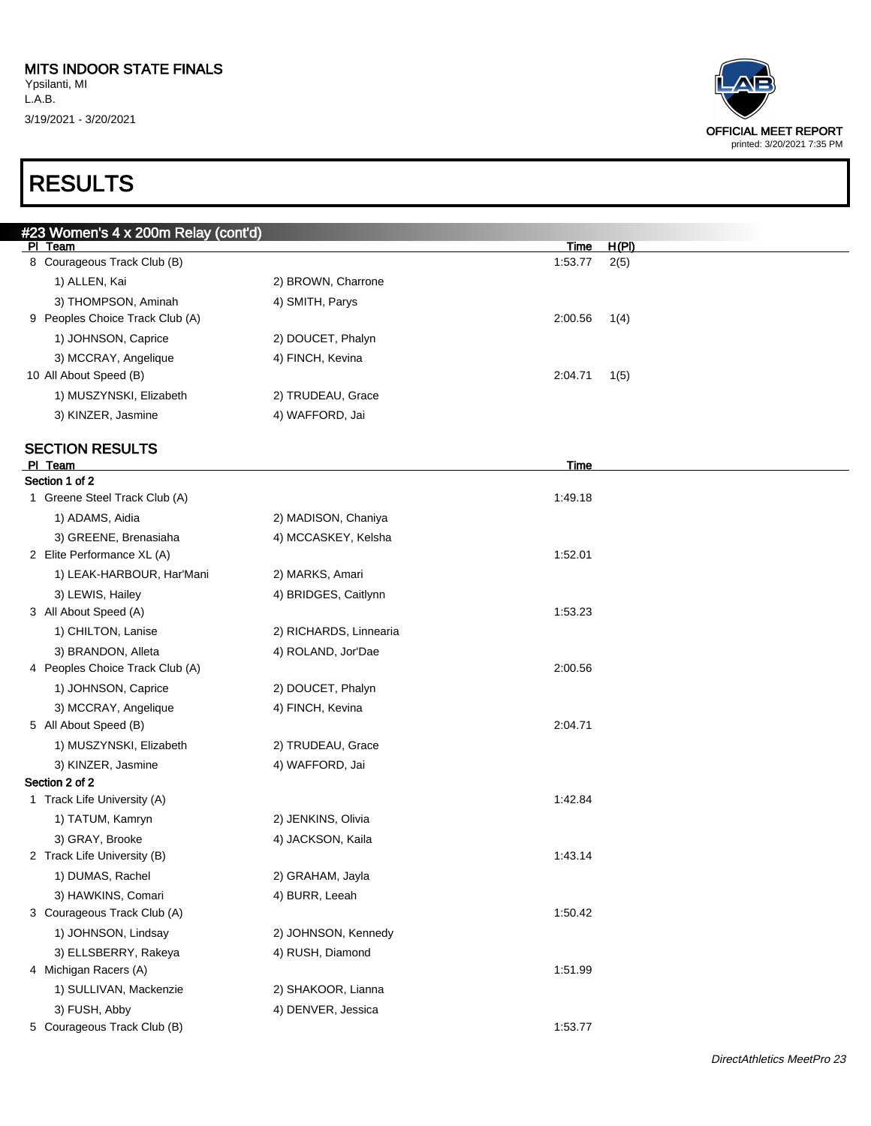| <b>OFFICIAL MEET REPORT</b> |
|-----------------------------|
| printed: 3/20/2021 7:35 PM  |

| #23 Women's 4 x 200m Relay (cont'd) |                        |             |       |
|-------------------------------------|------------------------|-------------|-------|
| PI Team                             |                        | <u>Time</u> | H(PI) |
| 8 Courageous Track Club (B)         |                        | 1:53.77     | 2(5)  |
| 1) ALLEN, Kai                       | 2) BROWN, Charrone     |             |       |
| 3) THOMPSON, Aminah                 | 4) SMITH, Parys        |             |       |
| 9 Peoples Choice Track Club (A)     |                        | 2:00.56     | 1(4)  |
| 1) JOHNSON, Caprice                 | 2) DOUCET, Phalyn      |             |       |
| 3) MCCRAY, Angelique                | 4) FINCH, Kevina       |             |       |
| 10 All About Speed (B)              |                        | 2:04.71     | 1(5)  |
| 1) MUSZYNSKI, Elizabeth             | 2) TRUDEAU, Grace      |             |       |
| 3) KINZER, Jasmine                  | 4) WAFFORD, Jai        |             |       |
| <b>SECTION RESULTS</b>              |                        |             |       |
| PI Team                             |                        | Time        |       |
| Section 1 of 2                      |                        |             |       |
| 1 Greene Steel Track Club (A)       |                        | 1:49.18     |       |
| 1) ADAMS, Aidia                     | 2) MADISON, Chaniya    |             |       |
| 3) GREENE, Brenasiaha               | 4) MCCASKEY, Kelsha    |             |       |
| 2 Elite Performance XL (A)          |                        | 1:52.01     |       |
| 1) LEAK-HARBOUR, Har'Mani           | 2) MARKS, Amari        |             |       |
| 3) LEWIS, Hailey                    | 4) BRIDGES, Caitlynn   |             |       |
| 3 All About Speed (A)               |                        | 1:53.23     |       |
| 1) CHILTON, Lanise                  | 2) RICHARDS, Linnearia |             |       |
| 3) BRANDON, Alleta                  | 4) ROLAND, Jor'Dae     |             |       |
| 4 Peoples Choice Track Club (A)     |                        | 2:00.56     |       |
| 1) JOHNSON, Caprice                 | 2) DOUCET, Phalyn      |             |       |
| 3) MCCRAY, Angelique                | 4) FINCH, Kevina       |             |       |
| 5 All About Speed (B)               |                        | 2:04.71     |       |
| 1) MUSZYNSKI, Elizabeth             | 2) TRUDEAU, Grace      |             |       |
| 3) KINZER, Jasmine                  | 4) WAFFORD, Jai        |             |       |
| Section 2 of 2                      |                        |             |       |
| 1 Track Life University (A)         |                        | 1:42.84     |       |
| 1) TATUM, Kamryn                    | 2) JENKINS, Olivia     |             |       |
| 3) GRAY, Brooke                     | 4) JACKSON, Kaila      |             |       |
| 2 Track Life University (B)         |                        | 1:43.14     |       |
| 1) DUMAS, Rachel                    | 2) GRAHAM, Jayla       |             |       |
| 3) HAWKINS, Comari                  | 4) BURR, Leeah         |             |       |
| 3 Courageous Track Club (A)         |                        | 1:50.42     |       |
| 1) JOHNSON, Lindsay                 | 2) JOHNSON, Kennedy    |             |       |
| 3) ELLSBERRY, Rakeya                | 4) RUSH, Diamond       |             |       |
| 4 Michigan Racers (A)               |                        | 1:51.99     |       |
| 1) SULLIVAN, Mackenzie              | 2) SHAKOOR, Lianna     |             |       |
| 3) FUSH, Abby                       | 4) DENVER, Jessica     |             |       |
| 5 Courageous Track Club (B)         |                        | 1:53.77     |       |
|                                     |                        |             |       |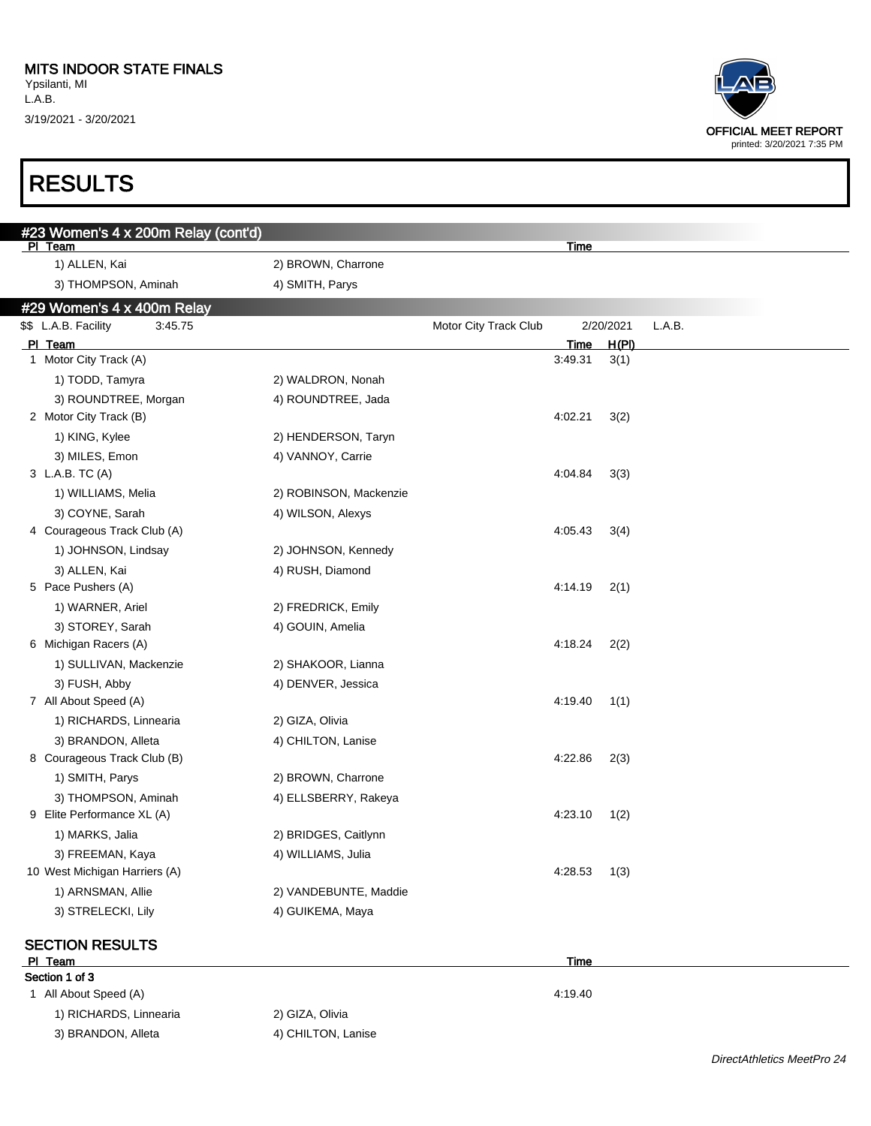## RESULTS



#### SECTION RESULTS

#### PI Team Time **The Contract of the Contract of Time Contract of the Contract of Time** Section 1 of 3

1 All About Speed (A) 4:19.40 1) RICHARDS, Linnearia 2) GIZA, Olivia 3) BRANDON, Alleta 4) CHILTON, Lanise

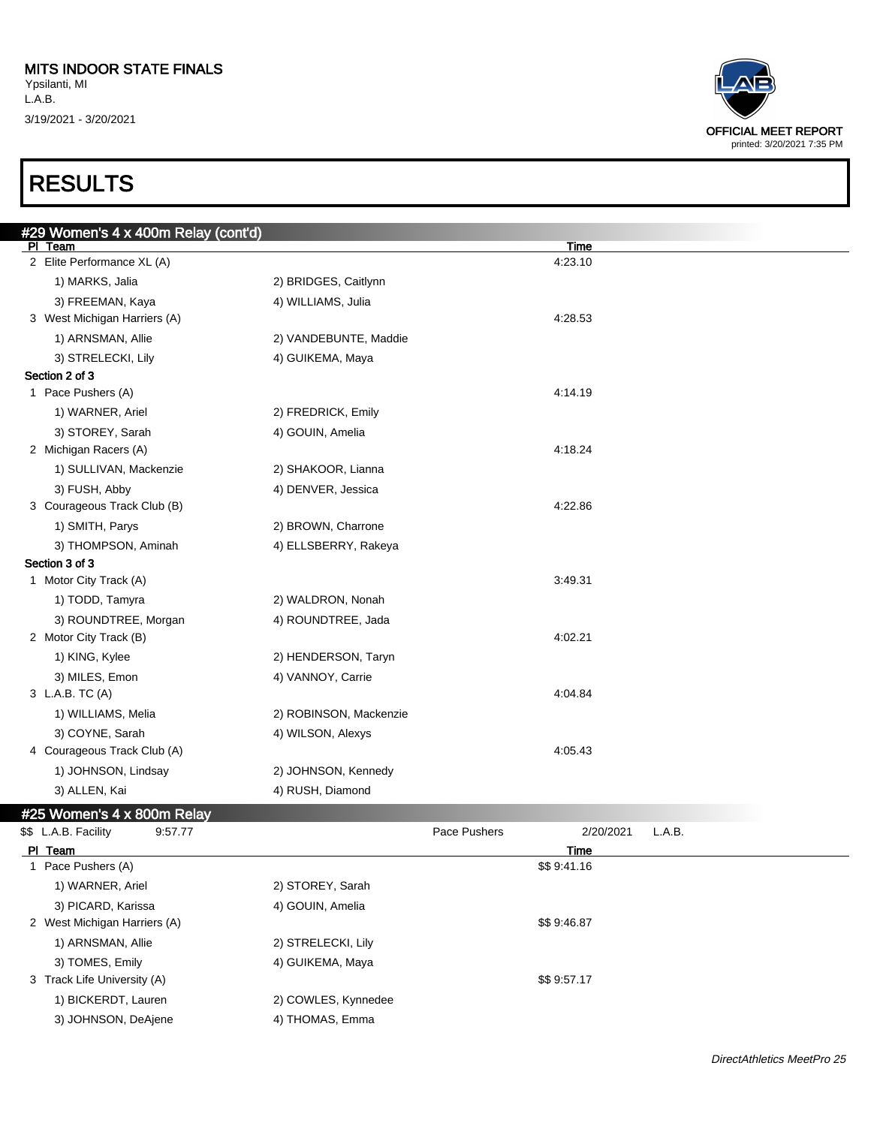## RESULTS

| <b>OFFICIAL MEET REPORT</b> |
|-----------------------------|
| printed: 3/20/2021 7:35 PM  |

| #29 Women's 4 x 400m Relay (cont'd) |                        |              |                            |        |
|-------------------------------------|------------------------|--------------|----------------------------|--------|
| PI Team                             |                        |              | <b>Time</b>                |        |
| 2 Elite Performance XL (A)          |                        |              | 4:23.10                    |        |
| 1) MARKS, Jalia                     | 2) BRIDGES, Caitlynn   |              |                            |        |
| 3) FREEMAN, Kaya                    | 4) WILLIAMS, Julia     |              |                            |        |
| 3 West Michigan Harriers (A)        |                        |              | 4:28.53                    |        |
| 1) ARNSMAN, Allie                   | 2) VANDEBUNTE, Maddie  |              |                            |        |
| 3) STRELECKI, Lily                  | 4) GUIKEMA, Maya       |              |                            |        |
| Section 2 of 3                      |                        |              |                            |        |
| 1 Pace Pushers (A)                  |                        |              | 4:14.19                    |        |
| 1) WARNER, Ariel                    | 2) FREDRICK, Emily     |              |                            |        |
| 3) STOREY, Sarah                    | 4) GOUIN, Amelia       |              |                            |        |
| 2 Michigan Racers (A)               |                        |              | 4:18.24                    |        |
| 1) SULLIVAN, Mackenzie              | 2) SHAKOOR, Lianna     |              |                            |        |
| 3) FUSH, Abby                       | 4) DENVER, Jessica     |              |                            |        |
| 3 Courageous Track Club (B)         |                        |              | 4:22.86                    |        |
| 1) SMITH, Parys                     | 2) BROWN, Charrone     |              |                            |        |
| 3) THOMPSON, Aminah                 | 4) ELLSBERRY, Rakeya   |              |                            |        |
| Section 3 of 3                      |                        |              |                            |        |
| 1 Motor City Track (A)              |                        |              | 3:49.31                    |        |
| 1) TODD, Tamyra                     | 2) WALDRON, Nonah      |              |                            |        |
| 3) ROUNDTREE, Morgan                | 4) ROUNDTREE, Jada     |              |                            |        |
| 2 Motor City Track (B)              |                        |              | 4:02.21                    |        |
| 1) KING, Kylee                      | 2) HENDERSON, Taryn    |              |                            |        |
| 3) MILES, Emon                      | 4) VANNOY, Carrie      |              |                            |        |
| 3 L.A.B. TC (A)                     |                        |              | 4:04.84                    |        |
| 1) WILLIAMS, Melia                  | 2) ROBINSON, Mackenzie |              |                            |        |
| 3) COYNE, Sarah                     | 4) WILSON, Alexys      |              |                            |        |
| 4 Courageous Track Club (A)         |                        |              | 4:05.43                    |        |
| 1) JOHNSON, Lindsay                 | 2) JOHNSON, Kennedy    |              |                            |        |
| 3) ALLEN, Kai                       | 4) RUSH, Diamond       |              |                            |        |
|                                     |                        |              |                            |        |
| #25 Women's 4 x 800m Relay          |                        |              |                            |        |
| \$\$ L.A.B. Facility<br>9:57.77     |                        | Pace Pushers | 2/20/2021                  | L.A.B. |
| PI Team<br>1 Pace Pushers (A)       |                        |              | <b>Time</b><br>\$\$9:41.16 |        |
|                                     |                        |              |                            |        |
| 1) WARNER, Ariel                    | 2) STOREY, Sarah       |              |                            |        |
| 3) PICARD, Karissa                  | 4) GOUIN, Amelia       |              | \$\$9:46.87                |        |
| 2 West Michigan Harriers (A)        |                        |              |                            |        |

3 Track Life University (A)  $$\$9:57.17$ 

1) BICKERDT, Lauren 2) COWLES, Kynnedee

1) ARNSMAN, Allie 2) STRELECKI, Lily 3) TOMES, Emily 19 and 4) GUIKEMA, Maya

3) JOHNSON, DeAjene 4) THOMAS, Emma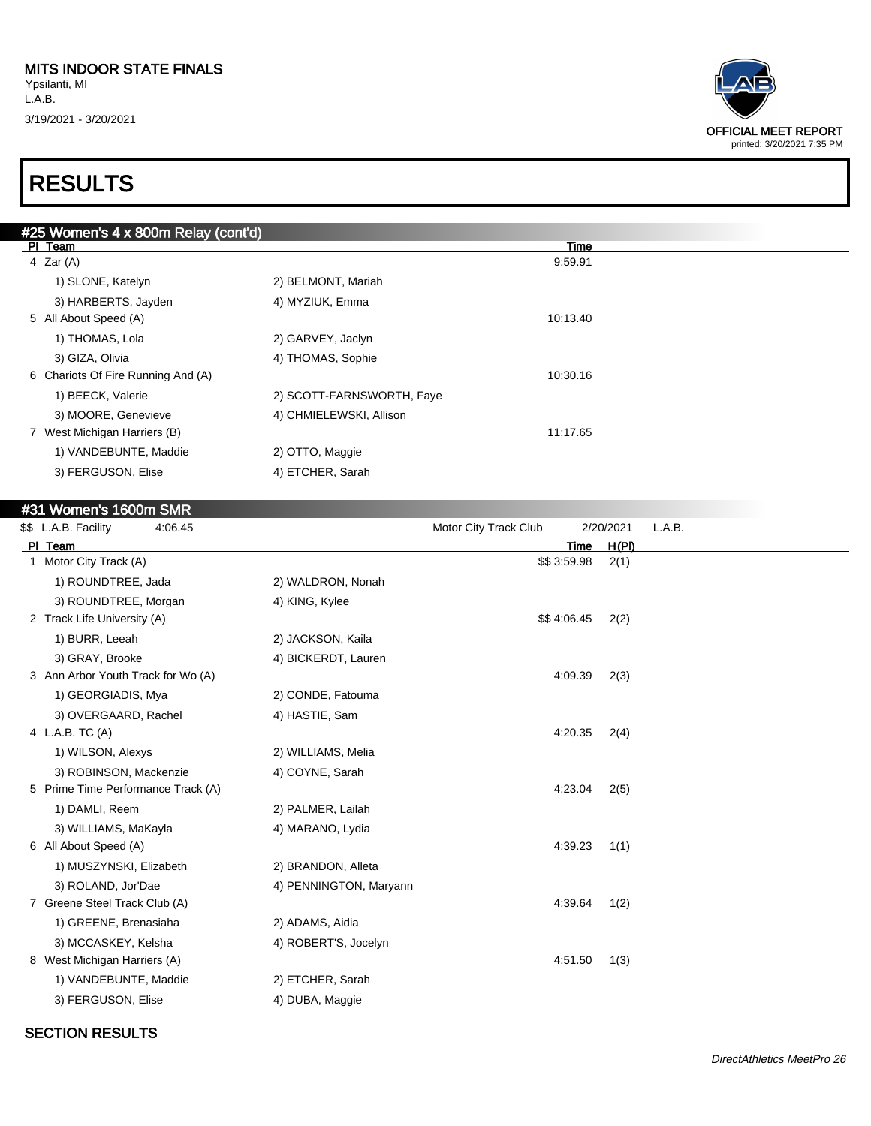## RESULTS

| #25 Women's 4 x 800m Relay (cont'd) |                           |          |  |
|-------------------------------------|---------------------------|----------|--|
| PI Team                             |                           | Time     |  |
| 4 Zar $(A)$                         |                           | 9:59.91  |  |
| 1) SLONE, Katelyn                   | 2) BELMONT, Mariah        |          |  |
| 3) HARBERTS, Jayden                 | 4) MYZIUK, Emma           |          |  |
| 5 All About Speed (A)               |                           | 10:13.40 |  |
| 1) THOMAS, Lola                     | 2) GARVEY, Jaclyn         |          |  |
| 3) GIZA, Olivia                     | 4) THOMAS, Sophie         |          |  |
| 6 Chariots Of Fire Running And (A)  |                           | 10:30.16 |  |
| 1) BEECK, Valerie                   | 2) SCOTT-FARNSWORTH, Faye |          |  |
| 3) MOORE, Genevieve                 | 4) CHMIELEWSKI, Allison   |          |  |
| 7 West Michigan Harriers (B)        |                           | 11:17.65 |  |
| 1) VANDEBUNTE, Maddie               | 2) OTTO, Maggie           |          |  |
| 3) FERGUSON, Elise                  | 4) ETCHER, Sarah          |          |  |
|                                     |                           |          |  |

#### #31 Women's 1600m SMR

| \$\$ L.A.B. Facility<br>4:06.45    |                        | Motor City Track Club | 2/20/2021 | L.A.B. |
|------------------------------------|------------------------|-----------------------|-----------|--------|
| PI Team                            |                        | Time                  | H(PI)     |        |
| 1 Motor City Track (A)             |                        | \$\$3:59.98           | 2(1)      |        |
| 1) ROUNDTREE, Jada                 | 2) WALDRON, Nonah      |                       |           |        |
| 3) ROUNDTREE, Morgan               | 4) KING, Kylee         |                       |           |        |
| 2 Track Life University (A)        |                        | \$\$4:06.45           | 2(2)      |        |
| 1) BURR, Leeah                     | 2) JACKSON, Kaila      |                       |           |        |
| 3) GRAY, Brooke                    | 4) BICKERDT, Lauren    |                       |           |        |
| 3 Ann Arbor Youth Track for Wo (A) |                        | 4:09.39               | 2(3)      |        |
| 1) GEORGIADIS, Mya                 | 2) CONDE, Fatouma      |                       |           |        |
| 3) OVERGAARD, Rachel               | 4) HASTIE, Sam         |                       |           |        |
| 4 L.A.B. TC (A)                    |                        | 4:20.35               | 2(4)      |        |
| 1) WILSON, Alexys                  | 2) WILLIAMS, Melia     |                       |           |        |
| 3) ROBINSON, Mackenzie             | 4) COYNE, Sarah        |                       |           |        |
| 5 Prime Time Performance Track (A) |                        | 4:23.04               | 2(5)      |        |
| 1) DAMLI, Reem                     | 2) PALMER, Lailah      |                       |           |        |
| 3) WILLIAMS, MaKayla               | 4) MARANO, Lydia       |                       |           |        |
| 6 All About Speed (A)              |                        | 4:39.23               | 1(1)      |        |
| 1) MUSZYNSKI, Elizabeth            | 2) BRANDON, Alleta     |                       |           |        |
| 3) ROLAND, Jor'Dae                 | 4) PENNINGTON, Maryann |                       |           |        |
| 7 Greene Steel Track Club (A)      |                        | 4:39.64               | 1(2)      |        |
| 1) GREENE, Brenasiaha              | 2) ADAMS, Aidia        |                       |           |        |
| 3) MCCASKEY, Kelsha                | 4) ROBERT'S, Jocelyn   |                       |           |        |
| 8 West Michigan Harriers (A)       |                        | 4:51.50               | 1(3)      |        |
| 1) VANDEBUNTE, Maddie              | 2) ETCHER, Sarah       |                       |           |        |
| 3) FERGUSON, Elise                 | 4) DUBA, Maggie        |                       |           |        |
|                                    |                        |                       |           |        |

#### SECTION RESULTS

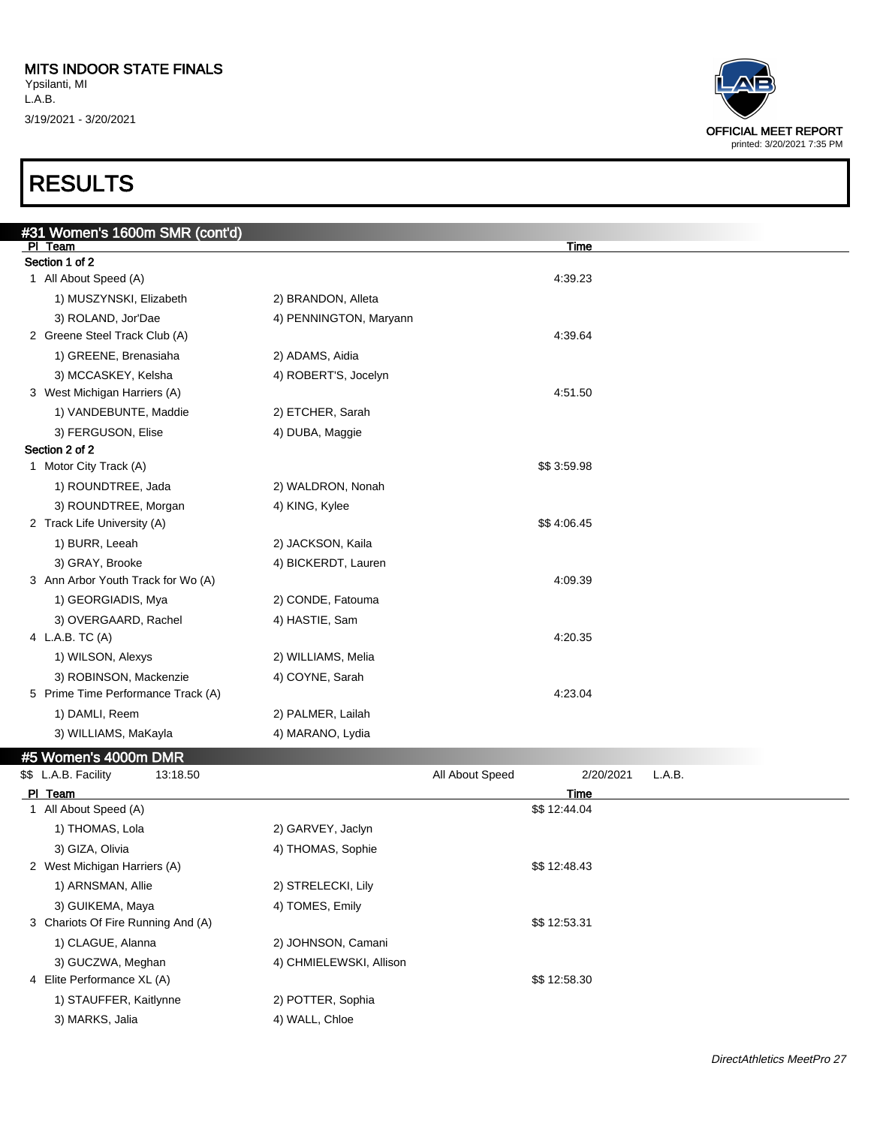## RESULTS

| #31 Women's 1600m SMR (cont'd)     |                        |             |  |
|------------------------------------|------------------------|-------------|--|
| PI Team                            |                        | Time        |  |
| Section 1 of 2                     |                        |             |  |
| 1 All About Speed (A)              |                        | 4:39.23     |  |
| 1) MUSZYNSKI, Elizabeth            | 2) BRANDON, Alleta     |             |  |
| 3) ROLAND, Jor'Dae                 | 4) PENNINGTON, Maryann |             |  |
| 2 Greene Steel Track Club (A)      |                        | 4:39.64     |  |
| 1) GREENE, Brenasiaha              | 2) ADAMS, Aidia        |             |  |
| 3) MCCASKEY, Kelsha                | 4) ROBERT'S, Jocelyn   |             |  |
| 3 West Michigan Harriers (A)       |                        | 4:51.50     |  |
| 1) VANDEBUNTE, Maddie              | 2) ETCHER, Sarah       |             |  |
| 3) FERGUSON, Elise                 | 4) DUBA, Maggie        |             |  |
| Section 2 of 2                     |                        |             |  |
| 1 Motor City Track (A)             |                        | \$\$3:59.98 |  |
| 1) ROUNDTREE, Jada                 | 2) WALDRON, Nonah      |             |  |
| 3) ROUNDTREE, Morgan               | 4) KING, Kylee         |             |  |
| 2 Track Life University (A)        |                        | \$\$4:06.45 |  |
| 1) BURR, Leeah                     | 2) JACKSON, Kaila      |             |  |
| 3) GRAY, Brooke                    | 4) BICKERDT, Lauren    |             |  |
| 3 Ann Arbor Youth Track for Wo (A) |                        | 4:09.39     |  |
| 1) GEORGIADIS, Mya                 | 2) CONDE, Fatouma      |             |  |
| 3) OVERGAARD, Rachel               | 4) HASTIE, Sam         |             |  |
| 4 L.A.B. TC (A)                    |                        | 4:20.35     |  |
| 1) WILSON, Alexys                  | 2) WILLIAMS, Melia     |             |  |
| 3) ROBINSON, Mackenzie             | 4) COYNE, Sarah        |             |  |
| 5 Prime Time Performance Track (A) |                        | 4:23.04     |  |
| 1) DAMLI, Reem                     | 2) PALMER, Lailah      |             |  |
| 3) WILLIAMS, MaKayla               | 4) MARANO, Lydia       |             |  |
| $-1 - 1$<br>$\overline{1}$<br>---  |                        |             |  |

#### #5 Women's 4000m DMR

| \$\$ L.A.B. Facility               | 13:18.50                | All About Speed | 2/20/2021<br>L.A.B. |  |
|------------------------------------|-------------------------|-----------------|---------------------|--|
| PI Team                            |                         |                 | Time                |  |
| All About Speed (A)                |                         |                 | \$\$12:44.04        |  |
| 1) THOMAS, Lola                    | 2) GARVEY, Jaclyn       |                 |                     |  |
| 3) GIZA, Olivia                    | 4) THOMAS, Sophie       |                 |                     |  |
| 2 West Michigan Harriers (A)       |                         |                 | \$\$12:48.43        |  |
| 1) ARNSMAN, Allie                  | 2) STRELECKI, Lily      |                 |                     |  |
| 3) GUIKEMA, Maya                   | 4) TOMES, Emily         |                 |                     |  |
| 3 Chariots Of Fire Running And (A) |                         |                 | \$\$12:53.31        |  |
| 1) CLAGUE, Alanna                  | 2) JOHNSON, Camani      |                 |                     |  |
| 3) GUCZWA, Meghan                  | 4) CHMIELEWSKI, Allison |                 |                     |  |
| 4 Elite Performance XL (A)         |                         |                 | \$\$12:58.30        |  |
| 1) STAUFFER, Kaitlynne             | 2) POTTER, Sophia       |                 |                     |  |
| 3) MARKS, Jalia                    | 4) WALL, Chloe          |                 |                     |  |

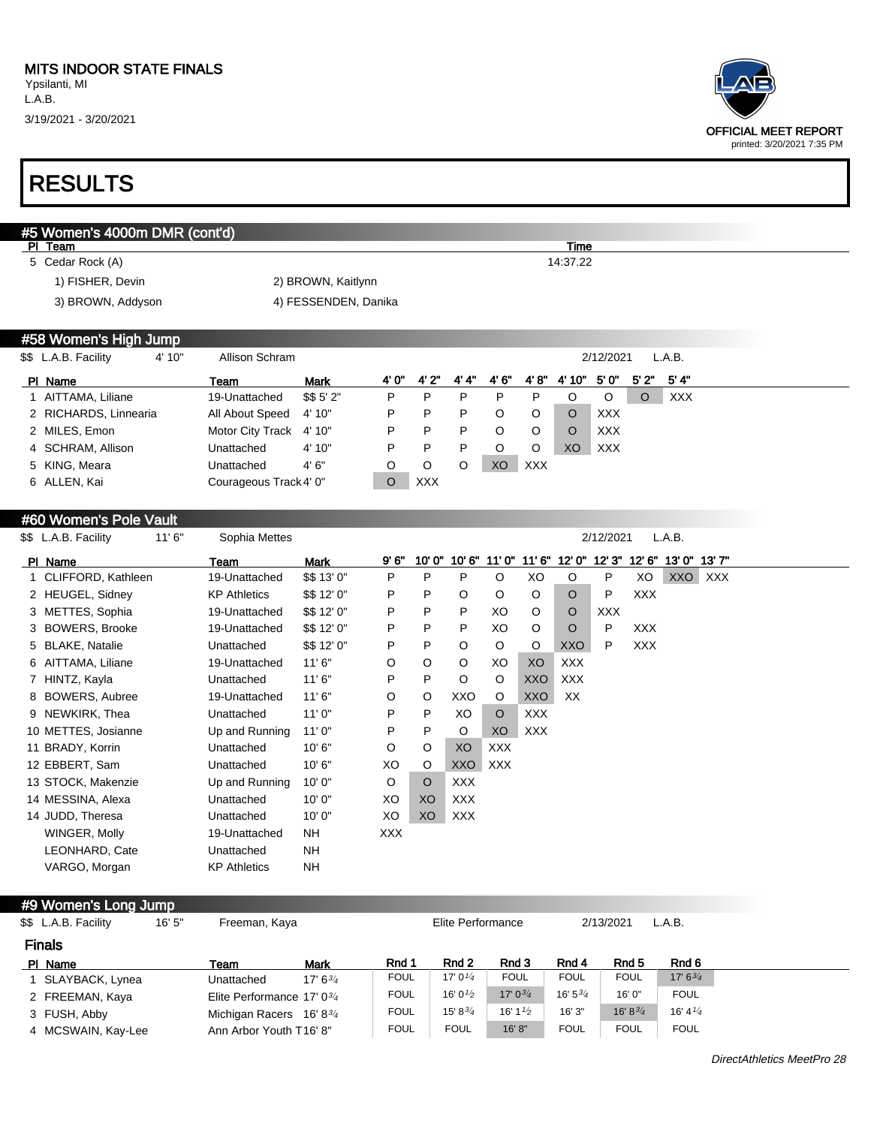## RESULTS

|   | #5 Women's 4000m DMR (cont'd)<br>PI Team |                        |                      |         |            |         |             |            | Time          |            |            |             |         |
|---|------------------------------------------|------------------------|----------------------|---------|------------|---------|-------------|------------|---------------|------------|------------|-------------|---------|
|   | 5 Cedar Rock (A)                         |                        |                      |         |            |         |             |            | 14:37.22      |            |            |             |         |
|   | 1) FISHER, Devin                         |                        | 2) BROWN, Kaitlynn   |         |            |         |             |            |               |            |            |             |         |
|   | 3) BROWN, Addyson                        |                        | 4) FESSENDEN, Danika |         |            |         |             |            |               |            |            |             |         |
|   |                                          |                        |                      |         |            |         |             |            |               |            |            |             |         |
|   | #58 Women's High Jump                    |                        |                      |         |            |         |             |            |               |            |            |             |         |
|   | \$\$ L.A.B. Facility<br>4' 10"           | Allison Schram         |                      |         |            |         |             |            |               | 2/12/2021  |            | L.A.B.      |         |
|   | PI Name                                  | Team                   | <b>Mark</b>          | 4' 0"   | 4'2"       | 4' 4''  | 4'6''       | 4' 8''     | 4' 10"        | 5'0"       | 5'2"       | 5' 4''      |         |
|   | 1 AITTAMA, Liliane                       | 19-Unattached          | \$\$5'2"             | P       | P          | P       | P           | P          | O             | O          | O          | <b>XXX</b>  |         |
|   | 2 RICHARDS, Linnearia                    | All About Speed        | 4' 10"               | P       | P          | P       | O           | O          | O             | <b>XXX</b> |            |             |         |
|   | 2 MILES, Emon                            | Motor City Track       | 4' 10"               | P       | Ρ          | Ρ       | O           | O          | O             | <b>XXX</b> |            |             |         |
|   | SCHRAM, Allison                          | Unattached             | 4' 10"               | P       | P          | P       | O           | O          | XO            | <b>XXX</b> |            |             |         |
|   | 5 KING, Meara                            | Unattached             | 4'6''                | O       | O          | O       | XO          | <b>XXX</b> |               |            |            |             |         |
|   | 6 ALLEN, Kai                             | Courageous Track 4' 0" |                      | $\circ$ | <b>XXX</b> |         |             |            |               |            |            |             |         |
|   |                                          |                        |                      |         |            |         |             |            |               |            |            |             |         |
|   | #60 Women's Pole Vault                   |                        |                      |         |            |         |             |            |               |            |            |             |         |
|   | \$\$ L.A.B. Facility<br>11'6''           | Sophia Mettes          |                      |         |            |         |             |            |               | 2/12/2021  |            | L.A.B.      |         |
|   | PI Name                                  | Team                   | <b>Mark</b>          | 9'6''   | 10'0"      |         | 10'6" 11'0" | 11'6''     | 12' 0" 12' 3" |            | 12' 6''    | 13'0" 13'7" |         |
|   | 1 CLIFFORD, Kathleen                     | 19-Unattached          | \$\$ 13' 0"          | P       | P          | Ρ       | O           | XO         | O             | P          | XO         |             | XXO XXX |
|   | 2 HEUGEL, Sidney                         | <b>KP Athletics</b>    | \$\$ 12' 0"          | P       | Ρ          | O       | O           | $\circ$    | O             | P          | <b>XXX</b> |             |         |
|   | 3 METTES, Sophia                         | 19-Unattached          | \$\$ 12' 0"          | P       | Ρ          | P       | XO          | O          | O             | <b>XXX</b> |            |             |         |
|   | 3 BOWERS, Brooke                         | 19-Unattached          | \$\$ 12' 0"          | P       | P          | P       | XO          | $\circ$    | O             | P          | <b>XXX</b> |             |         |
|   | 5 BLAKE, Natalie                         | Unattached             | \$\$12'0"            | P       | P          | O       | O           | O          | <b>XXO</b>    | P          | <b>XXX</b> |             |         |
| 6 | AITTAMA, Liliane                         | 19-Unattached          | 11'6''               | O       | O          | O       | XO          | XO         | <b>XXX</b>    |            |            |             |         |
|   | 7 HINTZ, Kayla                           | Unattached             | 11'6''               | P       | P          | $\circ$ | O           | <b>XXO</b> | <b>XXX</b>    |            |            |             |         |
|   | 8 BOWERS, Aubree                         | 19-Unattached          | 11'6''               | O       | O          | XXO     | O           | XXO        | XX            |            |            |             |         |
|   | 9 NEWKIRK, Thea                          | Unattached             | 11'0''               | P       | P          | XO      | $\circ$     | <b>XXX</b> |               |            |            |             |         |
|   | 10 METTES, Josianne                      | Up and Running         | 11'0"                | P       | P          | $\circ$ | XO          | <b>XXX</b> |               |            |            |             |         |
|   |                                          |                        |                      |         |            |         |             |            |               |            |            |             |         |

| \$\$ L.A.B. Facility | 16'5'' | Freeman, Kaya                        |                                   |             | Elite Performance                 |                    |                                   | 2/13/2021     | L.A.B.                            |
|----------------------|--------|--------------------------------------|-----------------------------------|-------------|-----------------------------------|--------------------|-----------------------------------|---------------|-----------------------------------|
| <b>Finals</b>        |        |                                      |                                   |             |                                   |                    |                                   |               |                                   |
| PI Name              |        | Team                                 | Mark                              | Rnd 1       | Rnd 2                             | Rnd 3              | Rnd 4                             | Rnd 5         | Rnd 6                             |
| 1 SLAYBACK, Lynea    |        | Unattached                           | 17' 6 <sup>3</sup> / <sub>4</sub> | <b>FOUL</b> | 17' $0^{1/4}$                     | <b>FOUL</b>        | <b>FOUL</b>                       | <b>FOUL</b>   | $17' 6^{3/4}$                     |
| 2 FREEMAN, Kaya      |        | Elite Performance 17' $0\frac{3}{4}$ |                                   | <b>FOUL</b> | 16' 0 $\frac{1}{2}$               | 17' $0^{3/4}$      | 16' 5 <sup>3</sup> / <sub>4</sub> | 16'0''        | <b>FOUL</b>                       |
| 3 FUSH, Abby         |        | Michigan Racers $16' 8^{3/4}$        |                                   | FOUL        | 15' 8 <sup>3</sup> / <sub>4</sub> | 16' $1\frac{1}{2}$ | 16'3''                            | 16' $8^{3/4}$ | 16' 4 <sup>1</sup> / <sub>4</sub> |
| 4 MCSWAIN, Kay-Lee   |        | Ann Arbor Youth T16' 8"              |                                   | <b>FOUL</b> | <b>FOUL</b>                       | 16' 8''            | <b>FOUL</b>                       | <b>FOUL</b>   | <b>FOUL</b>                       |

12 EBBERT, Sam Unattached 10' 6" XO O XXO XXX 13 STOCK, Makenzie Up and Running 10' 0" O O XXX 14 MESSINA, Alexa Unattached 10' 0" XO XO XXX 14 JUDD, Theresa **Unattached** 10' 0" XO XXX

WINGER, Molly 19-Unattached NH XXX

LEONHARD, Cate Unattached NH VARGO, Morgan KP Athletics NH

#9 Women's Long Jump

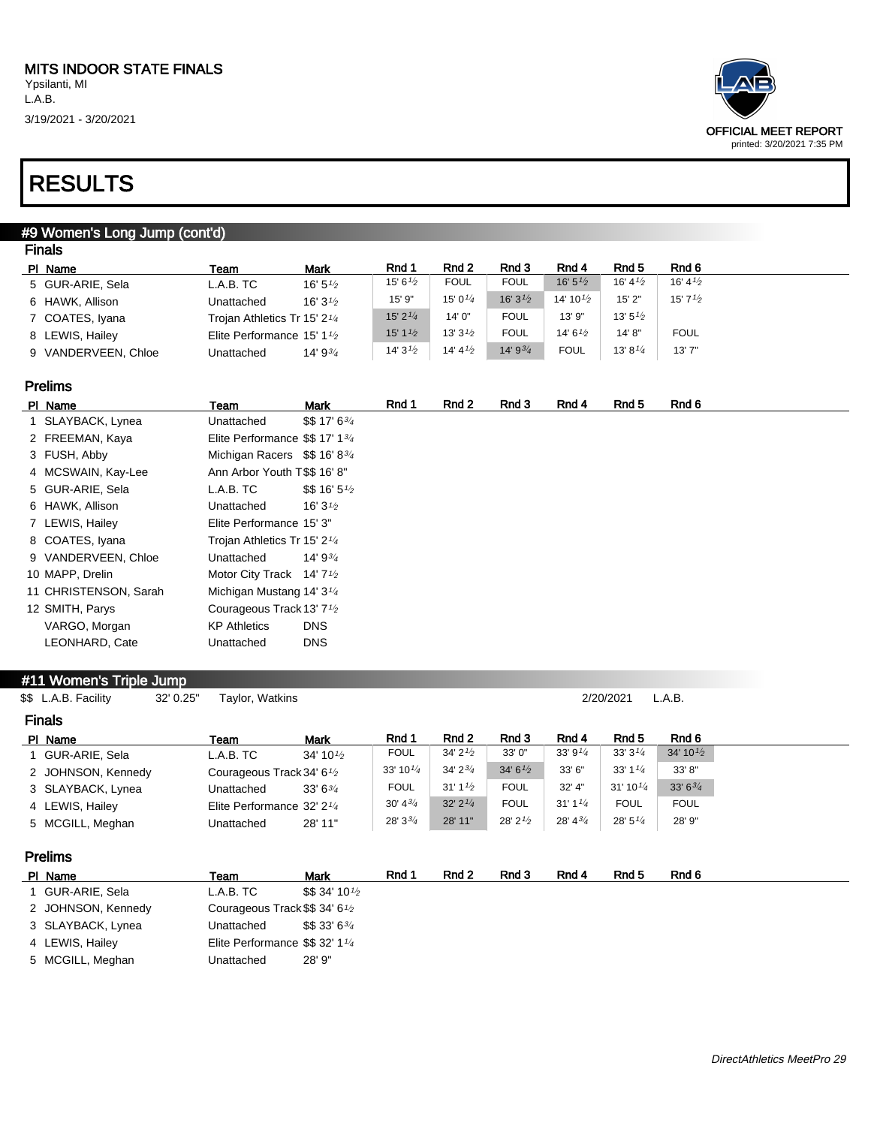

### RESULTS

#### #9 Women's Long Jump (cont'd) Finals

| Rnd 2<br>Rnd 3<br>Rnd 4<br>Rnd 6<br>Rnd 1<br>Rnd 5<br><b>Mark</b><br>PI Name<br>Team<br>16' $5^{1/2}$<br>16' 4 <sup>1</sup> / <sub>2</sub><br><b>FOUL</b><br><b>FOUL</b><br>16' $4\frac{1}{2}$<br>15' 6 $\frac{1}{2}$<br>5 GUR-ARIE, Sela<br>L.A.B. TC<br>16' 5 $\frac{1}{2}$<br>16' $3^{1/2}$<br>$15'7\frac{1}{2}$<br>14' 10 $\frac{1}{2}$<br>15' 0 $\frac{1}{4}$<br>15' 9"<br>15'2"<br>6 HAWK, Allison<br>16' $3\frac{1}{2}$<br>Unattached<br>$15'$ 2 $\frac{1}{4}$<br><b>FOUL</b><br>13' 9"<br>13' $5\frac{1}{2}$<br>14' 0"<br>7 COATES, Iyana<br>Trojan Athletics Tr 15' 2 <sup>1/4</sup><br>13' 3 $\frac{1}{2}$<br>15' $1\frac{1}{2}$<br>14' 6 $\frac{1}{2}$<br><b>FOUL</b><br><b>FOUL</b><br>14' 8"<br>8 LEWIS, Hailey<br>Elite Performance 15' 1 $\frac{1}{2}$<br>$14'9^{3/4}$<br>14' $4\frac{1}{2}$<br>13'7''<br>14'3''2<br><b>FOUL</b><br>13' 8 $1/4$<br>14' $9^{3/4}$<br>Unattached | гныз                |  |  |  |  |
|-----------------------------------------------------------------------------------------------------------------------------------------------------------------------------------------------------------------------------------------------------------------------------------------------------------------------------------------------------------------------------------------------------------------------------------------------------------------------------------------------------------------------------------------------------------------------------------------------------------------------------------------------------------------------------------------------------------------------------------------------------------------------------------------------------------------------------------------------------------------------------------------------|---------------------|--|--|--|--|
|                                                                                                                                                                                                                                                                                                                                                                                                                                                                                                                                                                                                                                                                                                                                                                                                                                                                                               |                     |  |  |  |  |
|                                                                                                                                                                                                                                                                                                                                                                                                                                                                                                                                                                                                                                                                                                                                                                                                                                                                                               |                     |  |  |  |  |
|                                                                                                                                                                                                                                                                                                                                                                                                                                                                                                                                                                                                                                                                                                                                                                                                                                                                                               |                     |  |  |  |  |
|                                                                                                                                                                                                                                                                                                                                                                                                                                                                                                                                                                                                                                                                                                                                                                                                                                                                                               |                     |  |  |  |  |
|                                                                                                                                                                                                                                                                                                                                                                                                                                                                                                                                                                                                                                                                                                                                                                                                                                                                                               |                     |  |  |  |  |
|                                                                                                                                                                                                                                                                                                                                                                                                                                                                                                                                                                                                                                                                                                                                                                                                                                                                                               | 9 VANDERVEEN, Chloe |  |  |  |  |

#### Prelims

| PI Name               | Team                                               | Mark                              | Rnd 1 | Rnd 2 | Rnd 3 | Rnd 4 | Rnd 5 | Rnd 6 |
|-----------------------|----------------------------------------------------|-----------------------------------|-------|-------|-------|-------|-------|-------|
| 1 SLAYBACK, Lynea     | Unattached                                         | \$517'634                         |       |       |       |       |       |       |
| 2 FREEMAN, Kaya       | Elite Performance \$\$ 17' 134                     |                                   |       |       |       |       |       |       |
| 3 FUSH, Abby          | Michigan Racers \$\$16'834                         |                                   |       |       |       |       |       |       |
| 4 MCSWAIN, Kay-Lee    | Ann Arbor Youth T\$\$ 16'8"                        |                                   |       |       |       |       |       |       |
| 5 GUR-ARIE, Sela      | L.A.B. TC                                          | $$$16'5\%$                        |       |       |       |       |       |       |
| 6 HAWK, Allison       | Unattached                                         | 16' 3 <sup><math>1/2</math></sup> |       |       |       |       |       |       |
| 7 LEWIS, Hailey       | Elite Performance 15' 3"                           |                                   |       |       |       |       |       |       |
| 8 COATES, Iyana       | Trojan Athletics Tr 15' 2 <sup>1/4</sup>           |                                   |       |       |       |       |       |       |
| 9 VANDERVEEN, Chloe   | Unattached                                         | 14' 9 $\frac{3}{4}$               |       |       |       |       |       |       |
| 10 MAPP, Drelin       | Motor City Track 14' 7 <sup>1</sup> / <sub>2</sub> |                                   |       |       |       |       |       |       |
| 11 CHRISTENSON, Sarah | Michigan Mustang 14' 3 <sup>1/4</sup>              |                                   |       |       |       |       |       |       |
| 12 SMITH, Parys       | Courageous Track 13' 7 <sup>1</sup> / <sub>2</sub> |                                   |       |       |       |       |       |       |
| VARGO, Morgan         | <b>KP Athletics</b>                                | <b>DNS</b>                        |       |       |       |       |       |       |
| LEONHARD, Cate        | Unattached                                         | <b>DNS</b>                        |       |       |       |       |       |       |

#### #11 Women's Triple Jump

\$\$ L.A.B. Facility 32' 0.25" Taylor, Watkins 2/20/2021 L.A.B.

| <b>Finals</b> |                    |                                                    |                      |                      |                                        |               |                     |                      |                     |
|---------------|--------------------|----------------------------------------------------|----------------------|----------------------|----------------------------------------|---------------|---------------------|----------------------|---------------------|
|               | PI Name            | Team                                               | <b>Mark</b>          | Rnd 1                | Rnd 2                                  | Rnd 3         | Rnd 4               | Rnd 5                | Rnd 6               |
|               | I GUR-ARIE, Sela   | L.A.B. T C                                         | 34' 10 $\frac{1}{2}$ | <b>FOUL</b>          | 34' $2^{1/2}$                          | 33'0''        | 33' 9 $\frac{1}{4}$ | 33'3'4               | 34' $10\frac{1}{2}$ |
|               | 2 JOHNSON, Kennedy | Courageous Track 34' 6 <sup>1</sup> / <sub>2</sub> |                      | 33' 10 $\frac{1}{4}$ | $34'2^{3/4}$                           | 34' $6^{1/2}$ | 33' 6"              | $33'1^{1/4}$         | 33' 8"              |
|               | 3 SLAYBACK, Lynea  | Unattached                                         | 33'63'               | <b>FOUL</b>          | $31'1^{1/2}$                           | <b>FOUL</b>   | $32'$ 4"            | 31' 10 $\frac{1}{4}$ | 33' $6^{3/4}$       |
|               | 4 LEWIS, Hailey    | Elite Performance 32' 2 $\frac{1}{4}$              |                      | $30' 4^{3/4}$        | $32'$ $2'$ <sup><math>1/4</math></sup> | <b>FOUL</b>   | $31'1^{1/4}$        | <b>FOUL</b>          | <b>FOUL</b>         |
|               | 5 MCGILL, Meghan   | Unattached                                         | 28' 11"              | $28'3^{3}/4$         | 28' 11"                                | $28'$ $2'$    | $28' 4^{3/4}$       | 28'5''/4             | 28' 9"              |

#### Prelims

| PI Name            | Team                                                    | Mark                                       | Rnd 1 | Rnd 2 | Rnd 3 | Rnd 4 | Rnd 5 | Rnd 6 |
|--------------------|---------------------------------------------------------|--------------------------------------------|-------|-------|-------|-------|-------|-------|
| GUR-ARIE, Sela     | L.A.B. TC                                               | $$\$$ \$ 34' 10 $\frac{1}{2}$              |       |       |       |       |       |       |
| 2 JOHNSON, Kennedy | Courageous Track \$\$ 34' 6 <sup>1</sup> / <sub>2</sub> |                                            |       |       |       |       |       |       |
| 3 SLAYBACK, Lynea  | Unattached                                              | $$\$$ \$ 33' 6 <sup>3</sup> / <sub>4</sub> |       |       |       |       |       |       |
| 4 LEWIS, Hailey    | Elite Performance $$\$$ 32' 1 $\frac{1}{4}$             |                                            |       |       |       |       |       |       |
| 5 MCGILL, Meghan   | Unattached                                              | 28' 9"                                     |       |       |       |       |       |       |